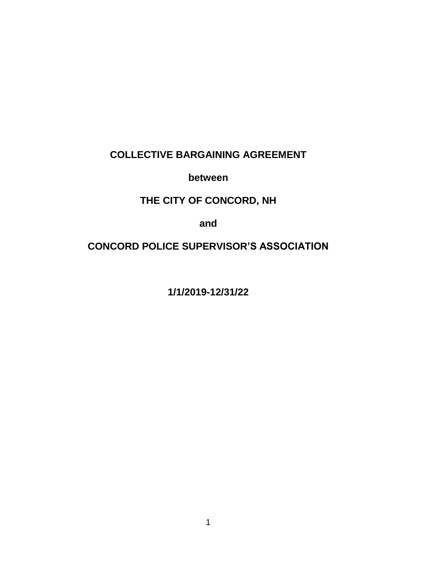# **COLLECTIVE BARGAINING AGREEMENT**

**between**

# **THE CITY OF CONCORD, NH**

**and**

## **CONCORD POLICE SUPERVISOR'S ASSOCIATION**

**1/1/2019-12/31/22**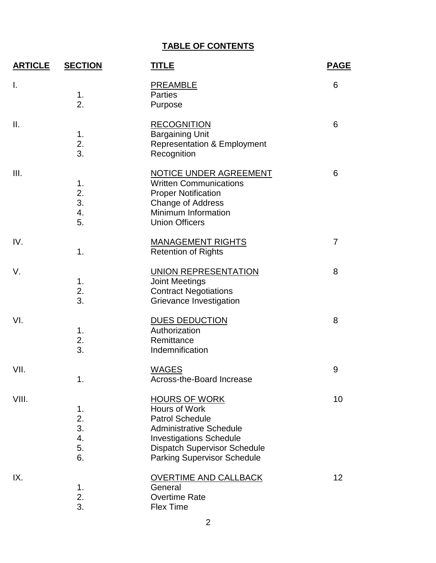# **TABLE OF CONTENTS**

| <b>ARTICLE</b> | <b>SECTION</b>                   | <b>TITLE</b>                                                                                                                                                                                                     | <b>PAGE</b>    |  |
|----------------|----------------------------------|------------------------------------------------------------------------------------------------------------------------------------------------------------------------------------------------------------------|----------------|--|
| $\mathsf{l}$ . | 1.<br>2.                         | <b>PREAMBLE</b><br><b>Parties</b><br>Purpose                                                                                                                                                                     | 6              |  |
| Ш.             | 1.<br>2.<br>3.                   | <b>RECOGNITION</b><br><b>Bargaining Unit</b><br><b>Representation &amp; Employment</b><br>Recognition                                                                                                            | 6              |  |
| Ш.             | 1.<br>2.<br>3.<br>4.<br>5.       | <b>NOTICE UNDER AGREEMENT</b><br><b>Written Communications</b><br><b>Proper Notification</b><br>Change of Address<br>Minimum Information<br><b>Union Officers</b>                                                | 6              |  |
| IV.            | 1.                               | <b>MANAGEMENT RIGHTS</b><br><b>Retention of Rights</b>                                                                                                                                                           | $\overline{7}$ |  |
| V.             | 1.<br>2.<br>3.                   | UNION REPRESENTATION<br><b>Joint Meetings</b><br><b>Contract Negotiations</b><br>Grievance Investigation                                                                                                         | 8              |  |
| VI.            | 1.<br>2.<br>3.                   | <b>DUES DEDUCTION</b><br>Authorization<br>Remittance<br>Indemnification                                                                                                                                          | 8              |  |
| VII.           | 1.                               | <b>WAGES</b><br>Across-the-Board Increase                                                                                                                                                                        | 9              |  |
| VIII.          | 1.<br>2.<br>3.<br>4.<br>5.<br>6. | <b>HOURS OF WORK</b><br>Hours of Work<br><b>Patrol Schedule</b><br><b>Administrative Schedule</b><br><b>Investigations Schedule</b><br><b>Dispatch Supervisor Schedule</b><br><b>Parking Supervisor Schedule</b> | 10             |  |
| IX.            | 1.<br>2.<br>3.                   | <b>OVERTIME AND CALLBACK</b><br>General<br><b>Overtime Rate</b><br><b>Flex Time</b>                                                                                                                              | 12             |  |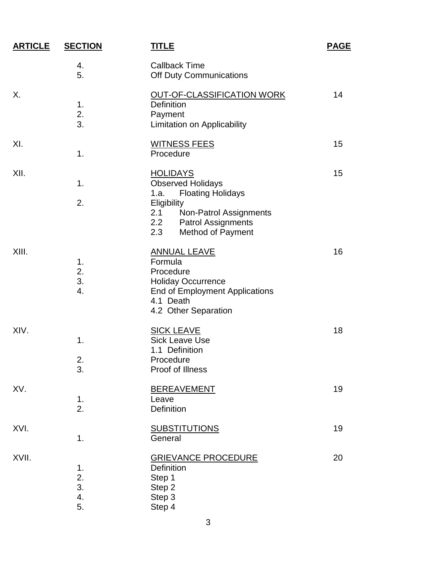| <b>ARTICLE</b> | <b>SECTION</b>             | <u>TITLE</u>                                                                                                                                                                                                  | <u>PAGE</u> |
|----------------|----------------------------|---------------------------------------------------------------------------------------------------------------------------------------------------------------------------------------------------------------|-------------|
|                | 4.<br>5.                   | <b>Callback Time</b><br>Off Duty Communications                                                                                                                                                               |             |
| Х.             | 1.<br>2.<br>3.             | OUT-OF-CLASSIFICATION WORK<br><b>Definition</b><br>Payment<br>Limitation on Applicability                                                                                                                     | 14          |
| XI.            | 1.                         | <b>WITNESS FEES</b><br>Procedure                                                                                                                                                                              | 15          |
| XII.           | 1.<br>2.                   | <b>HOLIDAYS</b><br><b>Observed Holidays</b><br><b>Floating Holidays</b><br>1.a.<br>Eligibility<br>2.1<br><b>Non-Patrol Assignments</b><br>2.2<br><b>Patrol Assignments</b><br>2.3<br><b>Method of Payment</b> | 15          |
| XIII.          | 1.<br>2.<br>3.<br>4.       | <b>ANNUAL LEAVE</b><br>Formula<br>Procedure<br><b>Holiday Occurrence</b><br>End of Employment Applications<br>4.1 Death<br>4.2 Other Separation                                                               | 16          |
| XIV.           | 1.<br>2.<br>3.             | <b>SICK LEAVE</b><br><b>Sick Leave Use</b><br>1.1 Definition<br>Procedure<br>Proof of Illness                                                                                                                 | 18          |
| XV.            | 1.<br>2.                   | <b>BEREAVEMENT</b><br>Leave<br>Definition                                                                                                                                                                     | 19          |
| XVI.           | 1.                         | <b>SUBSTITUTIONS</b><br>General                                                                                                                                                                               | 19          |
| XVII.          | 1.<br>2.<br>3.<br>4.<br>5. | <b>GRIEVANCE PROCEDURE</b><br><b>Definition</b><br>Step 1<br>Step 2<br>Step 3<br>Step 4                                                                                                                       | 20          |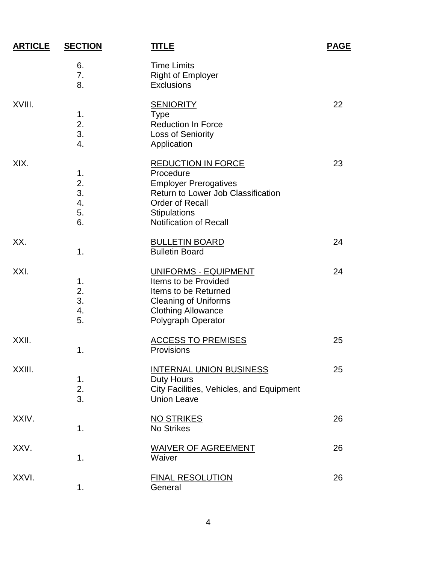| <b>ARTICLE</b> | <b>SECTION</b>                   | <u>TITLE</u>                                                                                                                                                                                   | <b>PAGE</b> |
|----------------|----------------------------------|------------------------------------------------------------------------------------------------------------------------------------------------------------------------------------------------|-------------|
|                | 6.<br>7.<br>8.                   | <b>Time Limits</b><br><b>Right of Employer</b><br>Exclusions                                                                                                                                   |             |
| XVIII.         | 1.<br>2.<br>3.<br>4.             | <b>SENIORITY</b><br><b>Type</b><br><b>Reduction In Force</b><br>Loss of Seniority<br>Application                                                                                               | 22          |
| XIX.           | 1.<br>2.<br>3.<br>4.<br>5.<br>6. | <b>REDUCTION IN FORCE</b><br>Procedure<br><b>Employer Prerogatives</b><br>Return to Lower Job Classification<br><b>Order of Recall</b><br><b>Stipulations</b><br><b>Notification of Recall</b> | 23          |
| XX.            | 1.                               | <b>BULLETIN BOARD</b><br><b>Bulletin Board</b>                                                                                                                                                 | 24          |
| XXI.           | 1.<br>2.<br>3.<br>4.<br>5.       | UNIFORMS - EQUIPMENT<br>Items to be Provided<br>Items to be Returned<br><b>Cleaning of Uniforms</b><br><b>Clothing Allowance</b><br>Polygraph Operator                                         | 24          |
| XXII.          | 1.                               | <b>ACCESS TO PREMISES</b><br>Provisions                                                                                                                                                        | 25          |
| XXIII.         | 1.<br>2.<br>3.                   | <b>INTERNAL UNION BUSINESS</b><br><b>Duty Hours</b><br>City Facilities, Vehicles, and Equipment<br><b>Union Leave</b>                                                                          | 25          |
| XXIV.          | 1.                               | <b>NO STRIKES</b><br><b>No Strikes</b>                                                                                                                                                         | 26          |
| XXV.           | 1.                               | <b>WAIVER OF AGREEMENT</b><br>Waiver                                                                                                                                                           | 26          |
| XXVI.          | 1.                               | <b>FINAL RESOLUTION</b><br>General                                                                                                                                                             | 26          |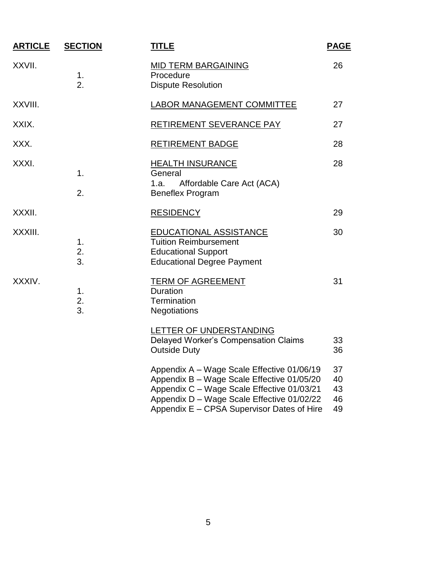| <b>ARTICLE</b> | <b>SECTION</b> | <u>TITLE</u>                                                                                                                                                                                                                       | <b>PAGE</b>                |
|----------------|----------------|------------------------------------------------------------------------------------------------------------------------------------------------------------------------------------------------------------------------------------|----------------------------|
| XXVII.         | 1.<br>2.       | <b>MID TERM BARGAINING</b><br>Procedure<br><b>Dispute Resolution</b>                                                                                                                                                               | 26                         |
| XXVIII.        |                | LABOR MANAGEMENT COMMITTEE                                                                                                                                                                                                         | 27                         |
| XXIX.          |                | RETIREMENT SEVERANCE PAY                                                                                                                                                                                                           | 27                         |
| XXX.           |                | <b>RETIREMENT BADGE</b>                                                                                                                                                                                                            | 28                         |
| XXXI.          | 1.<br>2.       | <b>HEALTH INSURANCE</b><br>General<br>Affordable Care Act (ACA)<br>1.a.<br><b>Beneflex Program</b>                                                                                                                                 | 28                         |
| XXXII.         |                | <b>RESIDENCY</b>                                                                                                                                                                                                                   | 29                         |
| XXXIII.        | 1.<br>2.<br>3. | <b>EDUCATIONAL ASSISTANCE</b><br><b>Tuition Reimbursement</b><br><b>Educational Support</b><br><b>Educational Degree Payment</b>                                                                                                   | 30                         |
| XXXIV.         | 1.<br>2.<br>3. | <b>TERM OF AGREEMENT</b><br><b>Duration</b><br><b>Termination</b><br><b>Negotiations</b>                                                                                                                                           | 31                         |
|                |                | LETTER OF UNDERSTANDING<br><b>Delayed Worker's Compensation Claims</b><br><b>Outside Duty</b>                                                                                                                                      | 33<br>36                   |
|                |                | Appendix A - Wage Scale Effective 01/06/19<br>Appendix B - Wage Scale Effective 01/05/20<br>Appendix C - Wage Scale Effective 01/03/21<br>Appendix D - Wage Scale Effective 01/02/22<br>Appendix E - CPSA Supervisor Dates of Hire | 37<br>40<br>43<br>46<br>49 |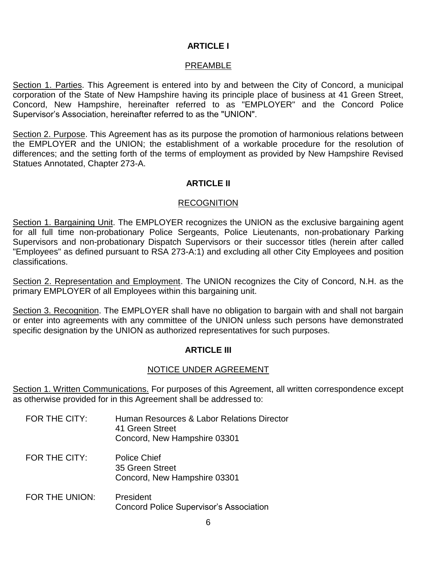## **ARTICLE I**

## PREAMBLE

Section 1. Parties. This Agreement is entered into by and between the City of Concord, a municipal corporation of the State of New Hampshire having its principle place of business at 41 Green Street, Concord, New Hampshire, hereinafter referred to as "EMPLOYER" and the Concord Police Supervisor's Association, hereinafter referred to as the "UNION".

Section 2. Purpose. This Agreement has as its purpose the promotion of harmonious relations between the EMPLOYER and the UNION; the establishment of a workable procedure for the resolution of differences; and the setting forth of the terms of employment as provided by New Hampshire Revised Statues Annotated, Chapter 273-A.

## **ARTICLE II**

## RECOGNITION

Section 1. Bargaining Unit. The EMPLOYER recognizes the UNION as the exclusive bargaining agent for all full time non-probationary Police Sergeants, Police Lieutenants, non-probationary Parking Supervisors and non-probationary Dispatch Supervisors or their successor titles (herein after called "Employees" as defined pursuant to RSA 273-A:1) and excluding all other City Employees and position classifications.

Section 2. Representation and Employment. The UNION recognizes the City of Concord, N.H. as the primary EMPLOYER of all Employees within this bargaining unit.

Section 3. Recognition. The EMPLOYER shall have no obligation to bargain with and shall not bargain or enter into agreements with any committee of the UNION unless such persons have demonstrated specific designation by the UNION as authorized representatives for such purposes.

## **ARTICLE III**

## NOTICE UNDER AGREEMENT

Section 1. Written Communications. For purposes of this Agreement, all written correspondence except as otherwise provided for in this Agreement shall be addressed to:

- FOR THE CITY: Human Resources & Labor Relations Director 41 Green Street Concord, New Hampshire 03301
- FOR THE CITY: Police Chief 35 Green Street Concord, New Hampshire 03301
- FOR THE UNION: President Concord Police Supervisor's Association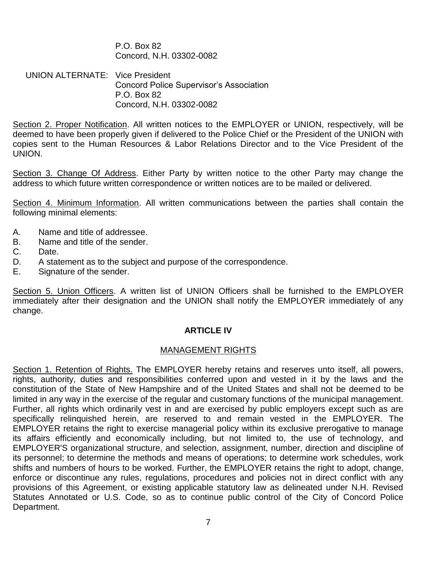P.O. Box 82 Concord, N.H. 03302-0082

UNION ALTERNATE: Vice President Concord Police Supervisor's Association P.O. Box 82 Concord, N.H. 03302-0082

Section 2. Proper Notification. All written notices to the EMPLOYER or UNION, respectively, will be deemed to have been properly given if delivered to the Police Chief or the President of the UNION with copies sent to the Human Resources & Labor Relations Director and to the Vice President of the UNION.

Section 3. Change Of Address. Either Party by written notice to the other Party may change the address to which future written correspondence or written notices are to be mailed or delivered.

Section 4. Minimum Information. All written communications between the parties shall contain the following minimal elements:

- A. Name and title of addressee.
- B. Name and title of the sender.
- C. Date.
- D. A statement as to the subject and purpose of the correspondence.
- E. Signature of the sender.

Section 5. Union Officers. A written list of UNION Officers shall be furnished to the EMPLOYER immediately after their designation and the UNION shall notify the EMPLOYER immediately of any change.

## **ARTICLE IV**

## MANAGEMENT RIGHTS

Section 1. Retention of Rights. The EMPLOYER hereby retains and reserves unto itself, all powers, rights, authority, duties and responsibilities conferred upon and vested in it by the laws and the constitution of the State of New Hampshire and of the United States and shall not be deemed to be limited in any way in the exercise of the regular and customary functions of the municipal management. Further, all rights which ordinarily vest in and are exercised by public employers except such as are specifically relinquished herein, are reserved to and remain vested in the EMPLOYER. The EMPLOYER retains the right to exercise managerial policy within its exclusive prerogative to manage its affairs efficiently and economically including, but not limited to, the use of technology, and EMPLOYER'S organizational structure, and selection, assignment, number, direction and discipline of its personnel; to determine the methods and means of operations; to determine work schedules, work shifts and numbers of hours to be worked. Further, the EMPLOYER retains the right to adopt, change, enforce or discontinue any rules, regulations, procedures and policies not in direct conflict with any provisions of this Agreement, or existing applicable statutory law as delineated under N.H. Revised Statutes Annotated or U.S. Code, so as to continue public control of the City of Concord Police Department.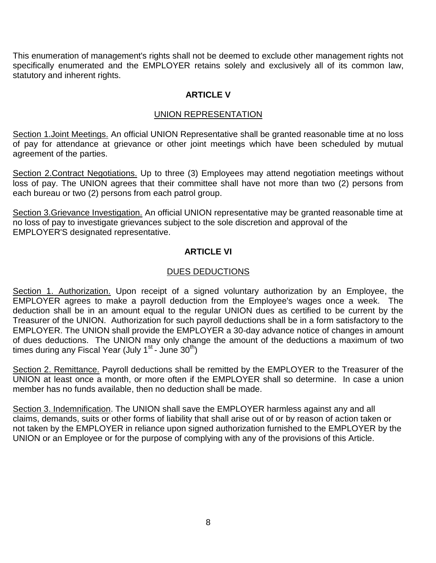This enumeration of management's rights shall not be deemed to exclude other management rights not specifically enumerated and the EMPLOYER retains solely and exclusively all of its common law, statutory and inherent rights.

## **ARTICLE V**

## UNION REPRESENTATION

Section 1. Joint Meetings. An official UNION Representative shall be granted reasonable time at no loss of pay for attendance at grievance or other joint meetings which have been scheduled by mutual agreement of the parties.

Section 2. Contract Negotiations. Up to three (3) Employees may attend negotiation meetings without loss of pay. The UNION agrees that their committee shall have not more than two (2) persons from each bureau or two (2) persons from each patrol group.

Section 3.Grievance Investigation. An official UNION representative may be granted reasonable time at no loss of pay to investigate grievances subject to the sole discretion and approval of the EMPLOYER'S designated representative.

## **ARTICI F VI**

## DUES DEDUCTIONS

Section 1. Authorization. Upon receipt of a signed voluntary authorization by an Employee, the EMPLOYER agrees to make a payroll deduction from the Employee's wages once a week. The deduction shall be in an amount equal to the regular UNION dues as certified to be current by the Treasurer of the UNION. Authorization for such payroll deductions shall be in a form satisfactory to the EMPLOYER. The UNION shall provide the EMPLOYER a 30-day advance notice of changes in amount of dues deductions. The UNION may only change the amount of the deductions a maximum of two times during any Fiscal Year (July 1<sup>st</sup> - June 30<sup>th</sup>)

Section 2. Remittance. Payroll deductions shall be remitted by the EMPLOYER to the Treasurer of the UNION at least once a month, or more often if the EMPLOYER shall so determine. In case a union member has no funds available, then no deduction shall be made.

Section 3. Indemnification. The UNION shall save the EMPLOYER harmless against any and all claims, demands, suits or other forms of liability that shall arise out of or by reason of action taken or not taken by the EMPLOYER in reliance upon signed authorization furnished to the EMPLOYER by the UNION or an Employee or for the purpose of complying with any of the provisions of this Article.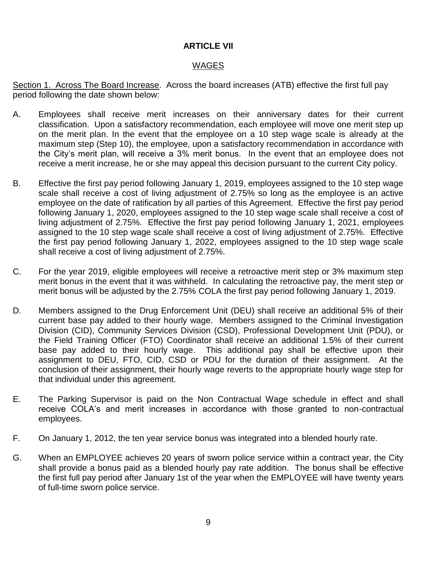## **ARTICLE VII**

## WAGES

Section 1. Across The Board Increase. Across the board increases (ATB) effective the first full pay period following the date shown below:

- A. Employees shall receive merit increases on their anniversary dates for their current classification. Upon a satisfactory recommendation, each employee will move one merit step up on the merit plan. In the event that the employee on a 10 step wage scale is already at the maximum step (Step 10), the employee, upon a satisfactory recommendation in accordance with the City's merit plan, will receive a 3% merit bonus. In the event that an employee does not receive a merit increase, he or she may appeal this decision pursuant to the current City policy.
- B. Effective the first pay period following January 1, 2019, employees assigned to the 10 step wage scale shall receive a cost of living adjustment of 2.75% so long as the employee is an active employee on the date of ratification by all parties of this Agreement. Effective the first pay period following January 1, 2020, employees assigned to the 10 step wage scale shall receive a cost of living adjustment of 2.75%. Effective the first pay period following January 1, 2021, employees assigned to the 10 step wage scale shall receive a cost of living adjustment of 2.75%. Effective the first pay period following January 1, 2022, employees assigned to the 10 step wage scale shall receive a cost of living adjustment of 2.75%.
- C. For the year 2019, eligible employees will receive a retroactive merit step or 3% maximum step merit bonus in the event that it was withheld. In calculating the retroactive pay, the merit step or merit bonus will be adjusted by the 2.75% COLA the first pay period following January 1, 2019.
- D. Members assigned to the Drug Enforcement Unit (DEU) shall receive an additional 5% of their current base pay added to their hourly wage. Members assigned to the Criminal Investigation Division (CID), Community Services Division (CSD), Professional Development Unit (PDU), or the Field Training Officer (FTO) Coordinator shall receive an additional 1.5% of their current base pay added to their hourly wage. This additional pay shall be effective upon their assignment to DEU, FTO, CID, CSD or PDU for the duration of their assignment. At the conclusion of their assignment, their hourly wage reverts to the appropriate hourly wage step for that individual under this agreement.
- E. The Parking Supervisor is paid on the Non Contractual Wage schedule in effect and shall receive COLA's and merit increases in accordance with those granted to non-contractual employees.
- F. On January 1, 2012, the ten year service bonus was integrated into a blended hourly rate.
- G. When an EMPLOYEE achieves 20 years of sworn police service within a contract year, the City shall provide a bonus paid as a blended hourly pay rate addition. The bonus shall be effective the first full pay period after January 1st of the year when the EMPLOYEE will have twenty years of full-time sworn police service.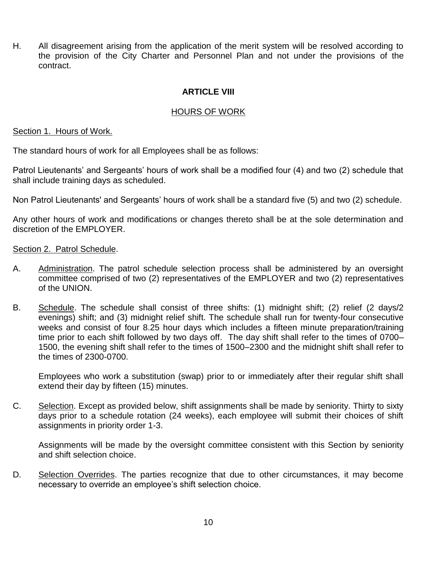H. All disagreement arising from the application of the merit system will be resolved according to the provision of the City Charter and Personnel Plan and not under the provisions of the contract.

## **ARTICLE VIII**

## HOURS OF WORK

#### Section 1. Hours of Work.

The standard hours of work for all Employees shall be as follows:

Patrol Lieutenants' and Sergeants' hours of work shall be a modified four (4) and two (2) schedule that shall include training days as scheduled.

Non Patrol Lieutenants' and Sergeants' hours of work shall be a standard five (5) and two (2) schedule.

Any other hours of work and modifications or changes thereto shall be at the sole determination and discretion of the EMPLOYER.

## Section 2. Patrol Schedule.

- A. Administration. The patrol schedule selection process shall be administered by an oversight committee comprised of two (2) representatives of the EMPLOYER and two (2) representatives of the UNION.
- B. Schedule. The schedule shall consist of three shifts: (1) midnight shift; (2) relief (2 days/2 evenings) shift; and (3) midnight relief shift. The schedule shall run for twenty-four consecutive weeks and consist of four 8.25 hour days which includes a fifteen minute preparation/training time prior to each shift followed by two days off. The day shift shall refer to the times of 0700– 1500, the evening shift shall refer to the times of 1500–2300 and the midnight shift shall refer to the times of 2300-0700.

Employees who work a substitution (swap) prior to or immediately after their regular shift shall extend their day by fifteen (15) minutes.

C. Selection. Except as provided below, shift assignments shall be made by seniority. Thirty to sixty days prior to a schedule rotation (24 weeks), each employee will submit their choices of shift assignments in priority order 1-3.

Assignments will be made by the oversight committee consistent with this Section by seniority and shift selection choice.

D. Selection Overrides. The parties recognize that due to other circumstances, it may become necessary to override an employee's shift selection choice.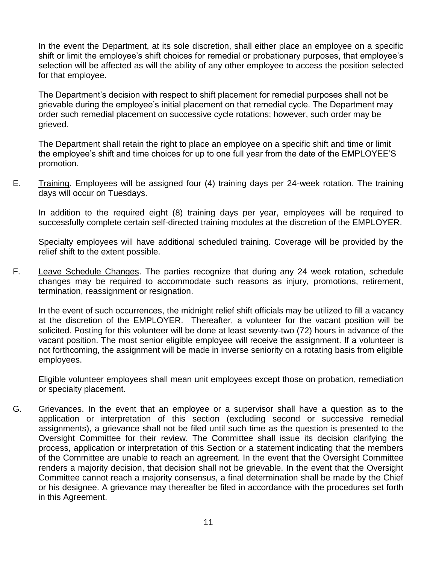In the event the Department, at its sole discretion, shall either place an employee on a specific shift or limit the employee's shift choices for remedial or probationary purposes, that employee's selection will be affected as will the ability of any other employee to access the position selected for that employee.

The Department's decision with respect to shift placement for remedial purposes shall not be grievable during the employee's initial placement on that remedial cycle. The Department may order such remedial placement on successive cycle rotations; however, such order may be grieved.

The Department shall retain the right to place an employee on a specific shift and time or limit the employee's shift and time choices for up to one full year from the date of the EMPLOYEE'S promotion.

E. Training. Employees will be assigned four (4) training days per 24-week rotation. The training days will occur on Tuesdays.

In addition to the required eight (8) training days per year, employees will be required to successfully complete certain self-directed training modules at the discretion of the EMPLOYER.

Specialty employees will have additional scheduled training. Coverage will be provided by the relief shift to the extent possible.

F. Leave Schedule Changes. The parties recognize that during any 24 week rotation, schedule changes may be required to accommodate such reasons as injury, promotions, retirement, termination, reassignment or resignation.

In the event of such occurrences, the midnight relief shift officials may be utilized to fill a vacancy at the discretion of the EMPLOYER. Thereafter, a volunteer for the vacant position will be solicited. Posting for this volunteer will be done at least seventy-two (72) hours in advance of the vacant position. The most senior eligible employee will receive the assignment. If a volunteer is not forthcoming, the assignment will be made in inverse seniority on a rotating basis from eligible employees.

Eligible volunteer employees shall mean unit employees except those on probation, remediation or specialty placement.

G. Grievances. In the event that an employee or a supervisor shall have a question as to the application or interpretation of this section (excluding second or successive remedial assignments), a grievance shall not be filed until such time as the question is presented to the Oversight Committee for their review. The Committee shall issue its decision clarifying the process, application or interpretation of this Section or a statement indicating that the members of the Committee are unable to reach an agreement. In the event that the Oversight Committee renders a majority decision, that decision shall not be grievable. In the event that the Oversight Committee cannot reach a majority consensus, a final determination shall be made by the Chief or his designee. A grievance may thereafter be filed in accordance with the procedures set forth in this Agreement.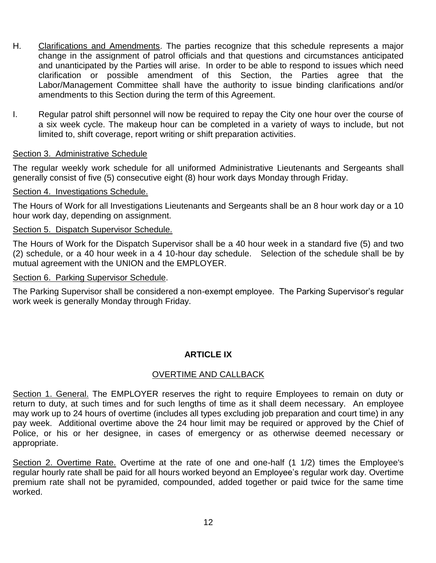- H. Clarifications and Amendments. The parties recognize that this schedule represents a major change in the assignment of patrol officials and that questions and circumstances anticipated and unanticipated by the Parties will arise. In order to be able to respond to issues which need clarification or possible amendment of this Section, the Parties agree that the Labor/Management Committee shall have the authority to issue binding clarifications and/or amendments to this Section during the term of this Agreement.
- I. Regular patrol shift personnel will now be required to repay the City one hour over the course of a six week cycle. The makeup hour can be completed in a variety of ways to include, but not limited to, shift coverage, report writing or shift preparation activities.

## Section 3. Administrative Schedule

The regular weekly work schedule for all uniformed Administrative Lieutenants and Sergeants shall generally consist of five (5) consecutive eight (8) hour work days Monday through Friday.

## Section 4. Investigations Schedule.

The Hours of Work for all Investigations Lieutenants and Sergeants shall be an 8 hour work day or a 10 hour work day, depending on assignment.

## Section 5. Dispatch Supervisor Schedule.

The Hours of Work for the Dispatch Supervisor shall be a 40 hour week in a standard five (5) and two (2) schedule, or a 40 hour week in a 4 10-hour day schedule. Selection of the schedule shall be by mutual agreement with the UNION and the EMPLOYER.

#### Section 6. Parking Supervisor Schedule.

The Parking Supervisor shall be considered a non-exempt employee. The Parking Supervisor's regular work week is generally Monday through Friday.

## **ARTICLE IX**

## OVERTIME AND CALLBACK

Section 1. General. The EMPLOYER reserves the right to require Employees to remain on duty or return to duty, at such times and for such lengths of time as it shall deem necessary. An employee may work up to 24 hours of overtime (includes all types excluding job preparation and court time) in any pay week. Additional overtime above the 24 hour limit may be required or approved by the Chief of Police, or his or her designee, in cases of emergency or as otherwise deemed necessary or appropriate.

Section 2. Overtime Rate. Overtime at the rate of one and one-half (1 1/2) times the Employee's regular hourly rate shall be paid for all hours worked beyond an Employee's regular work day. Overtime premium rate shall not be pyramided, compounded, added together or paid twice for the same time worked.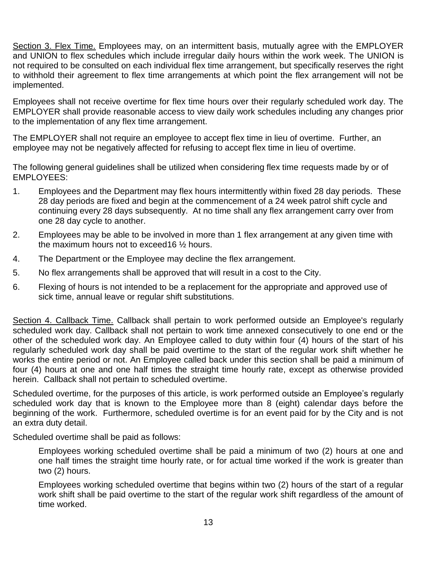Section 3. Flex Time. Employees may, on an intermittent basis, mutually agree with the EMPLOYER and UNION to flex schedules which include irregular daily hours within the work week. The UNION is not required to be consulted on each individual flex time arrangement, but specifically reserves the right to withhold their agreement to flex time arrangements at which point the flex arrangement will not be implemented.

Employees shall not receive overtime for flex time hours over their regularly scheduled work day. The EMPLOYER shall provide reasonable access to view daily work schedules including any changes prior to the implementation of any flex time arrangement.

The EMPLOYER shall not require an employee to accept flex time in lieu of overtime. Further, an employee may not be negatively affected for refusing to accept flex time in lieu of overtime.

The following general guidelines shall be utilized when considering flex time requests made by or of EMPLOYEES:

- 1. Employees and the Department may flex hours intermittently within fixed 28 day periods. These 28 day periods are fixed and begin at the commencement of a 24 week patrol shift cycle and continuing every 28 days subsequently. At no time shall any flex arrangement carry over from one 28 day cycle to another.
- 2. Employees may be able to be involved in more than 1 flex arrangement at any given time with the maximum hours not to exceed16 ½ hours.
- 4. The Department or the Employee may decline the flex arrangement.
- 5. No flex arrangements shall be approved that will result in a cost to the City.
- 6. Flexing of hours is not intended to be a replacement for the appropriate and approved use of sick time, annual leave or regular shift substitutions.

Section 4. Callback Time. Callback shall pertain to work performed outside an Employee's regularly scheduled work day. Callback shall not pertain to work time annexed consecutively to one end or the other of the scheduled work day. An Employee called to duty within four (4) hours of the start of his regularly scheduled work day shall be paid overtime to the start of the regular work shift whether he works the entire period or not. An Employee called back under this section shall be paid a minimum of four (4) hours at one and one half times the straight time hourly rate, except as otherwise provided herein. Callback shall not pertain to scheduled overtime.

Scheduled overtime, for the purposes of this article, is work performed outside an Employee's regularly scheduled work day that is known to the Employee more than 8 (eight) calendar days before the beginning of the work. Furthermore, scheduled overtime is for an event paid for by the City and is not an extra duty detail.

Scheduled overtime shall be paid as follows:

Employees working scheduled overtime shall be paid a minimum of two (2) hours at one and one half times the straight time hourly rate, or for actual time worked if the work is greater than two (2) hours.

Employees working scheduled overtime that begins within two (2) hours of the start of a regular work shift shall be paid overtime to the start of the regular work shift regardless of the amount of time worked.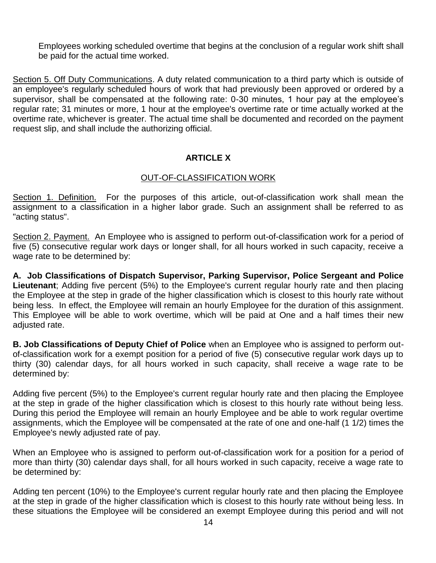Employees working scheduled overtime that begins at the conclusion of a regular work shift shall be paid for the actual time worked.

Section 5. Off Duty Communications. A duty related communication to a third party which is outside of an employee's regularly scheduled hours of work that had previously been approved or ordered by a supervisor, shall be compensated at the following rate: 0-30 minutes, 1 hour pay at the employee's regular rate; 31 minutes or more, 1 hour at the employee's overtime rate or time actually worked at the overtime rate, whichever is greater. The actual time shall be documented and recorded on the payment request slip, and shall include the authorizing official.

## **ARTICLE X**

## OUT-OF-CLASSIFICATION WORK

Section 1. Definition. For the purposes of this article, out-of-classification work shall mean the assignment to a classification in a higher labor grade. Such an assignment shall be referred to as "acting status".

Section 2. Payment. An Employee who is assigned to perform out-of-classification work for a period of five (5) consecutive regular work days or longer shall, for all hours worked in such capacity, receive a wage rate to be determined by:

**A. Job Classifications of Dispatch Supervisor, Parking Supervisor, Police Sergeant and Police Lieutenant**; Adding five percent (5%) to the Employee's current regular hourly rate and then placing the Employee at the step in grade of the higher classification which is closest to this hourly rate without being less. In effect, the Employee will remain an hourly Employee for the duration of this assignment. This Employee will be able to work overtime, which will be paid at One and a half times their new adjusted rate.

**B. Job Classifications of Deputy Chief of Police** when an Employee who is assigned to perform outof-classification work for a exempt position for a period of five (5) consecutive regular work days up to thirty (30) calendar days, for all hours worked in such capacity, shall receive a wage rate to be determined by:

Adding five percent (5%) to the Employee's current regular hourly rate and then placing the Employee at the step in grade of the higher classification which is closest to this hourly rate without being less. During this period the Employee will remain an hourly Employee and be able to work regular overtime assignments, which the Employee will be compensated at the rate of one and one-half (1 1/2) times the Employee's newly adjusted rate of pay.

When an Employee who is assigned to perform out-of-classification work for a position for a period of more than thirty (30) calendar days shall, for all hours worked in such capacity, receive a wage rate to be determined by:

Adding ten percent (10%) to the Employee's current regular hourly rate and then placing the Employee at the step in grade of the higher classification which is closest to this hourly rate without being less. In these situations the Employee will be considered an exempt Employee during this period and will not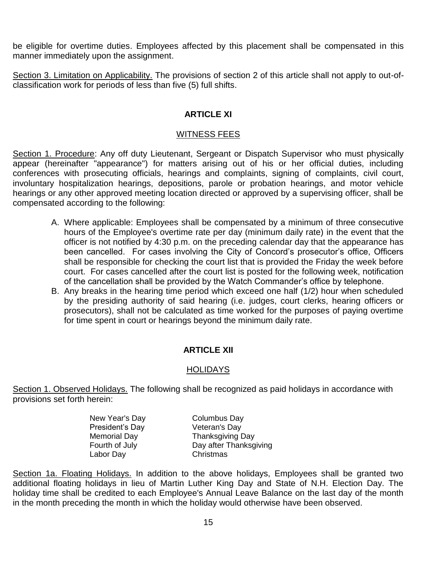be eligible for overtime duties. Employees affected by this placement shall be compensated in this manner immediately upon the assignment.

Section 3. Limitation on Applicability. The provisions of section 2 of this article shall not apply to out-ofclassification work for periods of less than five (5) full shifts.

## **ARTICLE XI**

## WITNESS FEES

Section 1. Procedure: Any off duty Lieutenant, Sergeant or Dispatch Supervisor who must physically appear (hereinafter "appearance") for matters arising out of his or her official duties, including conferences with prosecuting officials, hearings and complaints, signing of complaints, civil court, involuntary hospitalization hearings, depositions, parole or probation hearings, and motor vehicle hearings or any other approved meeting location directed or approved by a supervising officer, shall be compensated according to the following:

- A. Where applicable: Employees shall be compensated by a minimum of three consecutive hours of the Employee's overtime rate per day (minimum daily rate) in the event that the officer is not notified by 4:30 p.m. on the preceding calendar day that the appearance has been cancelled. For cases involving the City of Concord's prosecutor's office, Officers shall be responsible for checking the court list that is provided the Friday the week before court. For cases cancelled after the court list is posted for the following week, notification of the cancellation shall be provided by the Watch Commander's office by telephone.
- B. Any breaks in the hearing time period which exceed one half (1/2) hour when scheduled by the presiding authority of said hearing (i.e. judges, court clerks, hearing officers or prosecutors), shall not be calculated as time worked for the purposes of paying overtime for time spent in court or hearings beyond the minimum daily rate.

## **ARTICLE XII**

## HOLIDAYS

Section 1. Observed Holidays. The following shall be recognized as paid holidays in accordance with provisions set forth herein:

> New Year's Day Columbus Day President's Day **Veteran's Day** Labor Day Christmas

Memorial Day **Thanksgiving Day** Fourth of July **Day after Thanksgiving** 

Section 1a. Floating Holidays. In addition to the above holidays, Employees shall be granted two additional floating holidays in lieu of Martin Luther King Day and State of N.H. Election Day. The holiday time shall be credited to each Employee's Annual Leave Balance on the last day of the month in the month preceding the month in which the holiday would otherwise have been observed.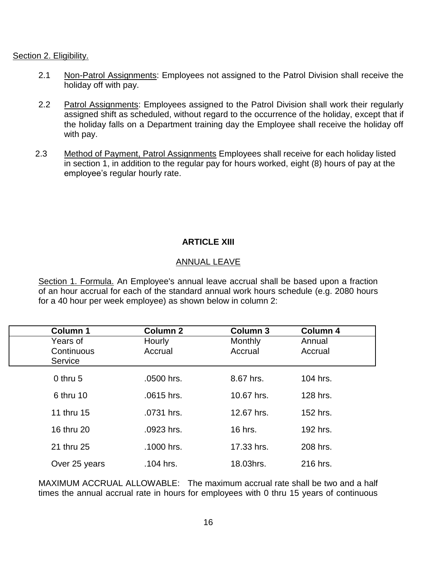Section 2. Eligibility.

- 2.1 Non-Patrol Assignments: Employees not assigned to the Patrol Division shall receive the holiday off with pay.
- 2.2 Patrol Assignments: Employees assigned to the Patrol Division shall work their regularly assigned shift as scheduled, without regard to the occurrence of the holiday, except that if the holiday falls on a Department training day the Employee shall receive the holiday off with pay.
- 2.3 Method of Payment, Patrol Assignments Employees shall receive for each holiday listed in section 1, in addition to the regular pay for hours worked, eight (8) hours of pay at the employee's regular hourly rate.

## **ARTICLE XIII**

## ANNUAL LEAVE

Section 1. Formula. An Employee's annual leave accrual shall be based upon a fraction of an hour accrual for each of the standard annual work hours schedule (e.g. 2080 hours for a 40 hour per week employee) as shown below in column 2:

| Column 1      | <b>Column 2</b> | <b>Column 3</b> | Column 4 |  |
|---------------|-----------------|-----------------|----------|--|
| Years of      | Hourly          | <b>Monthly</b>  | Annual   |  |
| Continuous    | Accrual         | Accrual         | Accrual  |  |
| Service       |                 |                 |          |  |
| $0$ thru 5    | .0500 hrs.      | 8.67 hrs.       | 104 hrs. |  |
| 6 thru 10     | .0615 hrs.      | 10.67 hrs.      | 128 hrs. |  |
| 11 thru 15    | .0731 hrs.      | 12.67 hrs.      | 152 hrs. |  |
| 16 thru 20    | .0923 hrs.      | 16 hrs.         | 192 hrs. |  |
| 21 thru 25    | .1000 hrs.      | 17.33 hrs.      | 208 hrs. |  |
| Over 25 years | .104 hrs.       | 18.03hrs.       | 216 hrs. |  |

MAXIMUM ACCRUAL ALLOWABLE: The maximum accrual rate shall be two and a half times the annual accrual rate in hours for employees with 0 thru 15 years of continuous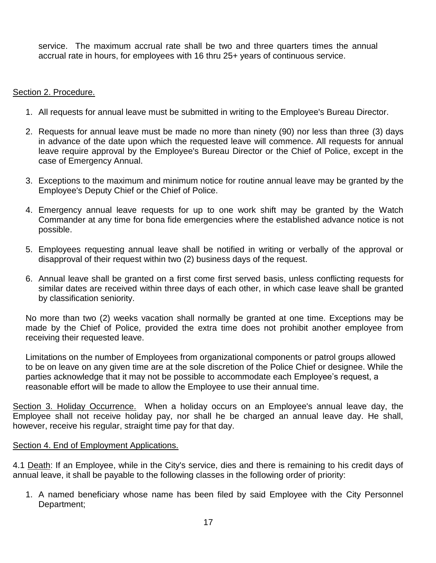service. The maximum accrual rate shall be two and three quarters times the annual accrual rate in hours, for employees with 16 thru 25+ years of continuous service.

## Section 2. Procedure.

- 1. All requests for annual leave must be submitted in writing to the Employee's Bureau Director.
- 2. Requests for annual leave must be made no more than ninety (90) nor less than three (3) days in advance of the date upon which the requested leave will commence. All requests for annual leave require approval by the Employee's Bureau Director or the Chief of Police, except in the case of Emergency Annual.
- 3. Exceptions to the maximum and minimum notice for routine annual leave may be granted by the Employee's Deputy Chief or the Chief of Police.
- 4. Emergency annual leave requests for up to one work shift may be granted by the Watch Commander at any time for bona fide emergencies where the established advance notice is not possible.
- 5. Employees requesting annual leave shall be notified in writing or verbally of the approval or disapproval of their request within two (2) business days of the request.
- 6. Annual leave shall be granted on a first come first served basis, unless conflicting requests for similar dates are received within three days of each other, in which case leave shall be granted by classification seniority.

No more than two (2) weeks vacation shall normally be granted at one time. Exceptions may be made by the Chief of Police, provided the extra time does not prohibit another employee from receiving their requested leave.

Limitations on the number of Employees from organizational components or patrol groups allowed to be on leave on any given time are at the sole discretion of the Police Chief or designee. While the parties acknowledge that it may not be possible to accommodate each Employee's request, a reasonable effort will be made to allow the Employee to use their annual time.

Section 3. Holiday Occurrence. When a holiday occurs on an Employee's annual leave day, the Employee shall not receive holiday pay, nor shall he be charged an annual leave day. He shall, however, receive his regular, straight time pay for that day.

## Section 4. End of Employment Applications.

4.1 Death: If an Employee, while in the City's service, dies and there is remaining to his credit days of annual leave, it shall be payable to the following classes in the following order of priority:

1. A named beneficiary whose name has been filed by said Employee with the City Personnel Department;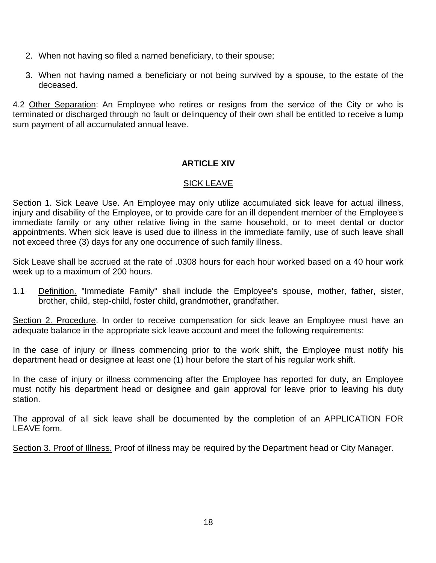- 2. When not having so filed a named beneficiary, to their spouse;
- 3. When not having named a beneficiary or not being survived by a spouse, to the estate of the deceased.

4.2 Other Separation: An Employee who retires or resigns from the service of the City or who is terminated or discharged through no fault or delinquency of their own shall be entitled to receive a lump sum payment of all accumulated annual leave.

## **ARTICLE XIV**

## SICK LEAVE

Section 1. Sick Leave Use. An Employee may only utilize accumulated sick leave for actual illness, injury and disability of the Employee, or to provide care for an ill dependent member of the Employee's immediate family or any other relative living in the same household, or to meet dental or doctor appointments. When sick leave is used due to illness in the immediate family, use of such leave shall not exceed three (3) days for any one occurrence of such family illness.

Sick Leave shall be accrued at the rate of .0308 hours for each hour worked based on a 40 hour work week up to a maximum of 200 hours.

1.1 Definition. "Immediate Family" shall include the Employee's spouse, mother, father, sister, brother, child, step-child, foster child, grandmother, grandfather.

Section 2. Procedure. In order to receive compensation for sick leave an Employee must have an adequate balance in the appropriate sick leave account and meet the following requirements:

In the case of injury or illness commencing prior to the work shift, the Employee must notify his department head or designee at least one (1) hour before the start of his regular work shift.

In the case of injury or illness commencing after the Employee has reported for duty, an Employee must notify his department head or designee and gain approval for leave prior to leaving his duty station.

The approval of all sick leave shall be documented by the completion of an APPLICATION FOR LEAVE form.

Section 3. Proof of Illness. Proof of illness may be required by the Department head or City Manager.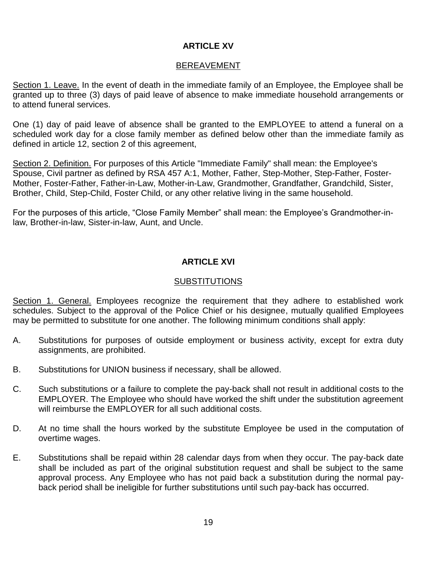## **ARTICLE XV**

#### BEREAVEMENT

Section 1. Leave. In the event of death in the immediate family of an Employee, the Employee shall be granted up to three (3) days of paid leave of absence to make immediate household arrangements or to attend funeral services.

One (1) day of paid leave of absence shall be granted to the EMPLOYEE to attend a funeral on a scheduled work day for a close family member as defined below other than the immediate family as defined in article 12, section 2 of this agreement,

Section 2. Definition. For purposes of this Article "Immediate Family" shall mean: the Employee's Spouse, Civil partner as defined by RSA 457 A:1, Mother, Father, Step-Mother, Step-Father, Foster-Mother, Foster-Father, Father-in-Law, Mother-in-Law, Grandmother, Grandfather, Grandchild, Sister, Brother, Child, Step-Child, Foster Child, or any other relative living in the same household.

For the purposes of this article, "Close Family Member" shall mean: the Employee's Grandmother-inlaw, Brother-in-law, Sister-in-law, Aunt, and Uncle.

## **ARTICLE XVI**

#### SUBSTITUTIONS

Section 1. General. Employees recognize the requirement that they adhere to established work schedules. Subject to the approval of the Police Chief or his designee, mutually qualified Employees may be permitted to substitute for one another. The following minimum conditions shall apply:

- A. Substitutions for purposes of outside employment or business activity, except for extra duty assignments, are prohibited.
- B. Substitutions for UNION business if necessary, shall be allowed.
- C. Such substitutions or a failure to complete the pay-back shall not result in additional costs to the EMPLOYER. The Employee who should have worked the shift under the substitution agreement will reimburse the EMPLOYER for all such additional costs.
- D. At no time shall the hours worked by the substitute Employee be used in the computation of overtime wages.
- E. Substitutions shall be repaid within 28 calendar days from when they occur. The pay-back date shall be included as part of the original substitution request and shall be subject to the same approval process. Any Employee who has not paid back a substitution during the normal payback period shall be ineligible for further substitutions until such pay-back has occurred.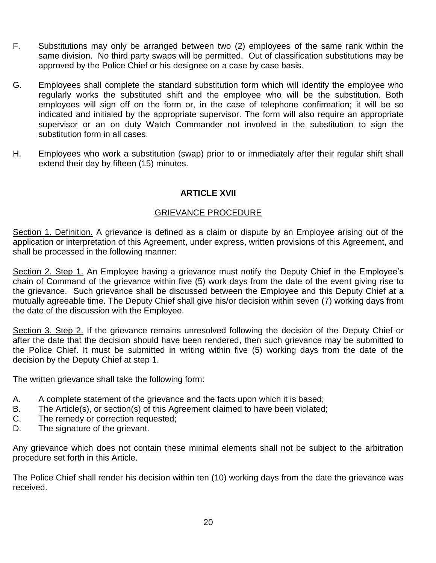- F. Substitutions may only be arranged between two (2) employees of the same rank within the same division. No third party swaps will be permitted. Out of classification substitutions may be approved by the Police Chief or his designee on a case by case basis.
- G. Employees shall complete the standard substitution form which will identify the employee who regularly works the substituted shift and the employee who will be the substitution. Both employees will sign off on the form or, in the case of telephone confirmation; it will be so indicated and initialed by the appropriate supervisor. The form will also require an appropriate supervisor or an on duty Watch Commander not involved in the substitution to sign the substitution form in all cases.
- H. Employees who work a substitution (swap) prior to or immediately after their regular shift shall extend their day by fifteen (15) minutes.

## **ARTICLE XVII**

## GRIEVANCE PROCEDURE

Section 1. Definition. A grievance is defined as a claim or dispute by an Employee arising out of the application or interpretation of this Agreement, under express, written provisions of this Agreement, and shall be processed in the following manner:

Section 2. Step 1. An Employee having a grievance must notify the Deputy Chief in the Employee's chain of Command of the grievance within five (5) work days from the date of the event giving rise to the grievance. Such grievance shall be discussed between the Employee and this Deputy Chief at a mutually agreeable time. The Deputy Chief shall give his/or decision within seven (7) working days from the date of the discussion with the Employee.

Section 3. Step 2. If the grievance remains unresolved following the decision of the Deputy Chief or after the date that the decision should have been rendered, then such grievance may be submitted to the Police Chief. It must be submitted in writing within five (5) working days from the date of the decision by the Deputy Chief at step 1.

The written grievance shall take the following form:

- A. A complete statement of the grievance and the facts upon which it is based;
- B. The Article(s), or section(s) of this Agreement claimed to have been violated;
- C. The remedy or correction requested;
- D. The signature of the grievant.

Any grievance which does not contain these minimal elements shall not be subject to the arbitration procedure set forth in this Article.

The Police Chief shall render his decision within ten (10) working days from the date the grievance was received.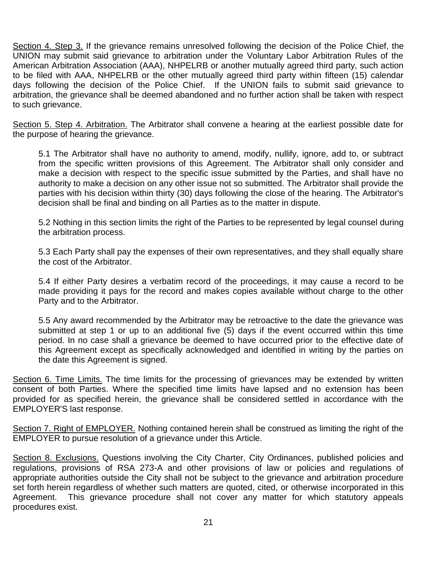Section 4. Step 3. If the grievance remains unresolved following the decision of the Police Chief, the UNION may submit said grievance to arbitration under the Voluntary Labor Arbitration Rules of the American Arbitration Association (AAA), NHPELRB or another mutually agreed third party, such action to be filed with AAA, NHPELRB or the other mutually agreed third party within fifteen (15) calendar days following the decision of the Police Chief. If the UNION fails to submit said grievance to arbitration, the grievance shall be deemed abandoned and no further action shall be taken with respect to such grievance.

Section 5. Step 4. Arbitration. The Arbitrator shall convene a hearing at the earliest possible date for the purpose of hearing the grievance.

5.1 The Arbitrator shall have no authority to amend, modify, nullify, ignore, add to, or subtract from the specific written provisions of this Agreement. The Arbitrator shall only consider and make a decision with respect to the specific issue submitted by the Parties, and shall have no authority to make a decision on any other issue not so submitted. The Arbitrator shall provide the parties with his decision within thirty (30) days following the close of the hearing. The Arbitrator's decision shall be final and binding on all Parties as to the matter in dispute.

5.2 Nothing in this section limits the right of the Parties to be represented by legal counsel during the arbitration process.

5.3 Each Party shall pay the expenses of their own representatives, and they shall equally share the cost of the Arbitrator.

5.4 If either Party desires a verbatim record of the proceedings, it may cause a record to be made providing it pays for the record and makes copies available without charge to the other Party and to the Arbitrator.

5.5 Any award recommended by the Arbitrator may be retroactive to the date the grievance was submitted at step 1 or up to an additional five (5) days if the event occurred within this time period. In no case shall a grievance be deemed to have occurred prior to the effective date of this Agreement except as specifically acknowledged and identified in writing by the parties on the date this Agreement is signed.

Section 6. Time Limits. The time limits for the processing of grievances may be extended by written consent of both Parties. Where the specified time limits have lapsed and no extension has been provided for as specified herein, the grievance shall be considered settled in accordance with the EMPLOYER'S last response.

Section 7. Right of EMPLOYER. Nothing contained herein shall be construed as limiting the right of the EMPLOYER to pursue resolution of a grievance under this Article.

Section 8. Exclusions. Questions involving the City Charter, City Ordinances, published policies and regulations, provisions of RSA 273-A and other provisions of law or policies and regulations of appropriate authorities outside the City shall not be subject to the grievance and arbitration procedure set forth herein regardless of whether such matters are quoted, cited, or otherwise incorporated in this Agreement. This grievance procedure shall not cover any matter for which statutory appeals procedures exist.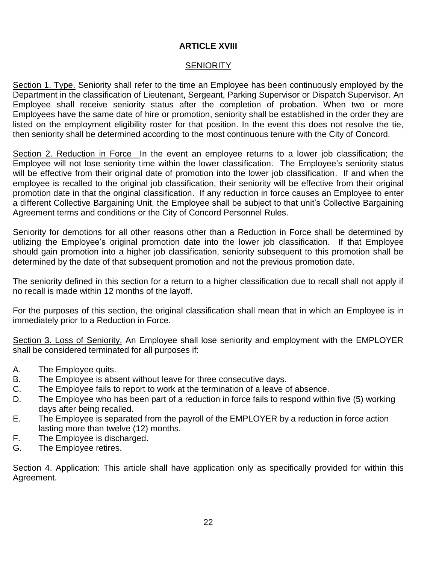## **ARTICLE XVIII**

## **SENIORITY**

Section 1. Type. Seniority shall refer to the time an Employee has been continuously employed by the Department in the classification of Lieutenant, Sergeant, Parking Supervisor or Dispatch Supervisor. An Employee shall receive seniority status after the completion of probation. When two or more Employees have the same date of hire or promotion, seniority shall be established in the order they are listed on the employment eligibility roster for that position. In the event this does not resolve the tie, then seniority shall be determined according to the most continuous tenure with the City of Concord.

Section 2. Reduction in Force In the event an employee returns to a lower job classification; the Employee will not lose seniority time within the lower classification. The Employee's seniority status will be effective from their original date of promotion into the lower job classification. If and when the employee is recalled to the original job classification, their seniority will be effective from their original promotion date in that the original classification. If any reduction in force causes an Employee to enter a different Collective Bargaining Unit, the Employee shall be subject to that unit's Collective Bargaining Agreement terms and conditions or the City of Concord Personnel Rules.

Seniority for demotions for all other reasons other than a Reduction in Force shall be determined by utilizing the Employee's original promotion date into the lower job classification. If that Employee should gain promotion into a higher job classification, seniority subsequent to this promotion shall be determined by the date of that subsequent promotion and not the previous promotion date.

The seniority defined in this section for a return to a higher classification due to recall shall not apply if no recall is made within 12 months of the layoff.

For the purposes of this section, the original classification shall mean that in which an Employee is in immediately prior to a Reduction in Force.

Section 3. Loss of Seniority. An Employee shall lose seniority and employment with the EMPLOYER shall be considered terminated for all purposes if:

- A. The Employee quits.
- B. The Employee is absent without leave for three consecutive days.
- C. The Employee fails to report to work at the termination of a leave of absence.
- D. The Employee who has been part of a reduction in force fails to respond within five (5) working days after being recalled.
- E. The Employee is separated from the payroll of the EMPLOYER by a reduction in force action lasting more than twelve (12) months.
- F. The Employee is discharged.
- G. The Employee retires.

Section 4. Application: This article shall have application only as specifically provided for within this Agreement.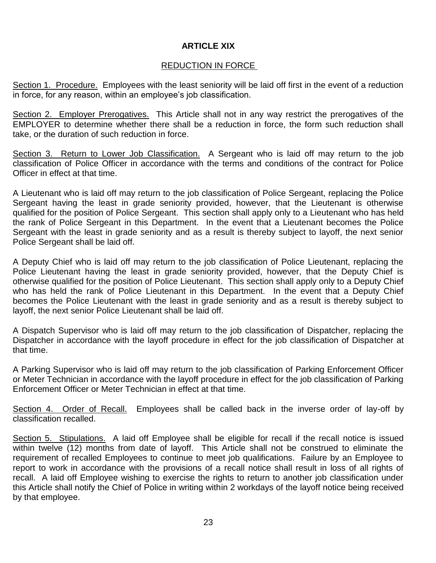## **ARTICLE XIX**

## REDUCTION IN FORCE

Section 1. Procedure. Employees with the least seniority will be laid off first in the event of a reduction in force, for any reason, within an employee's job classification.

Section 2. Employer Prerogatives. This Article shall not in any way restrict the prerogatives of the EMPLOYER to determine whether there shall be a reduction in force, the form such reduction shall take, or the duration of such reduction in force.

Section 3. Return to Lower Job Classification. A Sergeant who is laid off may return to the job classification of Police Officer in accordance with the terms and conditions of the contract for Police Officer in effect at that time.

A Lieutenant who is laid off may return to the job classification of Police Sergeant, replacing the Police Sergeant having the least in grade seniority provided, however, that the Lieutenant is otherwise qualified for the position of Police Sergeant. This section shall apply only to a Lieutenant who has held the rank of Police Sergeant in this Department. In the event that a Lieutenant becomes the Police Sergeant with the least in grade seniority and as a result is thereby subject to layoff, the next senior Police Sergeant shall be laid off.

A Deputy Chief who is laid off may return to the job classification of Police Lieutenant, replacing the Police Lieutenant having the least in grade seniority provided, however, that the Deputy Chief is otherwise qualified for the position of Police Lieutenant. This section shall apply only to a Deputy Chief who has held the rank of Police Lieutenant in this Department. In the event that a Deputy Chief becomes the Police Lieutenant with the least in grade seniority and as a result is thereby subject to layoff, the next senior Police Lieutenant shall be laid off.

A Dispatch Supervisor who is laid off may return to the job classification of Dispatcher, replacing the Dispatcher in accordance with the layoff procedure in effect for the job classification of Dispatcher at that time.

A Parking Supervisor who is laid off may return to the job classification of Parking Enforcement Officer or Meter Technician in accordance with the layoff procedure in effect for the job classification of Parking Enforcement Officer or Meter Technician in effect at that time.

Section 4. Order of Recall. Employees shall be called back in the inverse order of lay-off by classification recalled.

Section 5. Stipulations. A laid off Employee shall be eligible for recall if the recall notice is issued within twelve (12) months from date of layoff. This Article shall not be construed to eliminate the requirement of recalled Employees to continue to meet job qualifications. Failure by an Employee to report to work in accordance with the provisions of a recall notice shall result in loss of all rights of recall. A laid off Employee wishing to exercise the rights to return to another job classification under this Article shall notify the Chief of Police in writing within 2 workdays of the layoff notice being received by that employee.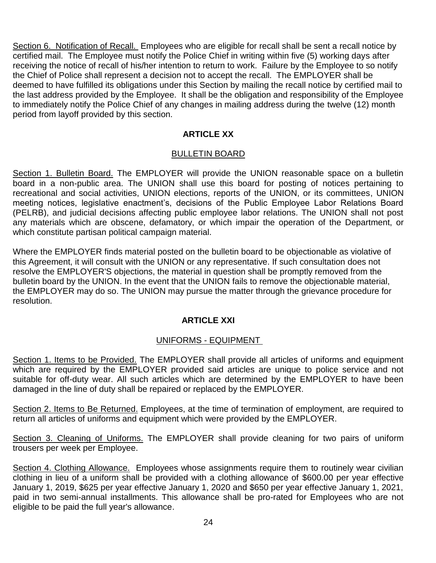Section 6. Notification of Recall. Employees who are eligible for recall shall be sent a recall notice by certified mail. The Employee must notify the Police Chief in writing within five (5) working days after receiving the notice of recall of his/her intention to return to work. Failure by the Employee to so notify the Chief of Police shall represent a decision not to accept the recall. The EMPLOYER shall be deemed to have fulfilled its obligations under this Section by mailing the recall notice by certified mail to the last address provided by the Employee. It shall be the obligation and responsibility of the Employee to immediately notify the Police Chief of any changes in mailing address during the twelve (12) month period from layoff provided by this section.

## **ARTICLE XX**

#### BULLETIN BOARD

Section 1. Bulletin Board. The EMPLOYER will provide the UNION reasonable space on a bulletin board in a non-public area. The UNION shall use this board for posting of notices pertaining to recreational and social activities, UNION elections, reports of the UNION, or its committees, UNION meeting notices, legislative enactment's, decisions of the Public Employee Labor Relations Board (PELRB), and judicial decisions affecting public employee labor relations. The UNION shall not post any materials which are obscene, defamatory, or which impair the operation of the Department, or which constitute partisan political campaign material.

Where the EMPLOYER finds material posted on the bulletin board to be objectionable as violative of this Agreement, it will consult with the UNION or any representative. If such consultation does not resolve the EMPLOYER'S objections, the material in question shall be promptly removed from the bulletin board by the UNION. In the event that the UNION fails to remove the objectionable material, the EMPLOYER may do so. The UNION may pursue the matter through the grievance procedure for resolution.

## **ARTICLE XXI**

## UNIFORMS - EQUIPMENT

Section 1. Items to be Provided. The EMPLOYER shall provide all articles of uniforms and equipment which are required by the EMPLOYER provided said articles are unique to police service and not suitable for off-duty wear. All such articles which are determined by the EMPLOYER to have been damaged in the line of duty shall be repaired or replaced by the EMPLOYER.

Section 2. Items to Be Returned. Employees, at the time of termination of employment, are required to return all articles of uniforms and equipment which were provided by the EMPLOYER.

Section 3. Cleaning of Uniforms. The EMPLOYER shall provide cleaning for two pairs of uniform trousers per week per Employee.

Section 4. Clothing Allowance. Employees whose assignments require them to routinely wear civilian clothing in lieu of a uniform shall be provided with a clothing allowance of \$600.00 per year effective January 1, 2019, \$625 per year effective January 1, 2020 and \$650 per year effective January 1, 2021, paid in two semi-annual installments. This allowance shall be pro-rated for Employees who are not eligible to be paid the full year's allowance.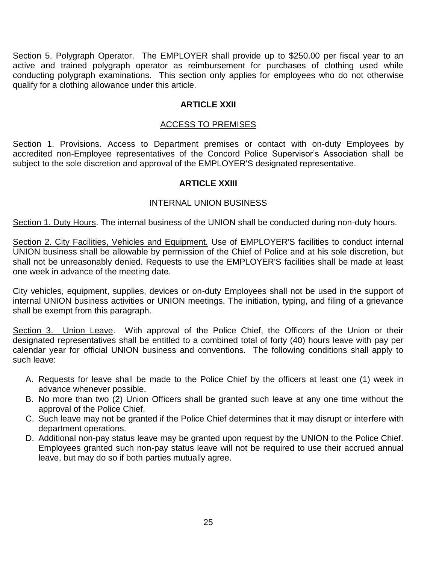Section 5. Polygraph Operator. The EMPLOYER shall provide up to \$250.00 per fiscal year to an active and trained polygraph operator as reimbursement for purchases of clothing used while conducting polygraph examinations. This section only applies for employees who do not otherwise qualify for a clothing allowance under this article.

## **ARTICLE XXII**

## ACCESS TO PREMISES

Section 1. Provisions. Access to Department premises or contact with on-duty Employees by accredited non-Employee representatives of the Concord Police Supervisor's Association shall be subject to the sole discretion and approval of the EMPLOYER'S designated representative.

## **ARTICLE XXIII**

## INTERNAL UNION BUSINESS

Section 1. Duty Hours. The internal business of the UNION shall be conducted during non-duty hours.

Section 2. City Facilities, Vehicles and Equipment. Use of EMPLOYER'S facilities to conduct internal UNION business shall be allowable by permission of the Chief of Police and at his sole discretion, but shall not be unreasonably denied. Requests to use the EMPLOYER'S facilities shall be made at least one week in advance of the meeting date.

City vehicles, equipment, supplies, devices or on-duty Employees shall not be used in the support of internal UNION business activities or UNION meetings. The initiation, typing, and filing of a grievance shall be exempt from this paragraph.

Section 3. Union Leave. With approval of the Police Chief, the Officers of the Union or their designated representatives shall be entitled to a combined total of forty (40) hours leave with pay per calendar year for official UNION business and conventions. The following conditions shall apply to such leave:

- A. Requests for leave shall be made to the Police Chief by the officers at least one (1) week in advance whenever possible.
- B. No more than two (2) Union Officers shall be granted such leave at any one time without the approval of the Police Chief.
- C. Such leave may not be granted if the Police Chief determines that it may disrupt or interfere with department operations.
- D. Additional non-pay status leave may be granted upon request by the UNION to the Police Chief. Employees granted such non-pay status leave will not be required to use their accrued annual leave, but may do so if both parties mutually agree.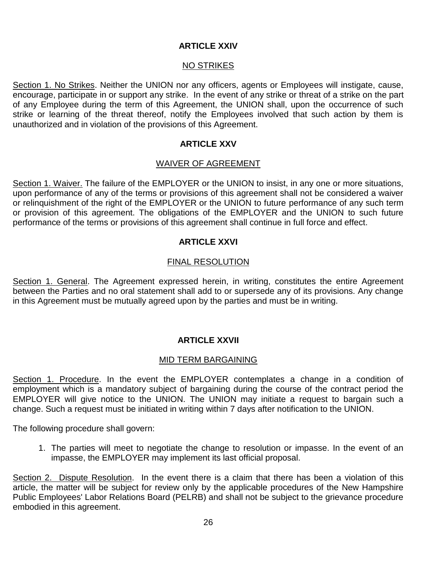## **ARTICLE XXIV**

## **NO STRIKES**

Section 1. No Strikes. Neither the UNION nor any officers, agents or Employees will instigate, cause, encourage, participate in or support any strike. In the event of any strike or threat of a strike on the part of any Employee during the term of this Agreement, the UNION shall, upon the occurrence of such strike or learning of the threat thereof, notify the Employees involved that such action by them is unauthorized and in violation of the provisions of this Agreement.

## **ARTICLE XXV**

## WAIVER OF AGREEMENT

Section 1. Waiver. The failure of the EMPLOYER or the UNION to insist, in any one or more situations, upon performance of any of the terms or provisions of this agreement shall not be considered a waiver or relinquishment of the right of the EMPLOYER or the UNION to future performance of any such term or provision of this agreement. The obligations of the EMPLOYER and the UNION to such future performance of the terms or provisions of this agreement shall continue in full force and effect.

## **ARTICLE XXVI**

## FINAL RESOLUTION

Section 1. General. The Agreement expressed herein, in writing, constitutes the entire Agreement between the Parties and no oral statement shall add to or supersede any of its provisions. Any change in this Agreement must be mutually agreed upon by the parties and must be in writing.

## **ARTICLE XXVII**

## MID TERM BARGAINING

Section 1. Procedure. In the event the EMPLOYER contemplates a change in a condition of employment which is a mandatory subject of bargaining during the course of the contract period the EMPLOYER will give notice to the UNION. The UNION may initiate a request to bargain such a change. Such a request must be initiated in writing within 7 days after notification to the UNION.

The following procedure shall govern:

1. The parties will meet to negotiate the change to resolution or impasse. In the event of an impasse, the EMPLOYER may implement its last official proposal.

Section 2. Dispute Resolution. In the event there is a claim that there has been a violation of this article, the matter will be subject for review only by the applicable procedures of the New Hampshire Public Employees' Labor Relations Board (PELRB) and shall not be subject to the grievance procedure embodied in this agreement.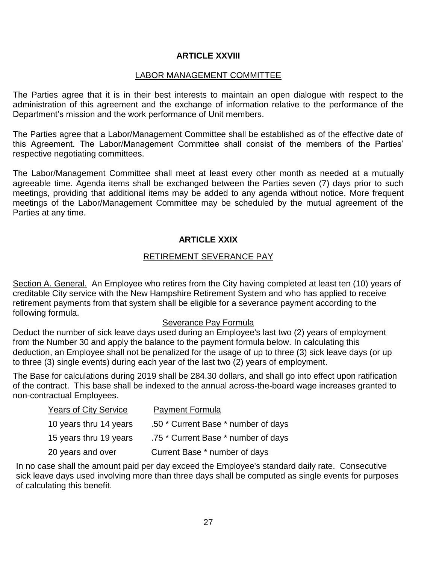## **ARTICLE XXVIII**

#### LABOR MANAGEMENT COMMITTEE

The Parties agree that it is in their best interests to maintain an open dialogue with respect to the administration of this agreement and the exchange of information relative to the performance of the Department's mission and the work performance of Unit members.

The Parties agree that a Labor/Management Committee shall be established as of the effective date of this Agreement. The Labor/Management Committee shall consist of the members of the Parties' respective negotiating committees.

The Labor/Management Committee shall meet at least every other month as needed at a mutually agreeable time. Agenda items shall be exchanged between the Parties seven (7) days prior to such meetings, providing that additional items may be added to any agenda without notice. More frequent meetings of the Labor/Management Committee may be scheduled by the mutual agreement of the Parties at any time.

## **ARTICLE XXIX**

#### RETIREMENT SEVERANCE PAY

Section A. General. An Employee who retires from the City having completed at least ten (10) years of creditable City service with the New Hampshire Retirement System and who has applied to receive retirement payments from that system shall be eligible for a severance payment according to the following formula.

#### Severance Pay Formula

Deduct the number of sick leave days used during an Employee's last two (2) years of employment from the Number 30 and apply the balance to the payment formula below. In calculating this deduction, an Employee shall not be penalized for the usage of up to three (3) sick leave days (or up to three (3) single events) during each year of the last two (2) years of employment.

The Base for calculations during 2019 shall be 284.30 dollars, and shall go into effect upon ratification of the contract. This base shall be indexed to the annual across-the-board wage increases granted to non-contractual Employees.

| <b>Years of City Service</b> | <b>Payment Formula</b>              |
|------------------------------|-------------------------------------|
| 10 years thru 14 years       | .50 * Current Base * number of days |
| 15 years thru 19 years       | .75 * Current Base * number of days |
| 20 years and over            | Current Base * number of days       |

In no case shall the amount paid per day exceed the Employee's standard daily rate. Consecutive sick leave days used involving more than three days shall be computed as single events for purposes of calculating this benefit.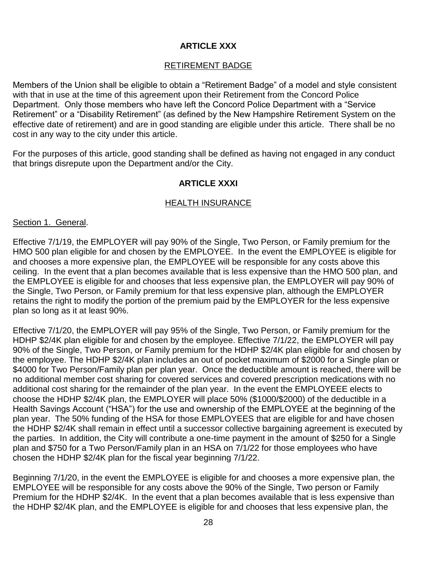## **ARTICLE XXX**

## RETIREMENT BADGE

Members of the Union shall be eligible to obtain a "Retirement Badge" of a model and style consistent with that in use at the time of this agreement upon their Retirement from the Concord Police Department. Only those members who have left the Concord Police Department with a "Service Retirement" or a "Disability Retirement" (as defined by the New Hampshire Retirement System on the effective date of retirement) and are in good standing are eligible under this article. There shall be no cost in any way to the city under this article.

For the purposes of this article, good standing shall be defined as having not engaged in any conduct that brings disrepute upon the Department and/or the City.

## **ARTICLE XXXI**

## HEALTH INSURANCE

## Section 1. General.

Effective 7/1/19, the EMPLOYER will pay 90% of the Single, Two Person, or Family premium for the HMO 500 plan eligible for and chosen by the EMPLOYEE. In the event the EMPLOYEE is eligible for and chooses a more expensive plan, the EMPLOYEE will be responsible for any costs above this ceiling. In the event that a plan becomes available that is less expensive than the HMO 500 plan, and the EMPLOYEE is eligible for and chooses that less expensive plan, the EMPLOYER will pay 90% of the Single, Two Person, or Family premium for that less expensive plan, although the EMPLOYER retains the right to modify the portion of the premium paid by the EMPLOYER for the less expensive plan so long as it at least 90%.

Effective 7/1/20, the EMPLOYER will pay 95% of the Single, Two Person, or Family premium for the HDHP \$2/4K plan eligible for and chosen by the employee. Effective 7/1/22, the EMPLOYER will pay 90% of the Single, Two Person, or Family premium for the HDHP \$2/4K plan eligible for and chosen by the employee. The HDHP \$2/4K plan includes an out of pocket maximum of \$2000 for a Single plan or \$4000 for Two Person/Family plan per plan year. Once the deductible amount is reached, there will be no additional member cost sharing for covered services and covered prescription medications with no additional cost sharing for the remainder of the plan year. In the event the EMPLOYEEE elects to choose the HDHP \$2/4K plan, the EMPLOYER will place 50% (\$1000/\$2000) of the deductible in a Health Savings Account ("HSA") for the use and ownership of the EMPLOYEE at the beginning of the plan year. The 50% funding of the HSA for those EMPLOYEES that are eligible for and have chosen the HDHP \$2/4K shall remain in effect until a successor collective bargaining agreement is executed by the parties. In addition, the City will contribute a one-time payment in the amount of \$250 for a Single plan and \$750 for a Two Person/Family plan in an HSA on 7/1/22 for those employees who have chosen the HDHP \$2/4K plan for the fiscal year beginning 7/1/22.

Beginning 7/1/20, in the event the EMPLOYEE is eligible for and chooses a more expensive plan, the EMPLOYEE will be responsible for any costs above the 90% of the Single, Two person or Family Premium for the HDHP \$2/4K. In the event that a plan becomes available that is less expensive than the HDHP \$2/4K plan, and the EMPLOYEE is eligible for and chooses that less expensive plan, the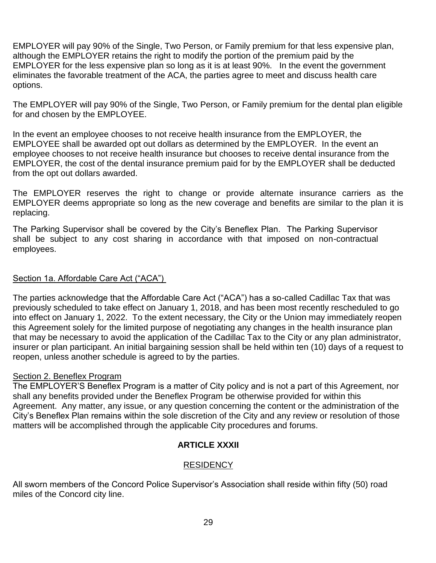EMPLOYER will pay 90% of the Single, Two Person, or Family premium for that less expensive plan, although the EMPLOYER retains the right to modify the portion of the premium paid by the EMPLOYER for the less expensive plan so long as it is at least 90%. In the event the government eliminates the favorable treatment of the ACA, the parties agree to meet and discuss health care options.

The EMPLOYER will pay 90% of the Single, Two Person, or Family premium for the dental plan eligible for and chosen by the EMPLOYEE.

In the event an employee chooses to not receive health insurance from the EMPLOYER, the EMPLOYEE shall be awarded opt out dollars as determined by the EMPLOYER. In the event an employee chooses to not receive health insurance but chooses to receive dental insurance from the EMPLOYER, the cost of the dental insurance premium paid for by the EMPLOYER shall be deducted from the opt out dollars awarded.

The EMPLOYER reserves the right to change or provide alternate insurance carriers as the EMPLOYER deems appropriate so long as the new coverage and benefits are similar to the plan it is replacing.

The Parking Supervisor shall be covered by the City's Beneflex Plan. The Parking Supervisor shall be subject to any cost sharing in accordance with that imposed on non-contractual employees.

## Section 1a. Affordable Care Act ("ACA")

The parties acknowledge that the Affordable Care Act ("ACA") has a so-called Cadillac Tax that was previously scheduled to take effect on January 1, 2018, and has been most recently rescheduled to go into effect on January 1, 2022. To the extent necessary, the City or the Union may immediately reopen this Agreement solely for the limited purpose of negotiating any changes in the health insurance plan that may be necessary to avoid the application of the Cadillac Tax to the City or any plan administrator, insurer or plan participant. An initial bargaining session shall be held within ten (10) days of a request to reopen, unless another schedule is agreed to by the parties.

## Section 2. Beneflex Program

The EMPLOYER'S Beneflex Program is a matter of City policy and is not a part of this Agreement, nor shall any benefits provided under the Beneflex Program be otherwise provided for within this Agreement. Any matter, any issue, or any question concerning the content or the administration of the City's Beneflex Plan remains within the sole discretion of the City and any review or resolution of those matters will be accomplished through the applicable City procedures and forums.

## **ARTICLE XXXII**

## **RESIDENCY**

All sworn members of the Concord Police Supervisor's Association shall reside within fifty (50) road miles of the Concord city line.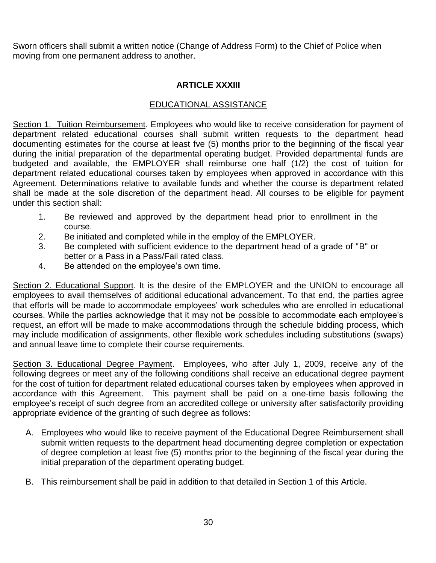Sworn officers shall submit a written notice (Change of Address Form) to the Chief of Police when moving from one permanent address to another.

## **ARTICLE XXXIII**

## EDUCATIONAL ASSISTANCE

Section 1. Tuition Reimbursement. Employees who would like to receive consideration for payment of department related educational courses shall submit written requests to the department head documenting estimates for the course at least fve (5) months prior to the beginning of the fiscal year during the initial preparation of the departmental operating budget. Provided departmental funds are budgeted and available, the EMPLOYER shall reimburse one half (1/2) the cost of tuition for department related educational courses taken by employees when approved in accordance with this Agreement. Determinations relative to available funds and whether the course is department related shall be made at the sole discretion of the department head. All courses to be eligible for payment under this section shall:

- 1. Be reviewed and approved by the department head prior to enrollment in the course.
- 2. Be initiated and completed while in the employ of the EMPLOYER.
- 3. Be completed with sufficient evidence to the department head of a grade of "B" or better or a Pass in a Pass/Fail rated class.
- 4. Be attended on the employee's own time.

Section 2. Educational Support. It is the desire of the EMPLOYER and the UNION to encourage all employees to avail themselves of additional educational advancement. To that end, the parties agree that efforts will be made to accommodate employees' work schedules who are enrolled in educational courses. While the parties acknowledge that it may not be possible to accommodate each employee's request, an effort will be made to make accommodations through the schedule bidding process, which may include modification of assignments, other flexible work schedules including substitutions (swaps) and annual leave time to complete their course requirements.

Section 3. Educational Degree Payment. Employees, who after July 1, 2009, receive any of the following degrees or meet any of the following conditions shall receive an educational degree payment for the cost of tuition for department related educational courses taken by employees when approved in accordance with this Agreement. This payment shall be paid on a one-time basis following the employee's receipt of such degree from an accredited college or university after satisfactorily providing appropriate evidence of the granting of such degree as follows:

- A. Employees who would like to receive payment of the Educational Degree Reimbursement shall submit written requests to the department head documenting degree completion or expectation of degree completion at least five (5) months prior to the beginning of the fiscal year during the initial preparation of the department operating budget.
- B. This reimbursement shall be paid in addition to that detailed in Section 1 of this Article.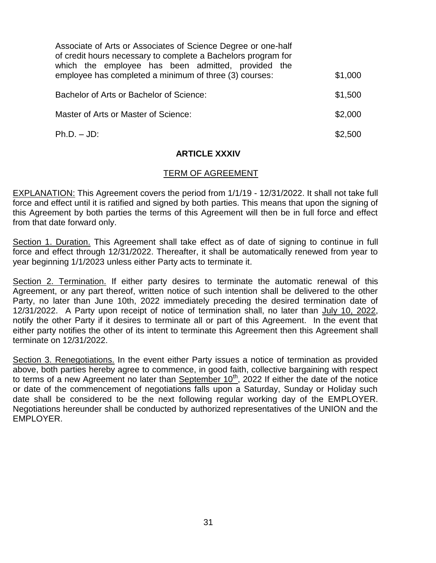| Associate of Arts or Associates of Science Degree or one-half<br>of credit hours necessary to complete a Bachelors program for<br>which the employee has been admitted, provided the<br>employee has completed a minimum of three (3) courses: | \$1,000 |
|------------------------------------------------------------------------------------------------------------------------------------------------------------------------------------------------------------------------------------------------|---------|
| Bachelor of Arts or Bachelor of Science:                                                                                                                                                                                                       | \$1,500 |
| Master of Arts or Master of Science:                                                                                                                                                                                                           | \$2,000 |
| $Ph.D. - JD.$                                                                                                                                                                                                                                  | \$2.500 |

## **ARTICLE XXXIV**

#### TERM OF AGREEMENT

**EXPLANATION:** This Agreement covers the period from 1/1/19 - 12/31/2022. It shall not take full force and effect until it is ratified and signed by both parties. This means that upon the signing of this Agreement by both parties the terms of this Agreement will then be in full force and effect from that date forward only.

Section 1. Duration. This Agreement shall take effect as of date of signing to continue in full force and effect through 12/31/2022. Thereafter, it shall be automatically renewed from year to year beginning 1/1/2023 unless either Party acts to terminate it.

Section 2. Termination. If either party desires to terminate the automatic renewal of this Agreement, or any part thereof, written notice of such intention shall be delivered to the other Party, no later than June 10th, 2022 immediately preceding the desired termination date of 12/31/2022. A Party upon receipt of notice of termination shall, no later than July 10, 2022, notify the other Party if it desires to terminate all or part of this Agreement. In the event that either party notifies the other of its intent to terminate this Agreement then this Agreement shall terminate on 12/31/2022.

Section 3. Renegotiations. In the event either Party issues a notice of termination as provided above, both parties hereby agree to commence, in good faith, collective bargaining with respect to terms of a new Agreement no later than September 10<sup>th</sup>, 2022 If either the date of the notice or date of the commencement of negotiations falls upon a Saturday, Sunday or Holiday such date shall be considered to be the next following regular working day of the EMPLOYER. Negotiations hereunder shall be conducted by authorized representatives of the UNION and the EMPLOYER.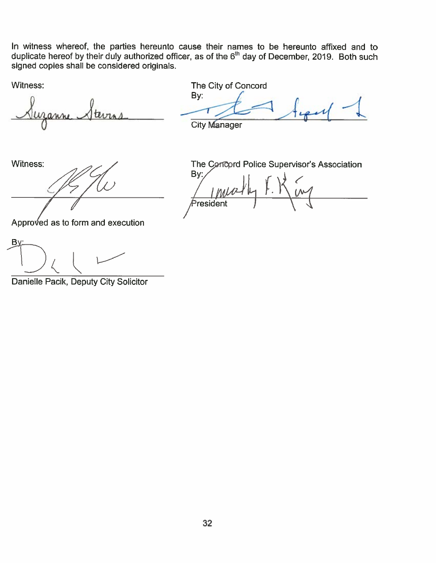In witness whereof, the parties hereunto cause their names to be hereunto affixed and to duplicate hereof by their duly authorized officer, as of the  $6<sup>th</sup>$  day of December, 2019. Both such signed copies shall be considered originals.

Witness:

The City of Concord

By:

**City Manager** 

Witness:

Approved as to form and execution

 $\mathbf{B}$ 

Danielle Pacik, Deputy City Solicitor

The Concord Police Supervisor's Association By: <sup>a</sup>resident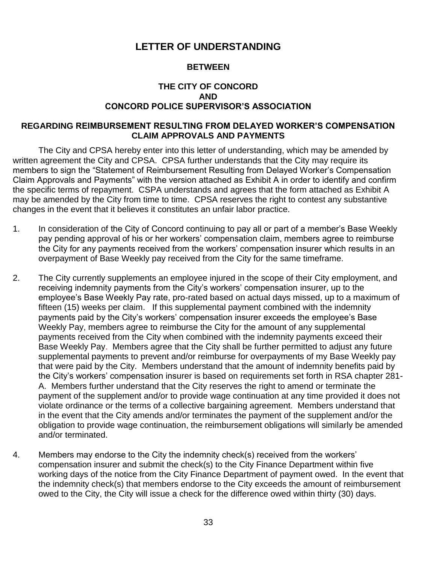## **LETTER OF UNDERSTANDING**

## **BETWEEN**

## **THE CITY OF CONCORD AND CONCORD POLICE SUPERVISOR'S ASSOCIATION**

#### **REGARDING REIMBURSEMENT RESULTING FROM DELAYED WORKER'S COMPENSATION CLAIM APPROVALS AND PAYMENTS**

The City and CPSA hereby enter into this letter of understanding, which may be amended by written agreement the City and CPSA. CPSA further understands that the City may require its members to sign the "Statement of Reimbursement Resulting from Delayed Worker's Compensation Claim Approvals and Payments" with the version attached as Exhibit A in order to identify and confirm the specific terms of repayment. CSPA understands and agrees that the form attached as Exhibit A may be amended by the City from time to time. CPSA reserves the right to contest any substantive changes in the event that it believes it constitutes an unfair labor practice.

- 1. In consideration of the City of Concord continuing to pay all or part of a member's Base Weekly pay pending approval of his or her workers' compensation claim, members agree to reimburse the City for any payments received from the workers' compensation insurer which results in an overpayment of Base Weekly pay received from the City for the same timeframe.
- 2. The City currently supplements an employee injured in the scope of their City employment, and receiving indemnity payments from the City's workers' compensation insurer, up to the employee's Base Weekly Pay rate, pro-rated based on actual days missed, up to a maximum of fifteen (15) weeks per claim. If this supplemental payment combined with the indemnity payments paid by the City's workers' compensation insurer exceeds the employee's Base Weekly Pay, members agree to reimburse the City for the amount of any supplemental payments received from the City when combined with the indemnity payments exceed their Base Weekly Pay. Members agree that the City shall be further permitted to adjust any future supplemental payments to prevent and/or reimburse for overpayments of my Base Weekly pay that were paid by the City. Members understand that the amount of indemnity benefits paid by the City's workers' compensation insurer is based on requirements set forth in RSA chapter 281- A. Members further understand that the City reserves the right to amend or terminate the payment of the supplement and/or to provide wage continuation at any time provided it does not violate ordinance or the terms of a collective bargaining agreement. Members understand that in the event that the City amends and/or terminates the payment of the supplement and/or the obligation to provide wage continuation, the reimbursement obligations will similarly be amended and/or terminated.
- 4. Members may endorse to the City the indemnity check(s) received from the workers' compensation insurer and submit the check(s) to the City Finance Department within five working days of the notice from the City Finance Department of payment owed. In the event that the indemnity check(s) that members endorse to the City exceeds the amount of reimbursement owed to the City, the City will issue a check for the difference owed within thirty (30) days.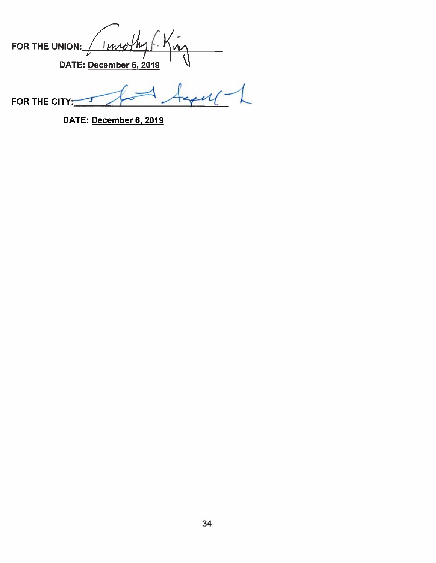| FOR THE UNION: | uniother 1.            |  |
|----------------|------------------------|--|
|                | DATE: December 6, 2019 |  |

 $44441$ FOR THE CITY: ㄱ

DATE: December 6, 2019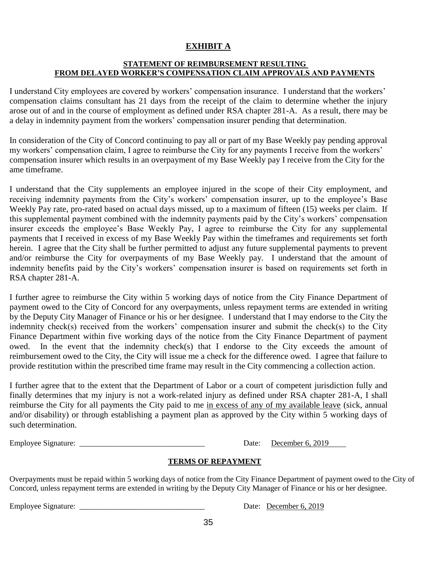## **EXHIBIT A**

#### **STATEMENT OF REIMBURSEMENT RESULTING FROM DELAYED WORKER'S COMPENSATION CLAIM APPROVALS AND PAYMENTS**

1. I understand City employees are covered by workers' compensation insurance. I understand that the workers' compensation claims consultant has 21 days from the receipt of the claim to determine whether the injury arose out of and in the course of employment as defined under RSA chapter 281-A. As a result, there may be a delay in indemnity payment from the workers' compensation insurer pending that determination.

In consideration of the City of Concord continuing to pay all or part of my Base Weekly pay pending approval my workers' compensation claim, I agree to reimburse the City for any payments I receive from the workers' compensation insurer which results in an overpayment of my Base Weekly pay I receive from the City for the ame timeframe.

I understand that the City supplements an employee injured in the scope of their City employment, and receiving indemnity payments from the City's workers' compensation insurer, up to the employee's Base Weekly Pay rate, pro-rated based on actual days missed, up to a maximum of fifteen (15) weeks per claim. If this supplemental payment combined with the indemnity payments paid by the City's workers' compensation insurer exceeds the employee's Base Weekly Pay, I agree to reimburse the City for any supplemental payments that I received in excess of my Base Weekly Pay within the timeframes and requirements set forth herein. I agree that the City shall be further permitted to adjust any future supplemental payments to prevent and/or reimburse the City for overpayments of my Base Weekly pay. I understand that the amount of indemnity benefits paid by the City's workers' compensation insurer is based on requirements set forth in RSA chapter 281-A.

I further agree to reimburse the City within 5 working days of notice from the City Finance Department of payment owed to the City of Concord for any overpayments, unless repayment terms are extended in writing by the Deputy City Manager of Finance or his or her designee. I understand that I may endorse to the City the indemnity check(s) received from the workers' compensation insurer and submit the check(s) to the City Finance Department within five working days of the notice from the City Finance Department of payment owed. In the event that the indemnity check(s) that I endorse to the City exceeds the amount of reimbursement owed to the City, the City will issue me a check for the difference owed. I agree that failure to provide restitution within the prescribed time frame may result in the City commencing a collection action.

5. I further agree that to the extent that the Department of Labor or a court of competent jurisdiction fully and finally determines that my injury is not a work-related injury as defined under RSA chapter 281-A, I shall reimburse the City for all payments the City paid to me in excess of any of my available leave (sick, annual and/or disability) or through establishing a payment plan as approved by the City within 5 working days of such determination.

Employee Signature:  $\Box$  Date: December 6, 2019

## **TERMS OF REPAYMENT**

Overpayments must be repaid within 5 working days of notice from the City Finance Department of payment owed to the City of Concord, unless repayment terms are extended in writing by the Deputy City Manager of Finance or his or her designee.

Employee Signature: <u>Date: December 6, 2019</u>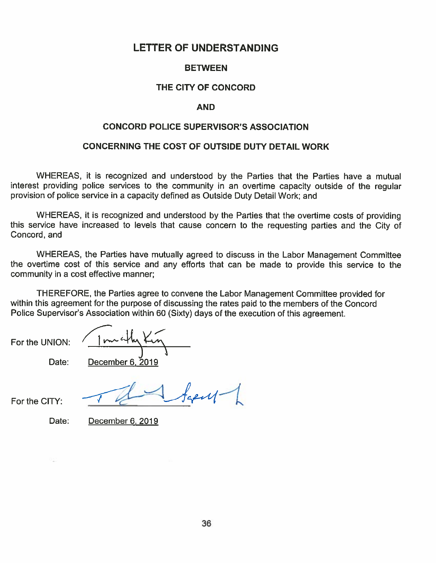## **LETTER OF UNDERSTANDING**

## **BETWEEN**

## THE CITY OF CONCORD

#### **AND**

#### **CONCORD POLICE SUPERVISOR'S ASSOCIATION**

## CONCERNING THE COST OF OUTSIDE DUTY DETAIL WORK

WHEREAS, it is recognized and understood by the Parties that the Parties have a mutual interest providing police services to the community in an overtime capacity outside of the regular provision of police service in a capacity defined as Outside Duty Detail Work; and

WHEREAS, it is recognized and understood by the Parties that the overtime costs of providing this service have increased to levels that cause concern to the requesting parties and the City of Concord, and

WHEREAS, the Parties have mutually agreed to discuss in the Labor Management Committee the overtime cost of this service and any efforts that can be made to provide this service to the community in a cost effective manner;

THEREFORE, the Parties agree to convene the Labor Management Committee provided for within this agreement for the purpose of discussing the rates paid to the members of the Concord Police Supervisor's Association within 60 (Sixty) days of the execution of this agreement.

For the UNION:

Date: December 6, 2019

For the CITY:

 $f_{\text{spill}}$ 

Date:

December 6, 2019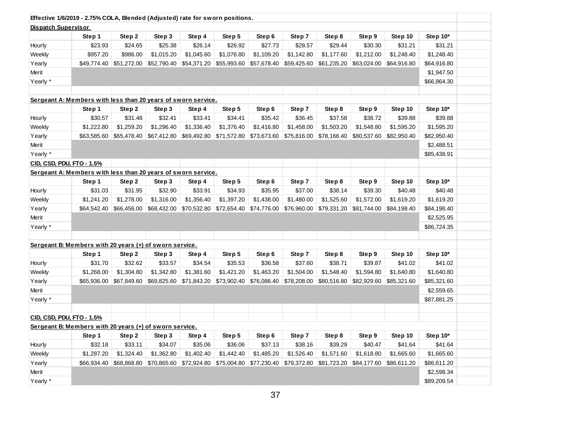|                            | Effective 1/6/2019 - 2.75% COLA, Blended (Adjusted) rate for sworn positions. |                           |             |             |             |             |             |             |             |             |             |
|----------------------------|-------------------------------------------------------------------------------|---------------------------|-------------|-------------|-------------|-------------|-------------|-------------|-------------|-------------|-------------|
| <b>Dispatch Supervisor</b> |                                                                               |                           |             |             |             |             |             |             |             |             |             |
|                            | Step 1                                                                        | Step 2                    | Step 3      | Step 4      | Step 5      | Step 6      | Step 7      | Step 8      | Step 9      | Step 10     | Step 10*    |
| Hourly                     | \$23.93                                                                       | \$24.65                   | \$25.38     | \$26.14     | \$26.92     | \$27.73     | \$28.57     | \$29.44     | \$30.30     | \$31.21     | \$31.21     |
| Weekly                     | \$957.20                                                                      | \$986.00                  | \$1,015.20  | \$1,045.60  | \$1,076.80  | \$1,109.20  | \$1,142.80  | \$1,177.60  | \$1,212.00  | \$1,248.40  | \$1,248.40  |
| Yearly                     |                                                                               | $$49,774.40$ $$51,272.00$ | \$52,790.40 | \$54,371.20 | \$55,993.60 | \$57,678.40 | \$59,425.60 | \$61,235.20 | \$63,024.00 | \$64,916.80 | \$64,916.80 |
| Merit                      |                                                                               |                           |             |             |             |             |             |             |             |             | \$1,947.50  |
| Yearly *                   |                                                                               |                           |             |             |             |             |             |             |             |             | \$66,864.30 |
|                            |                                                                               |                           |             |             |             |             |             |             |             |             |             |
|                            | Sergeant A: Members with less than 20 years of sworn service.                 |                           |             |             |             |             |             |             |             |             |             |
|                            | Step 1                                                                        | Step 2                    | Step 3      | Step 4      | Step 5      | Step 6      | Step 7      | Step 8      | Step 9      | Step 10     | Step 10*    |
| Hourly                     | \$30.57                                                                       | \$31.48                   | \$32.41     | \$33.41     | \$34.41     | \$35.42     | \$36.45     | \$37.58     | \$38.72     | \$39.88     | \$39.88     |
| Weekly                     | \$1,222.80                                                                    | \$1,259.20                | \$1,296.40  | \$1,336.40  | \$1,376.40  | \$1,416.80  | \$1,458.00  | \$1,503.20  | \$1,548.80  | \$1,595.20  | \$1,595.20  |
| Yearly                     | \$63,585.60                                                                   | \$65,478.40               | \$67,412.80 | \$69,492.80 | \$71,572.80 | \$73,673.60 | \$75,816.00 | \$78,166.40 | \$80,537.60 | \$82,950.40 | \$82,950.40 |
| Merit                      |                                                                               |                           |             |             |             |             |             |             |             |             | \$2,488.51  |
| Yearly *                   |                                                                               |                           |             |             |             |             |             |             |             |             | \$85,438.91 |
|                            | CID, CSD, PDU, FTO - 1.5%                                                     |                           |             |             |             |             |             |             |             |             |             |
|                            | Sergeant A: Members with less than 20 years of sworn service.                 |                           |             |             |             |             |             |             |             |             |             |
|                            | Step 1                                                                        | Step 2                    | Step 3      | Step 4      | Step 5      | Step 6      | Step 7      | Step 8      | Step 9      | Step 10     | Step 10*    |
| Hourly                     | \$31.03                                                                       | \$31.95                   | \$32.90     | \$33.91     | \$34.93     | \$35.95     | \$37.00     | \$38.14     | \$39.30     | \$40.48     | \$40.48     |
| Weekly                     | \$1,241.20                                                                    | \$1,278.00                | \$1,316.00  | \$1,356.40  | \$1,397.20  | \$1,438.00  | \$1,480.00  | \$1,525.60  | \$1,572.00  | \$1,619.20  | \$1,619.20  |
| Yearly                     | \$64,542.40                                                                   | \$66,456.00               | \$68,432.00 | \$70,532.80 | \$72,654.40 | \$74,776.00 | \$76,960.00 | \$79,331.20 | \$81,744.00 | \$84,198.40 | \$84,198.40 |
| Merit                      |                                                                               |                           |             |             |             |             |             |             |             |             | \$2,525.95  |
| Yearly *                   |                                                                               |                           |             |             |             |             |             |             |             |             | \$86,724.35 |
|                            |                                                                               |                           |             |             |             |             |             |             |             |             |             |
|                            | Sergeant B: Members with 20 years (+) of sworn service.                       |                           |             |             |             |             |             |             |             |             |             |
|                            | Step 1                                                                        | Step 2                    | Step 3      | Step 4      | Step 5      | Step 6      | Step 7      | Step 8      | Step 9      | Step 10     | Step 10*    |
| Hourly                     | \$31.70                                                                       | \$32.62                   | \$33.57     | \$34.54     | \$35.53     | \$36.58     | \$37.60     | \$38.71     | \$39.87     | \$41.02     | \$41.02     |
| Weekly                     | \$1,268.00                                                                    | \$1,304.80                | \$1,342.80  | \$1,381.60  | \$1,421.20  | \$1,463.20  | \$1,504.00  | \$1,548.40  | \$1,594.80  | \$1,640.80  | \$1,640.80  |
| Yearly                     | \$65,936.00                                                                   | \$67,849.60               | \$69,825.60 | \$71,843.20 | \$73,902.40 | \$76,086.40 | \$78,208.00 | \$80,516.80 | \$82,929.60 | \$85,321.60 | \$85,321.60 |
| Merit                      |                                                                               |                           |             |             |             |             |             |             |             |             | \$2,559.65  |
| Yearly *                   |                                                                               |                           |             |             |             |             |             |             |             |             | \$87,881.25 |
|                            |                                                                               |                           |             |             |             |             |             |             |             |             |             |
|                            | CID, CSD, PDU, FTO - 1.5%                                                     |                           |             |             |             |             |             |             |             |             |             |
|                            | Sergeant B: Members with 20 years (+) of sworn service.                       |                           |             |             |             |             |             |             |             |             |             |
|                            | Step 1                                                                        | Step 2                    | Step 3      | Step 4      | Step 5      | Step 6      | Step 7      | Step 8      | Step 9      | Step 10     | Step 10*    |
| Hourly                     | \$32.18                                                                       | \$33.11                   | \$34.07     | \$35.06     | \$36.06     | \$37.13     | \$38.16     | \$39.29     | \$40.47     | \$41.64     | \$41.64     |
| Weekly                     | \$1,287.20                                                                    | \$1,324.40                | \$1,362.80  | \$1,402.40  | \$1,442.40  | \$1,485.20  | \$1,526.40  | \$1,571.60  | \$1,618.80  | \$1,665.60  | \$1,665.60  |
| Yearly                     | \$66.934.40                                                                   | \$68,868.80               | \$70,865.60 | \$72,924.80 | \$75,004.80 | \$77,230.40 | \$79,372.80 | \$81,723.20 | \$84,177.60 | \$86,611.20 | \$86,611.20 |
| Merit                      |                                                                               |                           |             |             |             |             |             |             |             |             | \$2,598.34  |
| Yearly *                   |                                                                               |                           |             |             |             |             |             |             |             |             | \$89,209.54 |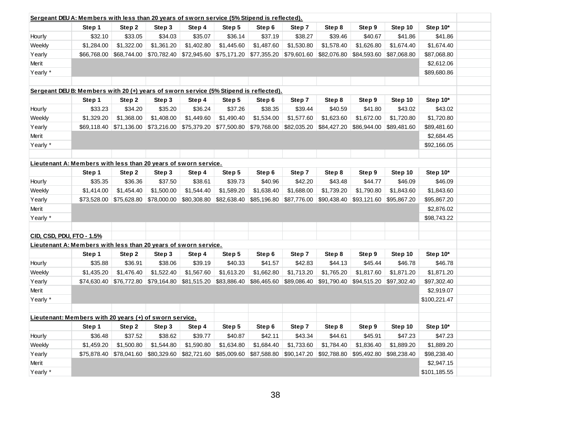| Step 9<br>Step 10<br>Step 10*<br>Step 1<br>Step 2<br>Step 3<br>Step 4<br>Step 5<br>Step 6<br>Step 7<br>Step 8<br>\$32.10<br>\$33.05<br>\$35.07<br>\$36.14<br>\$37.19<br>\$38.27<br>\$39.46<br>\$40.67<br>\$41.86<br>\$41.86<br>Hourly<br>\$34.03<br>\$1,578.40<br>\$1,674.40<br>\$1,284.00<br>\$1,322.00<br>\$1,361.20<br>\$1,402.80<br>\$1,445.60<br>\$1,487.60<br>\$1,530.80<br>\$1,626.80<br>\$1,674.40<br>Weekly<br>Yearly<br>\$66,768.00<br>\$68,744.00<br>\$70,782.40<br>\$72,945.60<br>\$75,171.20<br>\$77,355.20<br>\$79,601.60<br>\$82,076.80<br>\$84,593.60<br>\$87,068.80<br>\$87,068.80<br>Merit<br>\$2,612.06<br>Yearly *<br>\$89,680.86<br>Sergeant DEU B: Members with 20 (+) years of sworn service (5% Stipend is reflected).<br>Step 7<br>Step 9<br>Step 10<br>Step 10*<br>Step 2<br>Step 3<br>Step 4<br>Step 5<br>Step 6<br>Step 8<br>Step 1<br>\$43.02<br>Hourly<br>\$33.23<br>\$34.20<br>\$35.20<br>\$36.24<br>\$37.26<br>\$38.35<br>\$39.44<br>\$40.59<br>\$41.80<br>\$43.02<br>\$1,329.20<br>\$1,368.00<br>\$1,408.00<br>\$1,449.60<br>\$1,490.40<br>\$1,534.00<br>\$1,623.60<br>\$1,672.00<br>\$1,720.80<br>\$1,720.80<br>Weekly<br>\$1,577.60<br>Yearly<br>\$69,118.40<br>\$71,136.00<br>\$73,216.00<br>\$75,379.20<br>\$77,500.80<br>\$79,768.00<br>\$82,035.20<br>\$84,427.20<br>\$86,944.00<br>\$89,481.60<br>\$89,481.60<br>Merit<br>\$2,684.45<br>Yearly *<br>\$92,166.05<br>Lieutenant A: Members with less than 20 years of sworn service.<br>Step 10<br>Step 10*<br>Step 1<br>Step 2<br>Step 3<br>Step 5<br>Step 6<br>Step 7<br>Step 8<br>Step 9<br>Step 4<br>\$35.35<br>\$36.36<br>\$37.50<br>\$38.61<br>\$39.73<br>\$40.96<br>\$42.20<br>\$43.48<br>\$44.77<br>\$46.09<br>\$46.09<br>Hourly<br>\$1,544.40<br>\$1,414.00<br>\$1,454.40<br>\$1,500.00<br>\$1,589.20<br>\$1,638.40<br>\$1,688.00<br>\$1,739.20<br>\$1,790.80<br>\$1,843.60<br>\$1,843.60<br>Weekly<br>Yearly<br>\$73,528.00<br>\$75,628.80<br>\$78,000.00<br>\$80,308.80<br>\$82,638.40<br>\$85,196.80<br>\$87,776.00<br>\$90,438.40<br>\$93,121.60<br>\$95,867.20<br>\$95,867.20<br>Merit<br>\$2,876.02<br>Yearly *<br>\$98,743.22<br>CID, CSD, PDU, FTO - 1.5%<br>Lieutenant A: Members with less than 20 years of sworn service.<br>Step 5<br>Step 10*<br>Step 6<br>Step 7<br>Step 8<br>Step 9<br>Step 10<br>Step 1<br>Step 2<br>Step 3<br>Step 4<br>\$35.88<br>\$42.83<br>\$44.13<br>\$45.44<br>\$46.78<br>Hourly<br>\$36.91<br>\$38.06<br>\$39.19<br>\$40.33<br>\$41.57<br>\$46.78<br>\$1,435.20<br>\$1,476.40<br>\$1,522.40<br>\$1,567.60<br>\$1,613.20<br>\$1,662.80<br>\$1,713.20<br>\$1,765.20<br>\$1,817.60<br>\$1,871.20<br>\$1,871.20<br>Weekly<br>Yearly<br>\$79,164.80<br>\$81,515.20<br>\$83,886.40<br>\$86,465.60<br>\$89,086.40<br>\$91,790.40<br>\$94,515.20<br>\$97,302.40<br>\$97,302.40<br>\$74,630.40<br>\$76,772.80<br>Merit<br>\$2,919.07<br>Yearly *<br>\$100,221.47<br>Lieutenant: Members with 20 years (+) of sworn service.<br>Step 5<br>Step 7<br>Step 10<br>Step 10*<br>Step 1<br>Step 2<br>Step 3<br>Step 4<br>Step 6<br>Step 8<br>Step 9 | Sergeant DEU A: Members with less than 20 years of sworn service (5% Stipend is reflected). |  |  |  |  |  |  |  |  |  |  |  |
|---------------------------------------------------------------------------------------------------------------------------------------------------------------------------------------------------------------------------------------------------------------------------------------------------------------------------------------------------------------------------------------------------------------------------------------------------------------------------------------------------------------------------------------------------------------------------------------------------------------------------------------------------------------------------------------------------------------------------------------------------------------------------------------------------------------------------------------------------------------------------------------------------------------------------------------------------------------------------------------------------------------------------------------------------------------------------------------------------------------------------------------------------------------------------------------------------------------------------------------------------------------------------------------------------------------------------------------------------------------------------------------------------------------------------------------------------------------------------------------------------------------------------------------------------------------------------------------------------------------------------------------------------------------------------------------------------------------------------------------------------------------------------------------------------------------------------------------------------------------------------------------------------------------------------------------------------------------------------------------------------------------------------------------------------------------------------------------------------------------------------------------------------------------------------------------------------------------------------------------------------------------------------------------------------------------------------------------------------------------------------------------------------------------------------------------------------------------------------------------------------------------------------------------------------------------------------------------------------------------------------------------------------------------------------------------------------------------------------------------------------------------------------------------------------------------------------------------------------------------------------------------------------------------------------------------------------------------------------------------------------------------------------------------------------------------------------|---------------------------------------------------------------------------------------------|--|--|--|--|--|--|--|--|--|--|--|
|                                                                                                                                                                                                                                                                                                                                                                                                                                                                                                                                                                                                                                                                                                                                                                                                                                                                                                                                                                                                                                                                                                                                                                                                                                                                                                                                                                                                                                                                                                                                                                                                                                                                                                                                                                                                                                                                                                                                                                                                                                                                                                                                                                                                                                                                                                                                                                                                                                                                                                                                                                                                                                                                                                                                                                                                                                                                                                                                                                                                                                                                           |                                                                                             |  |  |  |  |  |  |  |  |  |  |  |
|                                                                                                                                                                                                                                                                                                                                                                                                                                                                                                                                                                                                                                                                                                                                                                                                                                                                                                                                                                                                                                                                                                                                                                                                                                                                                                                                                                                                                                                                                                                                                                                                                                                                                                                                                                                                                                                                                                                                                                                                                                                                                                                                                                                                                                                                                                                                                                                                                                                                                                                                                                                                                                                                                                                                                                                                                                                                                                                                                                                                                                                                           |                                                                                             |  |  |  |  |  |  |  |  |  |  |  |
|                                                                                                                                                                                                                                                                                                                                                                                                                                                                                                                                                                                                                                                                                                                                                                                                                                                                                                                                                                                                                                                                                                                                                                                                                                                                                                                                                                                                                                                                                                                                                                                                                                                                                                                                                                                                                                                                                                                                                                                                                                                                                                                                                                                                                                                                                                                                                                                                                                                                                                                                                                                                                                                                                                                                                                                                                                                                                                                                                                                                                                                                           |                                                                                             |  |  |  |  |  |  |  |  |  |  |  |
|                                                                                                                                                                                                                                                                                                                                                                                                                                                                                                                                                                                                                                                                                                                                                                                                                                                                                                                                                                                                                                                                                                                                                                                                                                                                                                                                                                                                                                                                                                                                                                                                                                                                                                                                                                                                                                                                                                                                                                                                                                                                                                                                                                                                                                                                                                                                                                                                                                                                                                                                                                                                                                                                                                                                                                                                                                                                                                                                                                                                                                                                           |                                                                                             |  |  |  |  |  |  |  |  |  |  |  |
|                                                                                                                                                                                                                                                                                                                                                                                                                                                                                                                                                                                                                                                                                                                                                                                                                                                                                                                                                                                                                                                                                                                                                                                                                                                                                                                                                                                                                                                                                                                                                                                                                                                                                                                                                                                                                                                                                                                                                                                                                                                                                                                                                                                                                                                                                                                                                                                                                                                                                                                                                                                                                                                                                                                                                                                                                                                                                                                                                                                                                                                                           |                                                                                             |  |  |  |  |  |  |  |  |  |  |  |
|                                                                                                                                                                                                                                                                                                                                                                                                                                                                                                                                                                                                                                                                                                                                                                                                                                                                                                                                                                                                                                                                                                                                                                                                                                                                                                                                                                                                                                                                                                                                                                                                                                                                                                                                                                                                                                                                                                                                                                                                                                                                                                                                                                                                                                                                                                                                                                                                                                                                                                                                                                                                                                                                                                                                                                                                                                                                                                                                                                                                                                                                           |                                                                                             |  |  |  |  |  |  |  |  |  |  |  |
|                                                                                                                                                                                                                                                                                                                                                                                                                                                                                                                                                                                                                                                                                                                                                                                                                                                                                                                                                                                                                                                                                                                                                                                                                                                                                                                                                                                                                                                                                                                                                                                                                                                                                                                                                                                                                                                                                                                                                                                                                                                                                                                                                                                                                                                                                                                                                                                                                                                                                                                                                                                                                                                                                                                                                                                                                                                                                                                                                                                                                                                                           |                                                                                             |  |  |  |  |  |  |  |  |  |  |  |
|                                                                                                                                                                                                                                                                                                                                                                                                                                                                                                                                                                                                                                                                                                                                                                                                                                                                                                                                                                                                                                                                                                                                                                                                                                                                                                                                                                                                                                                                                                                                                                                                                                                                                                                                                                                                                                                                                                                                                                                                                                                                                                                                                                                                                                                                                                                                                                                                                                                                                                                                                                                                                                                                                                                                                                                                                                                                                                                                                                                                                                                                           |                                                                                             |  |  |  |  |  |  |  |  |  |  |  |
|                                                                                                                                                                                                                                                                                                                                                                                                                                                                                                                                                                                                                                                                                                                                                                                                                                                                                                                                                                                                                                                                                                                                                                                                                                                                                                                                                                                                                                                                                                                                                                                                                                                                                                                                                                                                                                                                                                                                                                                                                                                                                                                                                                                                                                                                                                                                                                                                                                                                                                                                                                                                                                                                                                                                                                                                                                                                                                                                                                                                                                                                           |                                                                                             |  |  |  |  |  |  |  |  |  |  |  |
|                                                                                                                                                                                                                                                                                                                                                                                                                                                                                                                                                                                                                                                                                                                                                                                                                                                                                                                                                                                                                                                                                                                                                                                                                                                                                                                                                                                                                                                                                                                                                                                                                                                                                                                                                                                                                                                                                                                                                                                                                                                                                                                                                                                                                                                                                                                                                                                                                                                                                                                                                                                                                                                                                                                                                                                                                                                                                                                                                                                                                                                                           |                                                                                             |  |  |  |  |  |  |  |  |  |  |  |
|                                                                                                                                                                                                                                                                                                                                                                                                                                                                                                                                                                                                                                                                                                                                                                                                                                                                                                                                                                                                                                                                                                                                                                                                                                                                                                                                                                                                                                                                                                                                                                                                                                                                                                                                                                                                                                                                                                                                                                                                                                                                                                                                                                                                                                                                                                                                                                                                                                                                                                                                                                                                                                                                                                                                                                                                                                                                                                                                                                                                                                                                           |                                                                                             |  |  |  |  |  |  |  |  |  |  |  |
|                                                                                                                                                                                                                                                                                                                                                                                                                                                                                                                                                                                                                                                                                                                                                                                                                                                                                                                                                                                                                                                                                                                                                                                                                                                                                                                                                                                                                                                                                                                                                                                                                                                                                                                                                                                                                                                                                                                                                                                                                                                                                                                                                                                                                                                                                                                                                                                                                                                                                                                                                                                                                                                                                                                                                                                                                                                                                                                                                                                                                                                                           |                                                                                             |  |  |  |  |  |  |  |  |  |  |  |
|                                                                                                                                                                                                                                                                                                                                                                                                                                                                                                                                                                                                                                                                                                                                                                                                                                                                                                                                                                                                                                                                                                                                                                                                                                                                                                                                                                                                                                                                                                                                                                                                                                                                                                                                                                                                                                                                                                                                                                                                                                                                                                                                                                                                                                                                                                                                                                                                                                                                                                                                                                                                                                                                                                                                                                                                                                                                                                                                                                                                                                                                           |                                                                                             |  |  |  |  |  |  |  |  |  |  |  |
|                                                                                                                                                                                                                                                                                                                                                                                                                                                                                                                                                                                                                                                                                                                                                                                                                                                                                                                                                                                                                                                                                                                                                                                                                                                                                                                                                                                                                                                                                                                                                                                                                                                                                                                                                                                                                                                                                                                                                                                                                                                                                                                                                                                                                                                                                                                                                                                                                                                                                                                                                                                                                                                                                                                                                                                                                                                                                                                                                                                                                                                                           |                                                                                             |  |  |  |  |  |  |  |  |  |  |  |
|                                                                                                                                                                                                                                                                                                                                                                                                                                                                                                                                                                                                                                                                                                                                                                                                                                                                                                                                                                                                                                                                                                                                                                                                                                                                                                                                                                                                                                                                                                                                                                                                                                                                                                                                                                                                                                                                                                                                                                                                                                                                                                                                                                                                                                                                                                                                                                                                                                                                                                                                                                                                                                                                                                                                                                                                                                                                                                                                                                                                                                                                           |                                                                                             |  |  |  |  |  |  |  |  |  |  |  |
|                                                                                                                                                                                                                                                                                                                                                                                                                                                                                                                                                                                                                                                                                                                                                                                                                                                                                                                                                                                                                                                                                                                                                                                                                                                                                                                                                                                                                                                                                                                                                                                                                                                                                                                                                                                                                                                                                                                                                                                                                                                                                                                                                                                                                                                                                                                                                                                                                                                                                                                                                                                                                                                                                                                                                                                                                                                                                                                                                                                                                                                                           |                                                                                             |  |  |  |  |  |  |  |  |  |  |  |
|                                                                                                                                                                                                                                                                                                                                                                                                                                                                                                                                                                                                                                                                                                                                                                                                                                                                                                                                                                                                                                                                                                                                                                                                                                                                                                                                                                                                                                                                                                                                                                                                                                                                                                                                                                                                                                                                                                                                                                                                                                                                                                                                                                                                                                                                                                                                                                                                                                                                                                                                                                                                                                                                                                                                                                                                                                                                                                                                                                                                                                                                           |                                                                                             |  |  |  |  |  |  |  |  |  |  |  |
|                                                                                                                                                                                                                                                                                                                                                                                                                                                                                                                                                                                                                                                                                                                                                                                                                                                                                                                                                                                                                                                                                                                                                                                                                                                                                                                                                                                                                                                                                                                                                                                                                                                                                                                                                                                                                                                                                                                                                                                                                                                                                                                                                                                                                                                                                                                                                                                                                                                                                                                                                                                                                                                                                                                                                                                                                                                                                                                                                                                                                                                                           |                                                                                             |  |  |  |  |  |  |  |  |  |  |  |
|                                                                                                                                                                                                                                                                                                                                                                                                                                                                                                                                                                                                                                                                                                                                                                                                                                                                                                                                                                                                                                                                                                                                                                                                                                                                                                                                                                                                                                                                                                                                                                                                                                                                                                                                                                                                                                                                                                                                                                                                                                                                                                                                                                                                                                                                                                                                                                                                                                                                                                                                                                                                                                                                                                                                                                                                                                                                                                                                                                                                                                                                           |                                                                                             |  |  |  |  |  |  |  |  |  |  |  |
|                                                                                                                                                                                                                                                                                                                                                                                                                                                                                                                                                                                                                                                                                                                                                                                                                                                                                                                                                                                                                                                                                                                                                                                                                                                                                                                                                                                                                                                                                                                                                                                                                                                                                                                                                                                                                                                                                                                                                                                                                                                                                                                                                                                                                                                                                                                                                                                                                                                                                                                                                                                                                                                                                                                                                                                                                                                                                                                                                                                                                                                                           |                                                                                             |  |  |  |  |  |  |  |  |  |  |  |
|                                                                                                                                                                                                                                                                                                                                                                                                                                                                                                                                                                                                                                                                                                                                                                                                                                                                                                                                                                                                                                                                                                                                                                                                                                                                                                                                                                                                                                                                                                                                                                                                                                                                                                                                                                                                                                                                                                                                                                                                                                                                                                                                                                                                                                                                                                                                                                                                                                                                                                                                                                                                                                                                                                                                                                                                                                                                                                                                                                                                                                                                           |                                                                                             |  |  |  |  |  |  |  |  |  |  |  |
|                                                                                                                                                                                                                                                                                                                                                                                                                                                                                                                                                                                                                                                                                                                                                                                                                                                                                                                                                                                                                                                                                                                                                                                                                                                                                                                                                                                                                                                                                                                                                                                                                                                                                                                                                                                                                                                                                                                                                                                                                                                                                                                                                                                                                                                                                                                                                                                                                                                                                                                                                                                                                                                                                                                                                                                                                                                                                                                                                                                                                                                                           |                                                                                             |  |  |  |  |  |  |  |  |  |  |  |
|                                                                                                                                                                                                                                                                                                                                                                                                                                                                                                                                                                                                                                                                                                                                                                                                                                                                                                                                                                                                                                                                                                                                                                                                                                                                                                                                                                                                                                                                                                                                                                                                                                                                                                                                                                                                                                                                                                                                                                                                                                                                                                                                                                                                                                                                                                                                                                                                                                                                                                                                                                                                                                                                                                                                                                                                                                                                                                                                                                                                                                                                           |                                                                                             |  |  |  |  |  |  |  |  |  |  |  |
|                                                                                                                                                                                                                                                                                                                                                                                                                                                                                                                                                                                                                                                                                                                                                                                                                                                                                                                                                                                                                                                                                                                                                                                                                                                                                                                                                                                                                                                                                                                                                                                                                                                                                                                                                                                                                                                                                                                                                                                                                                                                                                                                                                                                                                                                                                                                                                                                                                                                                                                                                                                                                                                                                                                                                                                                                                                                                                                                                                                                                                                                           |                                                                                             |  |  |  |  |  |  |  |  |  |  |  |
|                                                                                                                                                                                                                                                                                                                                                                                                                                                                                                                                                                                                                                                                                                                                                                                                                                                                                                                                                                                                                                                                                                                                                                                                                                                                                                                                                                                                                                                                                                                                                                                                                                                                                                                                                                                                                                                                                                                                                                                                                                                                                                                                                                                                                                                                                                                                                                                                                                                                                                                                                                                                                                                                                                                                                                                                                                                                                                                                                                                                                                                                           |                                                                                             |  |  |  |  |  |  |  |  |  |  |  |
|                                                                                                                                                                                                                                                                                                                                                                                                                                                                                                                                                                                                                                                                                                                                                                                                                                                                                                                                                                                                                                                                                                                                                                                                                                                                                                                                                                                                                                                                                                                                                                                                                                                                                                                                                                                                                                                                                                                                                                                                                                                                                                                                                                                                                                                                                                                                                                                                                                                                                                                                                                                                                                                                                                                                                                                                                                                                                                                                                                                                                                                                           |                                                                                             |  |  |  |  |  |  |  |  |  |  |  |
|                                                                                                                                                                                                                                                                                                                                                                                                                                                                                                                                                                                                                                                                                                                                                                                                                                                                                                                                                                                                                                                                                                                                                                                                                                                                                                                                                                                                                                                                                                                                                                                                                                                                                                                                                                                                                                                                                                                                                                                                                                                                                                                                                                                                                                                                                                                                                                                                                                                                                                                                                                                                                                                                                                                                                                                                                                                                                                                                                                                                                                                                           |                                                                                             |  |  |  |  |  |  |  |  |  |  |  |
|                                                                                                                                                                                                                                                                                                                                                                                                                                                                                                                                                                                                                                                                                                                                                                                                                                                                                                                                                                                                                                                                                                                                                                                                                                                                                                                                                                                                                                                                                                                                                                                                                                                                                                                                                                                                                                                                                                                                                                                                                                                                                                                                                                                                                                                                                                                                                                                                                                                                                                                                                                                                                                                                                                                                                                                                                                                                                                                                                                                                                                                                           |                                                                                             |  |  |  |  |  |  |  |  |  |  |  |
|                                                                                                                                                                                                                                                                                                                                                                                                                                                                                                                                                                                                                                                                                                                                                                                                                                                                                                                                                                                                                                                                                                                                                                                                                                                                                                                                                                                                                                                                                                                                                                                                                                                                                                                                                                                                                                                                                                                                                                                                                                                                                                                                                                                                                                                                                                                                                                                                                                                                                                                                                                                                                                                                                                                                                                                                                                                                                                                                                                                                                                                                           |                                                                                             |  |  |  |  |  |  |  |  |  |  |  |
|                                                                                                                                                                                                                                                                                                                                                                                                                                                                                                                                                                                                                                                                                                                                                                                                                                                                                                                                                                                                                                                                                                                                                                                                                                                                                                                                                                                                                                                                                                                                                                                                                                                                                                                                                                                                                                                                                                                                                                                                                                                                                                                                                                                                                                                                                                                                                                                                                                                                                                                                                                                                                                                                                                                                                                                                                                                                                                                                                                                                                                                                           |                                                                                             |  |  |  |  |  |  |  |  |  |  |  |
|                                                                                                                                                                                                                                                                                                                                                                                                                                                                                                                                                                                                                                                                                                                                                                                                                                                                                                                                                                                                                                                                                                                                                                                                                                                                                                                                                                                                                                                                                                                                                                                                                                                                                                                                                                                                                                                                                                                                                                                                                                                                                                                                                                                                                                                                                                                                                                                                                                                                                                                                                                                                                                                                                                                                                                                                                                                                                                                                                                                                                                                                           |                                                                                             |  |  |  |  |  |  |  |  |  |  |  |
|                                                                                                                                                                                                                                                                                                                                                                                                                                                                                                                                                                                                                                                                                                                                                                                                                                                                                                                                                                                                                                                                                                                                                                                                                                                                                                                                                                                                                                                                                                                                                                                                                                                                                                                                                                                                                                                                                                                                                                                                                                                                                                                                                                                                                                                                                                                                                                                                                                                                                                                                                                                                                                                                                                                                                                                                                                                                                                                                                                                                                                                                           |                                                                                             |  |  |  |  |  |  |  |  |  |  |  |
|                                                                                                                                                                                                                                                                                                                                                                                                                                                                                                                                                                                                                                                                                                                                                                                                                                                                                                                                                                                                                                                                                                                                                                                                                                                                                                                                                                                                                                                                                                                                                                                                                                                                                                                                                                                                                                                                                                                                                                                                                                                                                                                                                                                                                                                                                                                                                                                                                                                                                                                                                                                                                                                                                                                                                                                                                                                                                                                                                                                                                                                                           |                                                                                             |  |  |  |  |  |  |  |  |  |  |  |
|                                                                                                                                                                                                                                                                                                                                                                                                                                                                                                                                                                                                                                                                                                                                                                                                                                                                                                                                                                                                                                                                                                                                                                                                                                                                                                                                                                                                                                                                                                                                                                                                                                                                                                                                                                                                                                                                                                                                                                                                                                                                                                                                                                                                                                                                                                                                                                                                                                                                                                                                                                                                                                                                                                                                                                                                                                                                                                                                                                                                                                                                           |                                                                                             |  |  |  |  |  |  |  |  |  |  |  |
| \$38.62<br>\$40.87<br>\$47.23<br>Hourly<br>\$36.48<br>\$37.52<br>\$39.77<br>\$42.11<br>\$43.34<br>\$44.61<br>\$45.91<br>\$47.23                                                                                                                                                                                                                                                                                                                                                                                                                                                                                                                                                                                                                                                                                                                                                                                                                                                                                                                                                                                                                                                                                                                                                                                                                                                                                                                                                                                                                                                                                                                                                                                                                                                                                                                                                                                                                                                                                                                                                                                                                                                                                                                                                                                                                                                                                                                                                                                                                                                                                                                                                                                                                                                                                                                                                                                                                                                                                                                                           |                                                                                             |  |  |  |  |  |  |  |  |  |  |  |
| \$1,459.20<br>\$1,500.80<br>\$1,590.80<br>\$1,634.80<br>\$1,784.40<br>\$1,836.40<br>\$1,889.20<br>Weekly<br>\$1,544.80<br>\$1,684.40<br>\$1,733.60<br>\$1,889.20                                                                                                                                                                                                                                                                                                                                                                                                                                                                                                                                                                                                                                                                                                                                                                                                                                                                                                                                                                                                                                                                                                                                                                                                                                                                                                                                                                                                                                                                                                                                                                                                                                                                                                                                                                                                                                                                                                                                                                                                                                                                                                                                                                                                                                                                                                                                                                                                                                                                                                                                                                                                                                                                                                                                                                                                                                                                                                          |                                                                                             |  |  |  |  |  |  |  |  |  |  |  |
| \$80,329.60<br>\$98,238.40<br>Yearly<br>\$75,878.40<br>\$78,041.60<br>\$82,721.60<br>\$85,009.60<br>\$87,588.80<br>\$90,147.20<br>\$92,788.80<br>\$95,492.80<br>\$98,238.40                                                                                                                                                                                                                                                                                                                                                                                                                                                                                                                                                                                                                                                                                                                                                                                                                                                                                                                                                                                                                                                                                                                                                                                                                                                                                                                                                                                                                                                                                                                                                                                                                                                                                                                                                                                                                                                                                                                                                                                                                                                                                                                                                                                                                                                                                                                                                                                                                                                                                                                                                                                                                                                                                                                                                                                                                                                                                               |                                                                                             |  |  |  |  |  |  |  |  |  |  |  |
| \$2,947.15<br>Merit                                                                                                                                                                                                                                                                                                                                                                                                                                                                                                                                                                                                                                                                                                                                                                                                                                                                                                                                                                                                                                                                                                                                                                                                                                                                                                                                                                                                                                                                                                                                                                                                                                                                                                                                                                                                                                                                                                                                                                                                                                                                                                                                                                                                                                                                                                                                                                                                                                                                                                                                                                                                                                                                                                                                                                                                                                                                                                                                                                                                                                                       |                                                                                             |  |  |  |  |  |  |  |  |  |  |  |
| Yearly *<br>\$101,185.55                                                                                                                                                                                                                                                                                                                                                                                                                                                                                                                                                                                                                                                                                                                                                                                                                                                                                                                                                                                                                                                                                                                                                                                                                                                                                                                                                                                                                                                                                                                                                                                                                                                                                                                                                                                                                                                                                                                                                                                                                                                                                                                                                                                                                                                                                                                                                                                                                                                                                                                                                                                                                                                                                                                                                                                                                                                                                                                                                                                                                                                  |                                                                                             |  |  |  |  |  |  |  |  |  |  |  |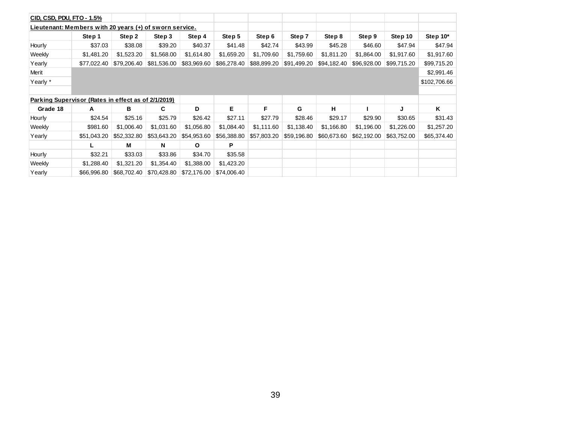| CID, CSD, PDU, FTO - 1.5%                               |             |             |             |             |             |             |             |             |             |             |              |
|---------------------------------------------------------|-------------|-------------|-------------|-------------|-------------|-------------|-------------|-------------|-------------|-------------|--------------|
| Lieutenant: Members with 20 years (+) of sworn service. |             |             |             |             |             |             |             |             |             |             |              |
|                                                         | Step 1      | Step 2      | Step 3      | Step 4      | Step 5      | Step 6      | Step 7      | Step 8      | Step 9      | Step 10     | Step 10*     |
| Hourly                                                  | \$37.03     | \$38.08     | \$39.20     | \$40.37     | \$41.48     | \$42.74     | \$43.99     | \$45.28     | \$46.60     | \$47.94     | \$47.94      |
| Weekly                                                  | \$1,481.20  | \$1,523.20  | \$1,568.00  | \$1,614.80  | \$1,659.20  | \$1,709.60  | \$1,759.60  | \$1,811.20  | \$1,864.00  | \$1,917.60  | \$1,917.60   |
| Yearly                                                  | \$77,022.40 | \$79,206.40 | \$81,536.00 | \$83,969.60 | \$86,278.40 | \$88,899.20 | \$91,499.20 | \$94,182.40 | \$96,928.00 | \$99,715.20 | \$99,715.20  |
| Merit                                                   |             |             |             |             |             |             |             |             |             |             | \$2,991.46   |
| Yearly *                                                |             |             |             |             |             |             |             |             |             |             | \$102,706.66 |
|                                                         |             |             |             |             |             |             |             |             |             |             |              |
| Parking Supervisor (Rates in effect as of 2/1/2019)     |             |             |             |             |             |             |             |             |             |             |              |
| Grade 18                                                | A           | в           | C           | D           | Е           | F           | G           | н           |             | J           | Κ            |
| Hourly                                                  | \$24.54     | \$25.16     | \$25.79     | \$26.42     | \$27.11     | \$27.79     | \$28.46     | \$29.17     | \$29.90     | \$30.65     | \$31.43      |
| Weekly                                                  | \$981.60    | \$1,006.40  | \$1,031.60  | \$1,056.80  | \$1,084.40  | \$1,111.60  | \$1,138.40  | \$1,166.80  | \$1,196.00  | \$1,226.00  | \$1,257.20   |
| Yearly                                                  | \$51,043.20 | \$52,332.80 | \$53,643.20 | \$54,953.60 | \$56,388.80 | \$57,803.20 | \$59,196.80 | \$60,673.60 | \$62,192.00 | \$63,752.00 | \$65,374.40  |
|                                                         |             | М           | N           | O           | P           |             |             |             |             |             |              |
| Hourly                                                  | \$32.21     | \$33.03     | \$33.86     | \$34.70     | \$35.58     |             |             |             |             |             |              |
| Weekly                                                  | \$1,288.40  | \$1,321.20  | \$1,354.40  | \$1,388.00  | \$1,423.20  |             |             |             |             |             |              |
| Yearly                                                  | \$66,996.80 | \$68,702.40 | \$70,428.80 | \$72,176.00 | \$74,006.40 |             |             |             |             |             |              |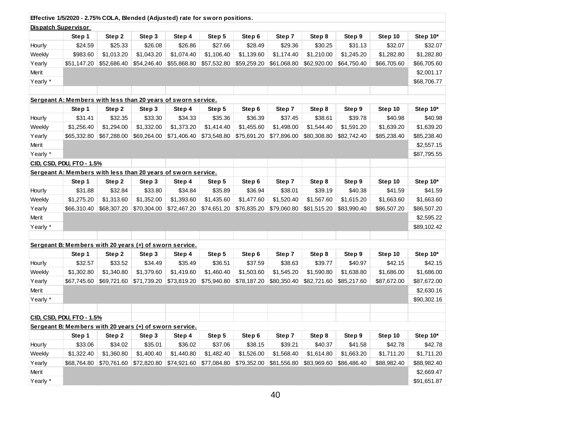|                            | Effective 1/5/2020 - 2.75% COLA, Blended (Adjusted) rate for sworn positions. |             |             |             |             |             |             |             |             |             |             |
|----------------------------|-------------------------------------------------------------------------------|-------------|-------------|-------------|-------------|-------------|-------------|-------------|-------------|-------------|-------------|
| <b>Dispatch Supervisor</b> |                                                                               |             |             |             |             |             |             |             |             |             |             |
|                            | Step 1                                                                        | Step 2      | Step 3      | Step 4      | Step 5      | Step 6      | Step 7      | Step 8      | Step 9      | Step 10     | Step 10*    |
| Hourly                     | \$24.59                                                                       | \$25.33     | \$26.08     | \$26.86     | \$27.66     | \$28.49     | \$29.36     | \$30.25     | \$31.13     | \$32.07     | \$32.07     |
| Weekly                     | \$983.60                                                                      | \$1,013.20  | \$1,043.20  | \$1,074.40  | \$1,106.40  | \$1,139.60  | \$1,174.40  | \$1,210.00  | \$1,245.20  | \$1,282.80  | \$1,282.80  |
| Yearly                     | \$51,147.20                                                                   | \$52,686.40 | \$54,246.40 | \$55,868.80 | \$57,532.80 | \$59,259.20 | \$61,068.80 | \$62,920.00 | \$64,750.40 | \$66,705.60 | \$66,705.60 |
| Merit                      |                                                                               |             |             |             |             |             |             |             |             |             | \$2,001.17  |
| Yearly *                   |                                                                               |             |             |             |             |             |             |             |             |             | \$68,706.77 |
|                            |                                                                               |             |             |             |             |             |             |             |             |             |             |
|                            | Sergeant A: Members with less than 20 years of sworn service.                 |             |             |             |             |             |             |             |             |             |             |
|                            | Step 1                                                                        | Step 2      | Step 3      | Step 4      | Step 5      | Step 6      | Step 7      | Step 8      | Step 9      | Step 10     | Step 10*    |
| Hourly                     | \$31.41                                                                       | \$32.35     | \$33.30     | \$34.33     | \$35.36     | \$36.39     | \$37.45     | \$38.61     | \$39.78     | \$40.98     | \$40.98     |
| Weekly                     | \$1,256.40                                                                    | \$1,294.00  | \$1,332.00  | \$1,373.20  | \$1,414.40  | \$1,455.60  | \$1,498.00  | \$1,544.40  | \$1,591.20  | \$1,639.20  | \$1,639.20  |
| Yearly                     | \$65,332.80                                                                   | \$67,288.00 | \$69,264.00 | \$71,406.40 | \$73,548.80 | \$75,691.20 | \$77,896.00 | \$80,308.80 | \$82,742.40 | \$85,238.40 | \$85,238.40 |
| Merit                      |                                                                               |             |             |             |             |             |             |             |             |             | \$2,557.15  |
| Yearly *                   |                                                                               |             |             |             |             |             |             |             |             |             | \$87,795.55 |
|                            | CID, CSD, PDU, FTO - 1.5%                                                     |             |             |             |             |             |             |             |             |             |             |
|                            | Sergeant A: Members with less than 20 years of sworn service.                 |             |             |             |             |             |             |             |             |             |             |
|                            | Step 1                                                                        | Step 2      | Step 3      | Step 4      | Step 5      | Step 6      | Step 7      | Step 8      | Step 9      | Step 10     | Step 10*    |
| Hourly                     | \$31.88                                                                       | \$32.84     | \$33.80     | \$34.84     | \$35.89     | \$36.94     | \$38.01     | \$39.19     | \$40.38     | \$41.59     | \$41.59     |
| Weekly                     | \$1,275.20                                                                    | \$1,313.60  | \$1,352.00  | \$1,393.60  | \$1,435.60  | \$1,477.60  | \$1,520.40  | \$1,567.60  | \$1,615.20  | \$1,663.60  | \$1,663.60  |
| Yearly                     | \$66,310.40                                                                   | \$68,307.20 | \$70,304.00 | \$72,467.20 | \$74,651.20 | \$76,835.20 | \$79,060.80 | \$81,515.20 | \$83,990.40 | \$86,507.20 | \$86,507.20 |
| Merit                      |                                                                               |             |             |             |             |             |             |             |             |             | \$2,595.22  |
| Yearly *                   |                                                                               |             |             |             |             |             |             |             |             |             | \$89,102.42 |
|                            |                                                                               |             |             |             |             |             |             |             |             |             |             |
|                            | Sergeant B: Members with 20 years (+) of sworn service.                       |             |             |             |             |             |             |             |             |             |             |
|                            | Step 1                                                                        | Step 2      | Step 3      | Step 4      | Step 5      | Step 6      | Step 7      | Step 8      | Step 9      | Step 10     | Step 10*    |
| Hourly                     | \$32.57                                                                       | \$33.52     | \$34.49     | \$35.49     | \$36.51     | \$37.59     | \$38.63     | \$39.77     | \$40.97     | \$42.15     | \$42.15     |
| Weekly                     | \$1,302.80                                                                    | \$1,340.80  | \$1,379.60  | \$1,419.60  | \$1,460.40  | \$1,503.60  | \$1,545.20  | \$1,590.80  | \$1,638.80  | \$1,686.00  | \$1,686.00  |
| Yearly                     | \$67,745.60                                                                   | \$69,721.60 | \$71,739.20 | \$73,819.20 | \$75,940.80 | \$78,187.20 | \$80,350.40 | \$82,721.60 | \$85,217.60 | \$87,672.00 | \$87,672.00 |
| Merit                      |                                                                               |             |             |             |             |             |             |             |             |             | \$2,630.16  |
| Yearly *                   |                                                                               |             |             |             |             |             |             |             |             |             | \$90,302.16 |
|                            |                                                                               |             |             |             |             |             |             |             |             |             |             |
|                            | CID. CSD. PDU. FTO - 1.5%                                                     |             |             |             |             |             |             |             |             |             |             |
|                            | Sergeant B: Members with 20 years (+) of sworn service.                       |             |             |             |             |             |             |             |             |             |             |
|                            | Step 1                                                                        | Step 2      | Step 3      | Step 4      | Step 5      | Step 6      | Step 7      | Step 8      | Step 9      | Step 10     | Step 10*    |
| Hourly                     | \$33.06                                                                       | \$34.02     | \$35.01     | \$36.02     | \$37.06     | \$38.15     | \$39.21     | \$40.37     | \$41.58     | \$42.78     | \$42.78     |
| Weekly                     | \$1,322.40                                                                    | \$1,360.80  | \$1,400.40  | \$1,440.80  | \$1,482.40  | \$1,526.00  | \$1,568.40  | \$1,614.80  | \$1,663.20  | \$1,711.20  | \$1,711.20  |
| Yearly                     | \$68,764.80                                                                   | \$70,761.60 | \$72,820.80 | \$74,921.60 | \$77,084.80 | \$79,352.00 | \$81,556.80 | \$83,969.60 | \$86,486.40 | \$88,982.40 | \$88,982.40 |
| Merit                      |                                                                               |             |             |             |             |             |             |             |             |             | \$2,669.47  |
| Yearly *                   |                                                                               |             |             |             |             |             |             |             |             |             | \$91,651.87 |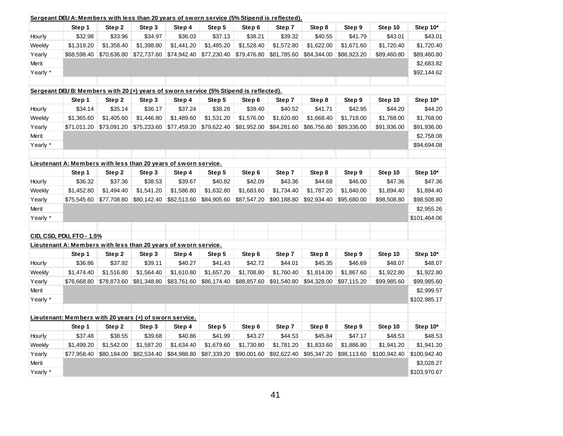| Step 10*<br>Step 1<br>Step 2<br>Step 5<br>Step 6<br>Step 7<br>Step 8<br>Step 9<br>Step 10<br>Step 3<br>Step 4<br>\$32.98<br>\$33.96<br>\$34.97<br>\$36.03<br>\$37.13<br>\$39.32<br>\$40.55<br>\$41.79<br>\$43.01<br>\$43.01<br>Hourly<br>\$38.21<br>\$1,720.40<br>\$1,720.40<br>Weekly<br>\$1,319.20<br>\$1,358.40<br>\$1,398.80<br>\$1,441.20<br>\$1,485.20<br>\$1,528.40<br>\$1,572.80<br>\$1,622.00<br>\$1,671.60<br>Yearly<br>\$68,598.40<br>\$70,636.80<br>\$72,737.60<br>\$74,942.40<br>\$77,230.40<br>\$79,476.80<br>\$81,785.60<br>\$84,344.00<br>\$86,923.20<br>\$89,460.80<br>\$89,460.80<br>\$2,683.82<br>Merit<br>Yearly *<br>\$92,144.62<br>Sergeant DEU B: Members with 20 (+) years of sworn service (5% Stipend is reflected).<br>Step 7<br>Step 10*<br>Step 1<br>Step 2<br>Step 3<br>Step 4<br>Step 5<br>Step 8<br>Step 9<br>Step 10<br>Step 6<br>\$34.14<br>\$35.14<br>\$36.17<br>\$37.24<br>\$38.28<br>\$39.40<br>\$40.52<br>\$41.71<br>\$42.95<br>\$44.20<br>\$44.20<br>Hourly<br>Weekly<br>\$1,365.60<br>\$1,405.60<br>\$1,446.80<br>\$1,489.60<br>\$1,531.20<br>\$1,576.00<br>\$1,620.80<br>\$1,668.40<br>\$1,718.00<br>\$1,768.00<br>\$1,768.00<br>\$91,936.00<br>Yearly<br>\$71,011.20<br>\$73,091.20<br>\$75,233.60<br>\$77,459.20<br>\$79,622.40<br>\$81,952.00<br>\$84,281.60<br>\$86,756.80<br>\$89,336.00<br>\$91,936.00<br>\$2,758.08<br>Merit<br>Yearly *<br>\$94,694.08<br>Lieutenant A: Members with less than 20 years of sworn service.<br>Step 10*<br>Step 1<br>Step 2<br>Step 5<br>Step 6<br>Step 7<br>Step 8<br>Step 9<br>Step 10<br>Step 3<br>Step 4<br>Hourly<br>\$36.32<br>\$37.36<br>\$38.53<br>\$39.67<br>\$40.82<br>\$42.09<br>\$43.36<br>\$44.68<br>\$46.00<br>\$47.36<br>\$47.36 |
|--------------------------------------------------------------------------------------------------------------------------------------------------------------------------------------------------------------------------------------------------------------------------------------------------------------------------------------------------------------------------------------------------------------------------------------------------------------------------------------------------------------------------------------------------------------------------------------------------------------------------------------------------------------------------------------------------------------------------------------------------------------------------------------------------------------------------------------------------------------------------------------------------------------------------------------------------------------------------------------------------------------------------------------------------------------------------------------------------------------------------------------------------------------------------------------------------------------------------------------------------------------------------------------------------------------------------------------------------------------------------------------------------------------------------------------------------------------------------------------------------------------------------------------------------------------------------------------------------------------------------------------------------------------------------------------------------------------------------------|
|                                                                                                                                                                                                                                                                                                                                                                                                                                                                                                                                                                                                                                                                                                                                                                                                                                                                                                                                                                                                                                                                                                                                                                                                                                                                                                                                                                                                                                                                                                                                                                                                                                                                                                                                |
|                                                                                                                                                                                                                                                                                                                                                                                                                                                                                                                                                                                                                                                                                                                                                                                                                                                                                                                                                                                                                                                                                                                                                                                                                                                                                                                                                                                                                                                                                                                                                                                                                                                                                                                                |
|                                                                                                                                                                                                                                                                                                                                                                                                                                                                                                                                                                                                                                                                                                                                                                                                                                                                                                                                                                                                                                                                                                                                                                                                                                                                                                                                                                                                                                                                                                                                                                                                                                                                                                                                |
|                                                                                                                                                                                                                                                                                                                                                                                                                                                                                                                                                                                                                                                                                                                                                                                                                                                                                                                                                                                                                                                                                                                                                                                                                                                                                                                                                                                                                                                                                                                                                                                                                                                                                                                                |
|                                                                                                                                                                                                                                                                                                                                                                                                                                                                                                                                                                                                                                                                                                                                                                                                                                                                                                                                                                                                                                                                                                                                                                                                                                                                                                                                                                                                                                                                                                                                                                                                                                                                                                                                |
|                                                                                                                                                                                                                                                                                                                                                                                                                                                                                                                                                                                                                                                                                                                                                                                                                                                                                                                                                                                                                                                                                                                                                                                                                                                                                                                                                                                                                                                                                                                                                                                                                                                                                                                                |
|                                                                                                                                                                                                                                                                                                                                                                                                                                                                                                                                                                                                                                                                                                                                                                                                                                                                                                                                                                                                                                                                                                                                                                                                                                                                                                                                                                                                                                                                                                                                                                                                                                                                                                                                |
|                                                                                                                                                                                                                                                                                                                                                                                                                                                                                                                                                                                                                                                                                                                                                                                                                                                                                                                                                                                                                                                                                                                                                                                                                                                                                                                                                                                                                                                                                                                                                                                                                                                                                                                                |
|                                                                                                                                                                                                                                                                                                                                                                                                                                                                                                                                                                                                                                                                                                                                                                                                                                                                                                                                                                                                                                                                                                                                                                                                                                                                                                                                                                                                                                                                                                                                                                                                                                                                                                                                |
|                                                                                                                                                                                                                                                                                                                                                                                                                                                                                                                                                                                                                                                                                                                                                                                                                                                                                                                                                                                                                                                                                                                                                                                                                                                                                                                                                                                                                                                                                                                                                                                                                                                                                                                                |
|                                                                                                                                                                                                                                                                                                                                                                                                                                                                                                                                                                                                                                                                                                                                                                                                                                                                                                                                                                                                                                                                                                                                                                                                                                                                                                                                                                                                                                                                                                                                                                                                                                                                                                                                |
|                                                                                                                                                                                                                                                                                                                                                                                                                                                                                                                                                                                                                                                                                                                                                                                                                                                                                                                                                                                                                                                                                                                                                                                                                                                                                                                                                                                                                                                                                                                                                                                                                                                                                                                                |
|                                                                                                                                                                                                                                                                                                                                                                                                                                                                                                                                                                                                                                                                                                                                                                                                                                                                                                                                                                                                                                                                                                                                                                                                                                                                                                                                                                                                                                                                                                                                                                                                                                                                                                                                |
|                                                                                                                                                                                                                                                                                                                                                                                                                                                                                                                                                                                                                                                                                                                                                                                                                                                                                                                                                                                                                                                                                                                                                                                                                                                                                                                                                                                                                                                                                                                                                                                                                                                                                                                                |
|                                                                                                                                                                                                                                                                                                                                                                                                                                                                                                                                                                                                                                                                                                                                                                                                                                                                                                                                                                                                                                                                                                                                                                                                                                                                                                                                                                                                                                                                                                                                                                                                                                                                                                                                |
|                                                                                                                                                                                                                                                                                                                                                                                                                                                                                                                                                                                                                                                                                                                                                                                                                                                                                                                                                                                                                                                                                                                                                                                                                                                                                                                                                                                                                                                                                                                                                                                                                                                                                                                                |
|                                                                                                                                                                                                                                                                                                                                                                                                                                                                                                                                                                                                                                                                                                                                                                                                                                                                                                                                                                                                                                                                                                                                                                                                                                                                                                                                                                                                                                                                                                                                                                                                                                                                                                                                |
|                                                                                                                                                                                                                                                                                                                                                                                                                                                                                                                                                                                                                                                                                                                                                                                                                                                                                                                                                                                                                                                                                                                                                                                                                                                                                                                                                                                                                                                                                                                                                                                                                                                                                                                                |
| \$1,452.80<br>\$1,494.40<br>\$1,586.80<br>\$1,683.60<br>\$1,787.20<br>\$1,840.00<br>\$1,894.40<br>\$1,894.40<br>Weekly<br>\$1,541.20<br>\$1,632.80<br>\$1,734.40                                                                                                                                                                                                                                                                                                                                                                                                                                                                                                                                                                                                                                                                                                                                                                                                                                                                                                                                                                                                                                                                                                                                                                                                                                                                                                                                                                                                                                                                                                                                                               |
| \$98,508.80<br>Yearly<br>\$75,545.60<br>\$77,708.80<br>\$80,142.40<br>\$82,513.60<br>\$84,905.60<br>\$87,547.20<br>\$90,188.80<br>\$92,934.40<br>\$95,680.00<br>\$98,508.80                                                                                                                                                                                                                                                                                                                                                                                                                                                                                                                                                                                                                                                                                                                                                                                                                                                                                                                                                                                                                                                                                                                                                                                                                                                                                                                                                                                                                                                                                                                                                    |
| Merit<br>\$2,955.26                                                                                                                                                                                                                                                                                                                                                                                                                                                                                                                                                                                                                                                                                                                                                                                                                                                                                                                                                                                                                                                                                                                                                                                                                                                                                                                                                                                                                                                                                                                                                                                                                                                                                                            |
| Yearly *<br>\$101,464.06                                                                                                                                                                                                                                                                                                                                                                                                                                                                                                                                                                                                                                                                                                                                                                                                                                                                                                                                                                                                                                                                                                                                                                                                                                                                                                                                                                                                                                                                                                                                                                                                                                                                                                       |
|                                                                                                                                                                                                                                                                                                                                                                                                                                                                                                                                                                                                                                                                                                                                                                                                                                                                                                                                                                                                                                                                                                                                                                                                                                                                                                                                                                                                                                                                                                                                                                                                                                                                                                                                |
| CID, CSD, PDU, FTO - 1.5%                                                                                                                                                                                                                                                                                                                                                                                                                                                                                                                                                                                                                                                                                                                                                                                                                                                                                                                                                                                                                                                                                                                                                                                                                                                                                                                                                                                                                                                                                                                                                                                                                                                                                                      |
| Lieutenant A: Members with less than 20 years of sworn service.                                                                                                                                                                                                                                                                                                                                                                                                                                                                                                                                                                                                                                                                                                                                                                                                                                                                                                                                                                                                                                                                                                                                                                                                                                                                                                                                                                                                                                                                                                                                                                                                                                                                |
| Step 10*<br>Step 6<br>Step 8<br>Step 9<br>Step 10<br>Step 1<br>Step 2<br>Step 3<br>Step 4<br>Step 5<br>Step 7                                                                                                                                                                                                                                                                                                                                                                                                                                                                                                                                                                                                                                                                                                                                                                                                                                                                                                                                                                                                                                                                                                                                                                                                                                                                                                                                                                                                                                                                                                                                                                                                                  |
| \$48.07<br>Hourly<br>\$36.86<br>\$37.92<br>\$39.11<br>\$40.27<br>\$41.43<br>\$42.72<br>\$44.01<br>\$45.35<br>\$46.69<br>\$48.07                                                                                                                                                                                                                                                                                                                                                                                                                                                                                                                                                                                                                                                                                                                                                                                                                                                                                                                                                                                                                                                                                                                                                                                                                                                                                                                                                                                                                                                                                                                                                                                                |
| \$1,474.40<br>\$1,516.80<br>\$1,610.80<br>\$1,708.80<br>\$1,760.40<br>\$1,814.00<br>\$1,867.60<br>\$1,922.80<br>\$1,922.80<br>Weekly<br>\$1,564.40<br>\$1,657.20                                                                                                                                                                                                                                                                                                                                                                                                                                                                                                                                                                                                                                                                                                                                                                                                                                                                                                                                                                                                                                                                                                                                                                                                                                                                                                                                                                                                                                                                                                                                                               |
| Yearly<br>\$81,348.80<br>\$94,328.00<br>\$99,985.60<br>\$76,668.80<br>\$78,873.60<br>\$83,761.60<br>\$86,174.40<br>\$88,857.60<br>\$91,540.80<br>\$97,115.20<br>\$99,985.60                                                                                                                                                                                                                                                                                                                                                                                                                                                                                                                                                                                                                                                                                                                                                                                                                                                                                                                                                                                                                                                                                                                                                                                                                                                                                                                                                                                                                                                                                                                                                    |
| Merit<br>\$2,999.57                                                                                                                                                                                                                                                                                                                                                                                                                                                                                                                                                                                                                                                                                                                                                                                                                                                                                                                                                                                                                                                                                                                                                                                                                                                                                                                                                                                                                                                                                                                                                                                                                                                                                                            |
| Yearly *<br>\$102,985.17                                                                                                                                                                                                                                                                                                                                                                                                                                                                                                                                                                                                                                                                                                                                                                                                                                                                                                                                                                                                                                                                                                                                                                                                                                                                                                                                                                                                                                                                                                                                                                                                                                                                                                       |
|                                                                                                                                                                                                                                                                                                                                                                                                                                                                                                                                                                                                                                                                                                                                                                                                                                                                                                                                                                                                                                                                                                                                                                                                                                                                                                                                                                                                                                                                                                                                                                                                                                                                                                                                |
| Lieutenant: Members with 20 years (+) of sworn service.                                                                                                                                                                                                                                                                                                                                                                                                                                                                                                                                                                                                                                                                                                                                                                                                                                                                                                                                                                                                                                                                                                                                                                                                                                                                                                                                                                                                                                                                                                                                                                                                                                                                        |
| Step 7<br>Step 8<br>Step 9<br>Step 10<br>Step 10*<br>Step 1<br>Step 2<br>Step 3<br>Step 4<br>Step 5<br>Step 6                                                                                                                                                                                                                                                                                                                                                                                                                                                                                                                                                                                                                                                                                                                                                                                                                                                                                                                                                                                                                                                                                                                                                                                                                                                                                                                                                                                                                                                                                                                                                                                                                  |
| \$48.53<br>\$48.53<br>Hourly<br>\$37.48<br>\$38.55<br>\$39.68<br>\$40.86<br>\$41.99<br>\$43.27<br>\$44.53<br>\$45.84<br>\$47.17                                                                                                                                                                                                                                                                                                                                                                                                                                                                                                                                                                                                                                                                                                                                                                                                                                                                                                                                                                                                                                                                                                                                                                                                                                                                                                                                                                                                                                                                                                                                                                                                |
| \$1,730.80<br>\$1,941.20<br>Weekly<br>\$1,499.20<br>\$1,542.00<br>\$1,587.20<br>\$1,634.40<br>\$1,679.60<br>\$1,781.20<br>\$1,833.60<br>\$1,886.80<br>\$1,941.20                                                                                                                                                                                                                                                                                                                                                                                                                                                                                                                                                                                                                                                                                                                                                                                                                                                                                                                                                                                                                                                                                                                                                                                                                                                                                                                                                                                                                                                                                                                                                               |
| Yearly<br>\$82,534.40<br>\$84,988.80<br>\$90,001.60<br>\$92,622.40<br>\$95,347.20<br>\$98,113.60<br>\$100,942.40<br>\$100,942.40<br>\$77,958.40<br>\$80,184.00<br>\$87,339.20                                                                                                                                                                                                                                                                                                                                                                                                                                                                                                                                                                                                                                                                                                                                                                                                                                                                                                                                                                                                                                                                                                                                                                                                                                                                                                                                                                                                                                                                                                                                                  |
| Merit<br>\$3,028.27                                                                                                                                                                                                                                                                                                                                                                                                                                                                                                                                                                                                                                                                                                                                                                                                                                                                                                                                                                                                                                                                                                                                                                                                                                                                                                                                                                                                                                                                                                                                                                                                                                                                                                            |
| Yearly *<br>\$103,970.67                                                                                                                                                                                                                                                                                                                                                                                                                                                                                                                                                                                                                                                                                                                                                                                                                                                                                                                                                                                                                                                                                                                                                                                                                                                                                                                                                                                                                                                                                                                                                                                                                                                                                                       |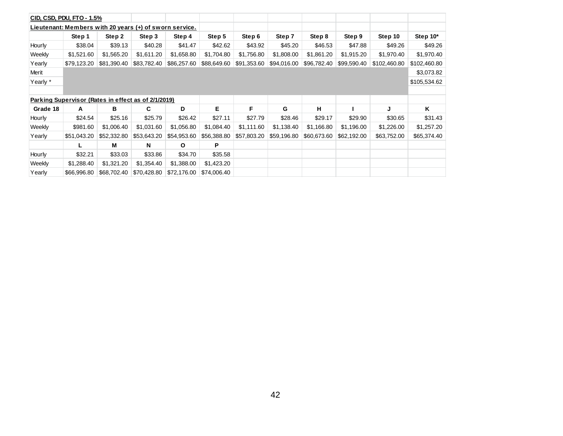|          | CID, CSD, PDU, FTO - 1.5%                               |             |             |              |             |             |             |             |             |              |              |
|----------|---------------------------------------------------------|-------------|-------------|--------------|-------------|-------------|-------------|-------------|-------------|--------------|--------------|
|          | Lieutenant: Members with 20 years (+) of sworn service. |             |             |              |             |             |             |             |             |              |              |
|          | Step 1                                                  | Step 2      | Step 3      | Step 4       | Step 5      | Step 6      | Step 7      | Step 8      | Step 9      | Step 10      | Step 10*     |
| Hourly   | \$38.04                                                 | \$39.13     | \$40.28     | \$41.47      | \$42.62     | \$43.92     | \$45.20     | \$46.53     | \$47.88     | \$49.26      | \$49.26      |
| Weekly   | \$1,521.60                                              | \$1,565.20  | \$1,611.20  | \$1,658.80   | \$1,704.80  | \$1,756.80  | \$1,808.00  | \$1,861.20  | \$1,915.20  | \$1,970.40   | \$1,970.40   |
| Yearly   | \$79,123.20                                             | \$81,390.40 | \$83,782.40 | \$86,257.60  | \$88,649.60 | \$91,353.60 | \$94,016.00 | \$96,782.40 | \$99,590.40 | \$102,460.80 | \$102,460.80 |
| Merit    |                                                         |             |             |              |             |             |             |             |             |              | \$3,073.82   |
| Yearly * |                                                         |             |             |              |             |             |             |             |             |              | \$105,534.62 |
|          |                                                         |             |             |              |             |             |             |             |             |              |              |
|          | Parking Supervisor (Rates in effect as of 2/1/2019)     |             |             |              |             |             |             |             |             |              |              |
| Grade 18 | Α                                                       | в           | C           | D            | E           | F           | G           | н           |             | J            | Κ            |
| Hourly   | \$24.54                                                 | \$25.16     | \$25.79     | \$26.42      | \$27.11     | \$27.79     | \$28.46     | \$29.17     | \$29.90     | \$30.65      | \$31.43      |
| Weekly   | \$981.60                                                | \$1,006.40  | \$1,031.60  | \$1,056.80   | \$1,084.40  | \$1,111.60  | \$1,138.40  | \$1,166.80  | \$1,196.00  | \$1,226.00   | \$1,257.20   |
| Yearly   | \$51,043.20                                             | \$52,332.80 | \$53,643.20 | \$54,953.60  | \$56,388.80 | \$57,803.20 | \$59,196.80 | \$60,673.60 | \$62,192.00 | \$63,752.00  | \$65,374.40  |
|          |                                                         | M           | N           | $\mathbf{o}$ | P           |             |             |             |             |              |              |
| Hourly   | \$32.21                                                 | \$33.03     | \$33.86     | \$34.70      | \$35.58     |             |             |             |             |              |              |
| Weekly   | \$1,288.40                                              | \$1,321.20  | \$1,354.40  | \$1,388.00   | \$1,423.20  |             |             |             |             |              |              |
| Yearly   | \$66,996.80                                             | \$68,702.40 | \$70,428.80 | \$72,176.00  | \$74,006.40 |             |             |             |             |              |              |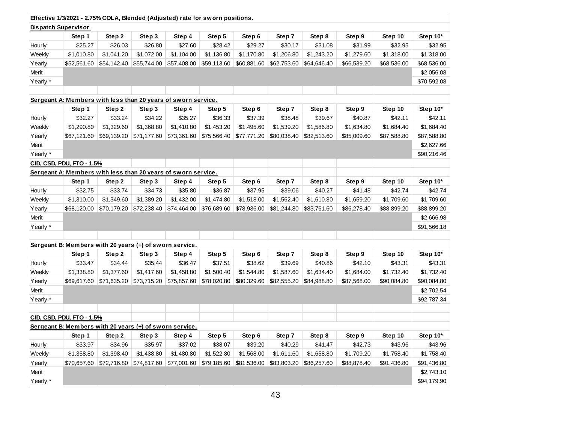|                            | Effective 1/3/2021 - 2.75% COLA, Blended (Adjusted) rate for sworn positions. |             |             |             |             |             |             |             |             |             |             |
|----------------------------|-------------------------------------------------------------------------------|-------------|-------------|-------------|-------------|-------------|-------------|-------------|-------------|-------------|-------------|
| <b>Dispatch Supervisor</b> |                                                                               |             |             |             |             |             |             |             |             |             |             |
|                            | Step 1                                                                        | Step 2      | Step 3      | Step 4      | Step 5      | Step 6      | Step 7      | Step 8      | Step 9      | Step 10     | Step 10*    |
| Hourly                     | \$25.27                                                                       | \$26.03     | \$26.80     | \$27.60     | \$28.42     | \$29.27     | \$30.17     | \$31.08     | \$31.99     | \$32.95     | \$32.95     |
| Weekly                     | \$1,010.80                                                                    | \$1,041.20  | \$1,072.00  | \$1,104.00  | \$1,136.80  | \$1,170.80  | \$1,206.80  | \$1,243.20  | \$1,279.60  | \$1,318.00  | \$1,318.00  |
| Yearly                     | \$52,561.60                                                                   | \$54,142.40 | \$55,744.00 | \$57,408.00 | \$59,113.60 | \$60,881.60 | \$62,753.60 | \$64,646.40 | \$66,539.20 | \$68,536.00 | \$68,536.00 |
| Merit                      |                                                                               |             |             |             |             |             |             |             |             |             | \$2,056.08  |
| Yearly *                   |                                                                               |             |             |             |             |             |             |             |             |             | \$70,592.08 |
|                            |                                                                               |             |             |             |             |             |             |             |             |             |             |
|                            | Sergeant A: Members with less than 20 years of sworn service.                 |             |             |             |             |             |             |             |             |             |             |
|                            | Step 1                                                                        | Step 2      | Step 3      | Step 4      | Step 5      | Step 6      | Step 7      | Step 8      | Step 9      | Step 10     | Step 10*    |
| Hourly                     | \$32.27                                                                       | \$33.24     | \$34.22     | \$35.27     | \$36.33     | \$37.39     | \$38.48     | \$39.67     | \$40.87     | \$42.11     | \$42.11     |
| Weekly                     | \$1,290.80                                                                    | \$1,329.60  | \$1,368.80  | \$1,410.80  | \$1,453.20  | \$1,495.60  | \$1,539.20  | \$1,586.80  | \$1,634.80  | \$1,684.40  | \$1,684.40  |
| Yearly                     | \$67,121.60                                                                   | \$69,139.20 | \$71,177.60 | \$73,361.60 | \$75,566.40 | \$77,771.20 | \$80,038.40 | \$82,513.60 | \$85,009.60 | \$87,588.80 | \$87,588.80 |
| Merit                      |                                                                               |             |             |             |             |             |             |             |             |             | \$2,627.66  |
| Yearly *                   |                                                                               |             |             |             |             |             |             |             |             |             | \$90,216.46 |
|                            | CID, CSD, PDU, FTO - 1.5%                                                     |             |             |             |             |             |             |             |             |             |             |
|                            | Sergeant A: Members with less than 20 years of sworn service.                 |             |             |             |             |             |             |             |             |             |             |
|                            | Step 1                                                                        | Step 2      | Step 3      | Step 4      | Step 5      | Step 6      | Step 7      | Step 8      | Step 9      | Step 10     | Step 10*    |
| Hourly                     | \$32.75                                                                       | \$33.74     | \$34.73     | \$35.80     | \$36.87     | \$37.95     | \$39.06     | \$40.27     | \$41.48     | \$42.74     | \$42.74     |
| Weekly                     | \$1,310.00                                                                    | \$1,349.60  | \$1,389.20  | \$1,432.00  | \$1,474.80  | \$1,518.00  | \$1,562.40  | \$1,610.80  | \$1,659.20  | \$1,709.60  | \$1,709.60  |
| Yearly                     | \$68,120.00                                                                   | \$70,179.20 | \$72,238.40 | \$74,464.00 | \$76,689.60 | \$78,936.00 | \$81,244.80 | \$83,761.60 | \$86,278.40 | \$88,899.20 | \$88,899.20 |
| Merit                      |                                                                               |             |             |             |             |             |             |             |             |             | \$2,666.98  |
| Yearly *                   |                                                                               |             |             |             |             |             |             |             |             |             | \$91,566.18 |
|                            |                                                                               |             |             |             |             |             |             |             |             |             |             |
|                            | Sergeant B: Members with 20 years (+) of sworn service.                       |             |             |             |             |             |             |             |             |             |             |
|                            | Step 1                                                                        | Step 2      | Step 3      | Step 4      | Step 5      | Step 6      | Step 7      | Step 8      | Step 9      | Step 10     | Step 10*    |
| Hourly                     | \$33.47                                                                       | \$34.44     | \$35.44     | \$36.47     | \$37.51     | \$38.62     | \$39.69     | \$40.86     | \$42.10     | \$43.31     | \$43.31     |
| Weekly                     | \$1,338.80                                                                    | \$1,377.60  | \$1,417.60  | \$1,458.80  | \$1,500.40  | \$1,544.80  | \$1,587.60  | \$1,634.40  | \$1,684.00  | \$1,732.40  | \$1,732.40  |
| Yearly                     | \$69,617.60                                                                   | \$71,635.20 | \$73,715.20 | \$75,857.60 | \$78,020.80 | \$80,329.60 | \$82,555.20 | \$84,988.80 | \$87,568.00 | \$90,084.80 | \$90,084.80 |
| Merit                      |                                                                               |             |             |             |             |             |             |             |             |             | \$2,702.54  |
| Yearly *                   |                                                                               |             |             |             |             |             |             |             |             |             | \$92,787.34 |
|                            |                                                                               |             |             |             |             |             |             |             |             |             |             |
|                            | CID, CSD, PDU, FTO - 1.5%                                                     |             |             |             |             |             |             |             |             |             |             |
|                            | Sergeant B: Members with 20 years (+) of sworn service.                       |             |             |             |             |             |             |             |             |             |             |
|                            | Step 1                                                                        | Step 2      | Step 3      | Step 4      | Step 5      | Step 6      | Step 7      | Step 8      | Step 9      | Step 10     | Step 10*    |
| Hourly                     | \$33.97                                                                       | \$34.96     | \$35.97     | \$37.02     | \$38.07     | \$39.20     | \$40.29     | \$41.47     | \$42.73     | \$43.96     | \$43.96     |
| Weekly                     | \$1,358.80                                                                    | \$1,398.40  | \$1,438.80  | \$1,480.80  | \$1,522.80  | \$1,568.00  | \$1,611.60  | \$1,658.80  | \$1,709.20  | \$1,758.40  | \$1,758.40  |
| Yearly                     | \$70,657.60                                                                   | \$72,716.80 | \$74,817.60 | \$77,001.60 | \$79,185.60 | \$81,536.00 | \$83,803.20 | \$86,257.60 | \$88,878.40 | \$91,436.80 | \$91,436.80 |
| Merit                      |                                                                               |             |             |             |             |             |             |             |             |             | \$2,743.10  |
| Yearly *                   |                                                                               |             |             |             |             |             |             |             |             |             | \$94,179.90 |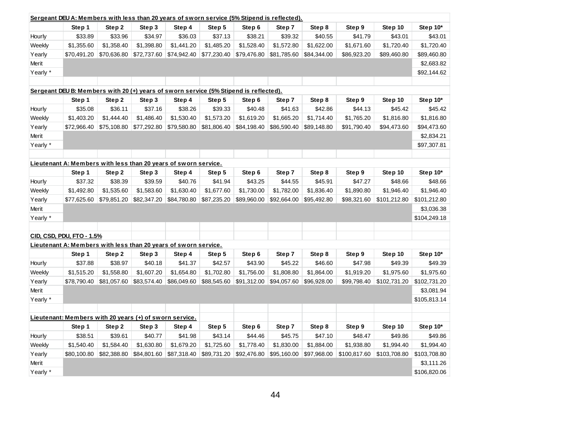| Sergeant DEU A: Members with less than 20 years of sworn service (5% Stipend is reflected). |                           |                                                                                       |             |             |             |             |             |             |              |              |              |
|---------------------------------------------------------------------------------------------|---------------------------|---------------------------------------------------------------------------------------|-------------|-------------|-------------|-------------|-------------|-------------|--------------|--------------|--------------|
|                                                                                             | Step 1                    | Step 2                                                                                | Step 3      | Step 4      | Step 5      | Step 6      | Step 7      | Step 8      | Step 9       | Step 10      | Step 10*     |
| Hourly                                                                                      | \$33.89                   | \$33.96                                                                               | \$34.97     | \$36.03     | \$37.13     | \$38.21     | \$39.32     | \$40.55     | \$41.79      | \$43.01      | \$43.01      |
| Weekly                                                                                      | \$1,355.60                | \$1,358.40                                                                            | \$1,398.80  | \$1,441.20  | \$1,485.20  | \$1,528.40  | \$1,572.80  | \$1,622.00  | \$1,671.60   | \$1,720.40   | \$1,720.40   |
| Yearly                                                                                      | \$70,491.20               | \$70,636.80                                                                           | \$72,737.60 | \$74,942.40 | \$77,230.40 | \$79,476.80 | \$81,785.60 | \$84,344.00 | \$86,923.20  | \$89,460.80  | \$89,460.80  |
| <b>Merit</b>                                                                                |                           |                                                                                       |             |             |             |             |             |             |              |              | \$2,683.82   |
| Yearly *                                                                                    |                           |                                                                                       |             |             |             |             |             |             |              |              | \$92,144.62  |
|                                                                                             |                           |                                                                                       |             |             |             |             |             |             |              |              |              |
|                                                                                             |                           | Sergeant DEU B: Members with 20 (+) years of sworn service (5% Stipend is reflected). |             |             |             |             |             |             |              |              |              |
|                                                                                             | Step 1                    | Step 2                                                                                | Step 3      | Step 4      | Step 5      | Step 6      | Step 7      | Step 8      | Step 9       | Step 10      | Step 10*     |
| Hourly                                                                                      | \$35.08                   | \$36.11                                                                               | \$37.16     | \$38.26     | \$39.33     | \$40.48     | \$41.63     | \$42.86     | \$44.13      | \$45.42      | \$45.42      |
| Weekly                                                                                      | \$1,403.20                | \$1,444.40                                                                            | \$1,486.40  | \$1,530.40  | \$1,573.20  | \$1,619.20  | \$1,665.20  | \$1,714.40  | \$1,765.20   | \$1,816.80   | \$1,816.80   |
| Yearly                                                                                      | \$72,966.40               | \$75,108.80                                                                           | \$77,292.80 | \$79,580.80 | \$81,806.40 | \$84,198.40 | \$86,590.40 | \$89,148.80 | \$91,790.40  | \$94,473.60  | \$94,473.60  |
| Merit                                                                                       |                           |                                                                                       |             |             |             |             |             |             |              |              | \$2,834.21   |
| Yearly *                                                                                    |                           |                                                                                       |             |             |             |             |             |             |              |              | \$97,307.81  |
|                                                                                             |                           |                                                                                       |             |             |             |             |             |             |              |              |              |
|                                                                                             |                           | Lieutenant A: Members with less than 20 years of sworn service.                       |             |             |             |             |             |             |              |              |              |
|                                                                                             | Step 1                    | Step 2                                                                                | Step 3      | Step 4      | Step 5      | Step 6      | Step 7      | Step 8      | Step 9       | Step 10      | Step 10*     |
| Hourly                                                                                      | \$37.32                   | \$38.39                                                                               | \$39.59     | \$40.76     | \$41.94     | \$43.25     | \$44.55     | \$45.91     | \$47.27      | \$48.66      | \$48.66      |
| Weekly                                                                                      | \$1,492.80                | \$1,535.60                                                                            | \$1,583.60  | \$1,630.40  | \$1,677.60  | \$1,730.00  | \$1,782.00  | \$1,836.40  | \$1,890.80   | \$1,946.40   | \$1,946.40   |
| Yearly                                                                                      | \$77,625.60               | \$79,851.20                                                                           | \$82,347.20 | \$84,780.80 | \$87,235.20 | \$89,960.00 | \$92,664.00 | \$95,492.80 | \$98,321.60  | \$101,212.80 | \$101,212.80 |
| Merit                                                                                       |                           |                                                                                       |             |             |             |             |             |             |              |              | \$3,036.38   |
| Yearly *                                                                                    |                           |                                                                                       |             |             |             |             |             |             |              |              | \$104,249.18 |
|                                                                                             |                           |                                                                                       |             |             |             |             |             |             |              |              |              |
|                                                                                             | CID, CSD, PDU, FTO - 1.5% |                                                                                       |             |             |             |             |             |             |              |              |              |
|                                                                                             |                           | Lieutenant A: Members with less than 20 years of sworn service.                       |             |             |             |             |             |             |              |              |              |
|                                                                                             | Step 1                    | Step 2                                                                                | Step 3      | Step 4      | Step 5      | Step 6      | Step 7      | Step 8      | Step 9       | Step 10      | Step 10*     |
| Hourly                                                                                      | \$37.88                   | \$38.97                                                                               | \$40.18     | \$41.37     | \$42.57     | \$43.90     | \$45.22     | \$46.60     | \$47.98      | \$49.39      | \$49.39      |
| Weekly                                                                                      | \$1,515.20                | \$1,558.80                                                                            | \$1,607.20  | \$1,654.80  | \$1,702.80  | \$1,756.00  | \$1,808.80  | \$1,864.00  | \$1,919.20   | \$1,975.60   | \$1,975.60   |
| Yearly                                                                                      | \$78,790.40               | \$81,057.60                                                                           | \$83,574.40 | \$86,049.60 | \$88,545.60 | \$91,312.00 | \$94,057.60 | \$96,928.00 | \$99,798.40  | \$102,731.20 | \$102,731.20 |
| Merit                                                                                       |                           |                                                                                       |             |             |             |             |             |             |              |              | \$3,081.94   |
| Yearly *                                                                                    |                           |                                                                                       |             |             |             |             |             |             |              |              | \$105,813.14 |
|                                                                                             |                           |                                                                                       |             |             |             |             |             |             |              |              |              |
|                                                                                             |                           | Lieutenant: Members with 20 years (+) of sworn service.                               |             |             |             |             |             |             |              |              |              |
|                                                                                             | Step 1                    | Step 2                                                                                | Step 3      | Step 4      | Step 5      | Step 6      | Step 7      | Step 8      | Step 9       | Step 10      | Step 10*     |
| Hourly                                                                                      | \$38.51                   | \$39.61                                                                               | \$40.77     | \$41.98     | \$43.14     | \$44.46     | \$45.75     | \$47.10     | \$48.47      | \$49.86      | \$49.86      |
| Weekly                                                                                      | \$1,540.40                | \$1,584.40                                                                            | \$1,630.80  | \$1,679.20  | \$1,725.60  | \$1,778.40  | \$1,830.00  | \$1,884.00  | \$1,938.80   | \$1,994.40   | \$1,994.40   |
| Yearly                                                                                      | \$80,100.80               | \$82,388.80                                                                           | \$84,801.60 | \$87,318.40 | \$89,731.20 | \$92,476.80 | \$95,160.00 | \$97,968.00 | \$100,817.60 | \$103,708.80 | \$103,708.80 |
| Merit                                                                                       |                           |                                                                                       |             |             |             |             |             |             |              |              | \$3,111.26   |
| Yearly *                                                                                    |                           |                                                                                       |             |             |             |             |             |             |              |              | \$106,820.06 |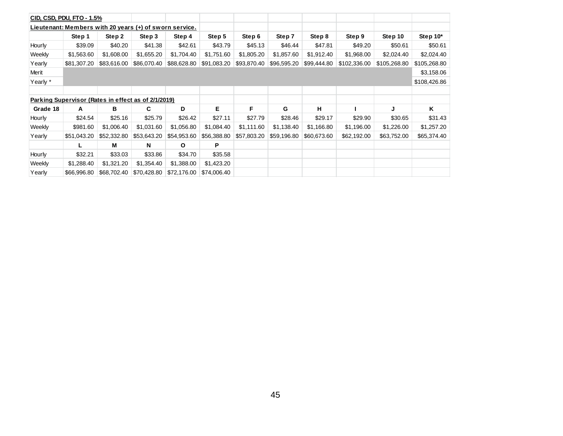|          | CID, CSD, PDU, FTO - 1.5%                               |             |             |              |             |             |             |             |              |              |              |
|----------|---------------------------------------------------------|-------------|-------------|--------------|-------------|-------------|-------------|-------------|--------------|--------------|--------------|
|          | Lieutenant: Members with 20 years (+) of sworn service. |             |             |              |             |             |             |             |              |              |              |
|          | Step 1                                                  | Step 2      | Step 3      | Step 4       | Step 5      | Step 6      | Step 7      | Step 8      | Step 9       | Step 10      | Step 10*     |
| Hourly   | \$39.09                                                 | \$40.20     | \$41.38     | \$42.61      | \$43.79     | \$45.13     | \$46.44     | \$47.81     | \$49.20      | \$50.61      | \$50.61      |
| Weekly   | \$1,563.60                                              | \$1,608.00  | \$1,655.20  | \$1,704.40   | \$1,751.60  | \$1,805.20  | \$1,857.60  | \$1,912.40  | \$1,968.00   | \$2,024.40   | \$2,024.40   |
| Yearly   | \$81,307.20                                             | \$83,616.00 | \$86,070.40 | \$88,628.80  | \$91,083.20 | \$93,870.40 | \$96,595.20 | \$99,444.80 | \$102,336.00 | \$105,268.80 | \$105,268.80 |
| Merit    |                                                         |             |             |              |             |             |             |             |              |              | \$3,158.06   |
| Yearly * |                                                         |             |             |              |             |             |             |             |              |              | \$108,426.86 |
|          |                                                         |             |             |              |             |             |             |             |              |              |              |
|          | Parking Supervisor (Rates in effect as of 2/1/2019)     |             |             |              |             |             |             |             |              |              |              |
| Grade 18 | A                                                       | в           | C           | D            | Е           | F           | G           | н           |              | J            | Κ            |
| Hourly   | \$24.54                                                 | \$25.16     | \$25.79     | \$26.42      | \$27.11     | \$27.79     | \$28.46     | \$29.17     | \$29.90      | \$30.65      | \$31.43      |
| Weekly   | \$981.60                                                | \$1,006.40  | \$1,031.60  | \$1,056.80   | \$1,084.40  | \$1,111.60  | \$1,138.40  | \$1,166.80  | \$1,196.00   | \$1,226.00   | \$1,257.20   |
| Yearly   | \$51,043.20                                             | \$52,332.80 | \$53,643.20 | \$54,953.60  | \$56,388.80 | \$57,803.20 | \$59,196.80 | \$60,673.60 | \$62,192.00  | \$63,752.00  | \$65,374.40  |
|          |                                                         | М           | N           | $\mathbf{o}$ | P           |             |             |             |              |              |              |
| Hourly   | \$32.21                                                 | \$33.03     | \$33.86     | \$34.70      | \$35.58     |             |             |             |              |              |              |
| Weekly   | \$1,288.40                                              | \$1,321.20  | \$1,354.40  | \$1,388.00   | \$1,423.20  |             |             |             |              |              |              |
| Yearly   | \$66,996.80                                             | \$68,702.40 | \$70,428.80 | \$72,176.00  | \$74,006.40 |             |             |             |              |              |              |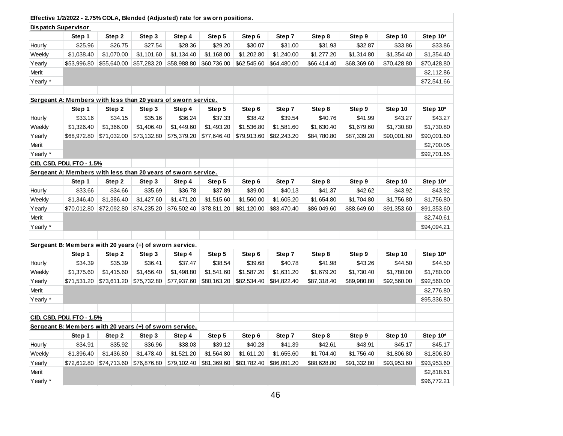|          | Effective 1/2/2022 - 2.75% COLA, Blended (Adjusted) rate for sworn positions. |             |             |             |             |             |             |             |             |             |             |
|----------|-------------------------------------------------------------------------------|-------------|-------------|-------------|-------------|-------------|-------------|-------------|-------------|-------------|-------------|
|          | <b>Dispatch Supervisor</b>                                                    |             |             |             |             |             |             |             |             |             |             |
|          | Step 1                                                                        | Step 2      | Step 3      | Step 4      | Step 5      | Step 6      | Step 7      | Step 8      | Step 9      | Step 10     | Step 10*    |
| Hourly   | \$25.96                                                                       | \$26.75     | \$27.54     | \$28.36     | \$29.20     | \$30.07     | \$31.00     | \$31.93     | \$32.87     | \$33.86     | \$33.86     |
| Weekly   | \$1,038.40                                                                    | \$1,070.00  | \$1,101.60  | \$1,134.40  | \$1,168.00  | \$1,202.80  | \$1,240.00  | \$1,277.20  | \$1,314.80  | \$1,354.40  | \$1,354.40  |
| Yearly   | \$53,996.80                                                                   | \$55,640.00 | \$57,283.20 | \$58,988.80 | \$60,736.00 | \$62,545.60 | \$64,480.00 | \$66,414.40 | \$68,369.60 | \$70,428.80 | \$70,428.80 |
| Merit    |                                                                               |             |             |             |             |             |             |             |             |             | \$2,112.86  |
| Yearly * |                                                                               |             |             |             |             |             |             |             |             |             | \$72,541.66 |
|          |                                                                               |             |             |             |             |             |             |             |             |             |             |
|          | Sergeant A: Members with less than 20 years of sworn service.                 |             |             |             |             |             |             |             |             |             |             |
|          | Step 1                                                                        | Step 2      | Step 3      | Step 4      | Step 5      | Step 6      | Step 7      | Step 8      | Step 9      | Step 10     | Step 10*    |
| Hourly   | \$33.16                                                                       | \$34.15     | \$35.16     | \$36.24     | \$37.33     | \$38.42     | \$39.54     | \$40.76     | \$41.99     | \$43.27     | \$43.27     |
| Weekly   | \$1,326.40                                                                    | \$1,366.00  | \$1,406.40  | \$1,449.60  | \$1,493.20  | \$1,536.80  | \$1,581.60  | \$1,630.40  | \$1,679.60  | \$1,730.80  | \$1,730.80  |
| Yearly   | \$68,972.80                                                                   | \$71,032.00 | \$73,132.80 | \$75,379.20 | \$77,646.40 | \$79,913.60 | \$82,243.20 | \$84,780.80 | \$87,339.20 | \$90,001.60 | \$90,001.60 |
| Merit    |                                                                               |             |             |             |             |             |             |             |             |             | \$2,700.05  |
| Yearly * |                                                                               |             |             |             |             |             |             |             |             |             | \$92,701.65 |
|          | CID, CSD, PDU, FTO - 1.5%                                                     |             |             |             |             |             |             |             |             |             |             |
|          | Sergeant A: Members with less than 20 years of sworn service.                 |             |             |             |             |             |             |             |             |             |             |
|          | Step 1                                                                        | Step 2      | Step 3      | Step 4      | Step 5      | Step 6      | Step 7      | Step 8      | Step 9      | Step 10     | Step 10*    |
| Hourly   | \$33.66                                                                       | \$34.66     | \$35.69     | \$36.78     | \$37.89     | \$39.00     | \$40.13     | \$41.37     | \$42.62     | \$43.92     | \$43.92     |
| Weekly   | \$1,346.40                                                                    | \$1,386.40  | \$1,427.60  | \$1,471.20  | \$1,515.60  | \$1,560.00  | \$1,605.20  | \$1,654.80  | \$1,704.80  | \$1,756.80  | \$1,756.80  |
| Yearly   | \$70,012.80                                                                   | \$72,092.80 | \$74,235.20 | \$76,502.40 | \$78,811.20 | \$81,120.00 | \$83,470.40 | \$86,049.60 | \$88,649.60 | \$91,353.60 | \$91,353.60 |
| Merit    |                                                                               |             |             |             |             |             |             |             |             |             | \$2,740.61  |
| Yearly * |                                                                               |             |             |             |             |             |             |             |             |             | \$94,094.21 |
|          |                                                                               |             |             |             |             |             |             |             |             |             |             |
|          | Sergeant B: Members with 20 years (+) of sworn service.                       |             |             |             |             |             |             |             |             |             |             |
|          | Step 1                                                                        | Step 2      | Step 3      | Step 4      | Step 5      | Step 6      | Step 7      | Step 8      | Step 9      | Step 10     | Step 10*    |
| Hourly   | \$34.39                                                                       | \$35.39     | \$36.41     | \$37.47     | \$38.54     | \$39.68     | \$40.78     | \$41.98     | \$43.26     | \$44.50     | \$44.50     |
| Weekly   | \$1,375.60                                                                    | \$1,415.60  | \$1,456.40  | \$1,498.80  | \$1,541.60  | \$1,587.20  | \$1,631.20  | \$1,679.20  | \$1,730.40  | \$1,780.00  | \$1,780.00  |
| Yearly   | \$71,531.20                                                                   | \$73,611.20 | \$75,732.80 | \$77,937.60 | \$80,163.20 | \$82,534.40 | \$84,822.40 | \$87,318.40 | \$89,980.80 | \$92,560.00 | \$92,560.00 |
| Merit    |                                                                               |             |             |             |             |             |             |             |             |             | \$2,776.80  |
| Yearly * |                                                                               |             |             |             |             |             |             |             |             |             | \$95,336.80 |
|          |                                                                               |             |             |             |             |             |             |             |             |             |             |
|          | CID, CSD, PDU, FTO - 1.5%                                                     |             |             |             |             |             |             |             |             |             |             |
|          | Sergeant B: Members with 20 years (+) of sworn service.                       |             |             |             |             |             |             |             |             |             |             |
|          | Step 1                                                                        | Step 2      | Step 3      | Step 4      | Step 5      | Step 6      | Step 7      | Step 8      | Step 9      | Step 10     | Step 10*    |
| Hourly   | \$34.91                                                                       | \$35.92     | \$36.96     | \$38.03     | \$39.12     | \$40.28     | \$41.39     | \$42.61     | \$43.91     | \$45.17     | \$45.17     |
| Weekly   | \$1,396.40                                                                    | \$1,436.80  | \$1,478.40  | \$1,521.20  | \$1,564.80  | \$1,611.20  | \$1,655.60  | \$1,704.40  | \$1,756.40  | \$1,806.80  | \$1,806.80  |
| Yearly   | \$72,612.80                                                                   | \$74,713.60 | \$76,876.80 | \$79,102.40 | \$81,369.60 | \$83,782.40 | \$86,091.20 | \$88,628.80 | \$91,332.80 | \$93,953.60 | \$93,953.60 |
| Merit    |                                                                               |             |             |             |             |             |             |             |             |             | \$2,818.61  |
| Yearly * |                                                                               |             |             |             |             |             |             |             |             |             | \$96,772.21 |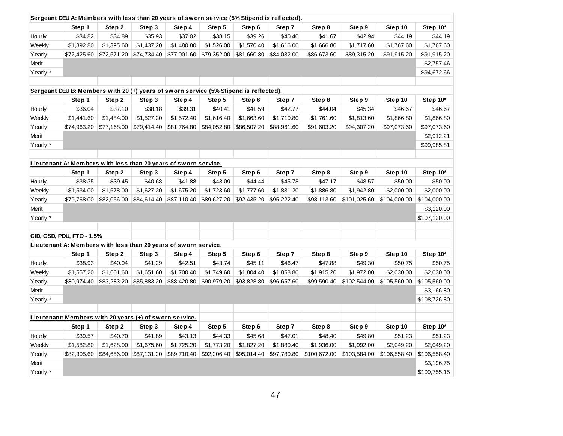| Sergeant DEU A: Members with less than 20 years of sworn service (5% Stipend is reflected). |                                                                                       |             |             |             |             |             |             |              |              |              |              |
|---------------------------------------------------------------------------------------------|---------------------------------------------------------------------------------------|-------------|-------------|-------------|-------------|-------------|-------------|--------------|--------------|--------------|--------------|
|                                                                                             | Step 1                                                                                | Step 2      | Step 3      | Step 4      | Step 5      | Step 6      | Step 7      | Step 8       | Step 9       | Step 10      | Step 10*     |
| Hourly                                                                                      | \$34.82                                                                               | \$34.89     | \$35.93     | \$37.02     | \$38.15     | \$39.26     | \$40.40     | \$41.67      | \$42.94      | \$44.19      | \$44.19      |
| Weekly                                                                                      | \$1,392.80                                                                            | \$1,395.60  | \$1,437.20  | \$1,480.80  | \$1,526.00  | \$1,570.40  | \$1,616.00  | \$1,666.80   | \$1,717.60   | \$1,767.60   | \$1,767.60   |
| Yearly                                                                                      | \$72,425.60                                                                           | \$72,571.20 | \$74,734.40 | \$77,001.60 | \$79,352.00 | \$81,660.80 | \$84,032.00 | \$86,673.60  | \$89,315.20  | \$91,915.20  | \$91,915.20  |
| Merit                                                                                       |                                                                                       |             |             |             |             |             |             |              |              |              | \$2,757.46   |
| Yearly *                                                                                    |                                                                                       |             |             |             |             |             |             |              |              |              | \$94,672.66  |
|                                                                                             |                                                                                       |             |             |             |             |             |             |              |              |              |              |
|                                                                                             | Sergeant DEU B: Members with 20 (+) years of sworn service (5% Stipend is reflected). |             |             |             |             |             |             |              |              |              |              |
|                                                                                             | Step 1                                                                                | Step 2      | Step 3      | Step 4      | Step 5      | Step 6      | Step 7      | Step 8       | Step 9       | Step 10      | Step 10*     |
| Hourly                                                                                      | \$36.04                                                                               | \$37.10     | \$38.18     | \$39.31     | \$40.41     | \$41.59     | \$42.77     | \$44.04      | \$45.34      | \$46.67      | \$46.67      |
| Weekly                                                                                      | \$1,441.60                                                                            | \$1,484.00  | \$1,527.20  | \$1,572.40  | \$1,616.40  | \$1,663.60  | \$1,710.80  | \$1,761.60   | \$1,813.60   | \$1,866.80   | \$1,866.80   |
| Yearly                                                                                      | \$74,963.20                                                                           | \$77,168.00 | \$79,414.40 | \$81,764.80 | \$84,052.80 | \$86,507.20 | \$88,961.60 | \$91,603.20  | \$94,307.20  | \$97,073.60  | \$97,073.60  |
| Merit                                                                                       |                                                                                       |             |             |             |             |             |             |              |              |              | \$2,912.21   |
| Yearly *                                                                                    |                                                                                       |             |             |             |             |             |             |              |              |              | \$99,985.81  |
|                                                                                             |                                                                                       |             |             |             |             |             |             |              |              |              |              |
|                                                                                             | Lieutenant A: Members with less than 20 years of sworn service.                       |             |             |             |             |             |             |              |              |              |              |
|                                                                                             | Step 1                                                                                | Step 2      | Step 3      | Step 4      | Step 5      | Step 6      | Step 7      | Step 8       | Step 9       | Step 10      | Step 10*     |
| Hourly                                                                                      | \$38.35                                                                               | \$39.45     | \$40.68     | \$41.88     | \$43.09     | \$44.44     | \$45.78     | \$47.17      | \$48.57      | \$50.00      | \$50.00      |
| Weekly                                                                                      | \$1,534.00                                                                            | \$1,578.00  | \$1,627.20  | \$1,675.20  | \$1,723.60  | \$1,777.60  | \$1,831.20  | \$1,886.80   | \$1,942.80   | \$2,000.00   | \$2,000.00   |
| Yearly                                                                                      | \$79,768.00                                                                           | \$82,056.00 | \$84,614.40 | \$87,110.40 | \$89,627.20 | \$92,435.20 | \$95,222.40 | \$98,113.60  | \$101,025.60 | \$104,000.00 | \$104,000.00 |
| Merit                                                                                       |                                                                                       |             |             |             |             |             |             |              |              |              | \$3,120.00   |
| Yearly *                                                                                    |                                                                                       |             |             |             |             |             |             |              |              |              | \$107,120.00 |
|                                                                                             |                                                                                       |             |             |             |             |             |             |              |              |              |              |
|                                                                                             | CID, CSD, PDU, FTO - 1.5%                                                             |             |             |             |             |             |             |              |              |              |              |
|                                                                                             | Lieutenant A: Members with less than 20 years of sworn service.                       |             |             |             |             |             |             |              |              |              |              |
|                                                                                             | Step 1                                                                                | Step 2      | Step 3      | Step 4      | Step 5      | Step 6      | Step 7      | Step 8       | Step 9       | Step 10      | Step 10*     |
| Hourly                                                                                      | \$38.93                                                                               | \$40.04     | \$41.29     | \$42.51     | \$43.74     | \$45.11     | \$46.47     | \$47.88      | \$49.30      | \$50.75      | \$50.75      |
| Weekly                                                                                      | \$1,557.20                                                                            | \$1,601.60  | \$1,651.60  | \$1,700.40  | \$1,749.60  | \$1,804.40  | \$1,858.80  | \$1,915.20   | \$1,972.00   | \$2,030.00   | \$2,030.00   |
| Yearly                                                                                      | \$80,974.40                                                                           | \$83,283.20 | \$85,883.20 | \$88,420.80 | \$90,979.20 | \$93,828.80 | \$96,657.60 | \$99,590.40  | \$102,544.00 | \$105,560.00 | \$105,560.00 |
| Merit                                                                                       |                                                                                       |             |             |             |             |             |             |              |              |              | \$3,166.80   |
| Yearly *                                                                                    |                                                                                       |             |             |             |             |             |             |              |              |              | \$108,726.80 |
|                                                                                             |                                                                                       |             |             |             |             |             |             |              |              |              |              |
|                                                                                             | Lieutenant: Members with 20 years (+) of sworn service.                               |             |             |             |             |             |             |              |              |              |              |
|                                                                                             | Step 1                                                                                | Step 2      | Step 3      | Step 4      | Step 5      | Step 6      | Step 7      | Step 8       | Step 9       | Step 10      | Step 10*     |
| Hourly                                                                                      | \$39.57                                                                               | \$40.70     | \$41.89     | \$43.13     | \$44.33     | \$45.68     | \$47.01     | \$48.40      | \$49.80      | \$51.23      | \$51.23      |
| Weekly                                                                                      | \$1,582.80                                                                            | \$1,628.00  | \$1,675.60  | \$1,725.20  | \$1,773.20  | \$1,827.20  | \$1,880.40  | \$1,936.00   | \$1,992.00   | \$2,049.20   | \$2,049.20   |
| Yearly                                                                                      | \$82,305.60                                                                           | \$84,656.00 | \$87,131.20 | \$89,710.40 | \$92,206.40 | \$95,014.40 | \$97,780.80 | \$100,672.00 | \$103,584.00 | \$106,558.40 | \$106,558.40 |
| Merit                                                                                       |                                                                                       |             |             |             |             |             |             |              |              |              | \$3,196.75   |
| Yearly *                                                                                    |                                                                                       |             |             |             |             |             |             |              |              |              | \$109,755.15 |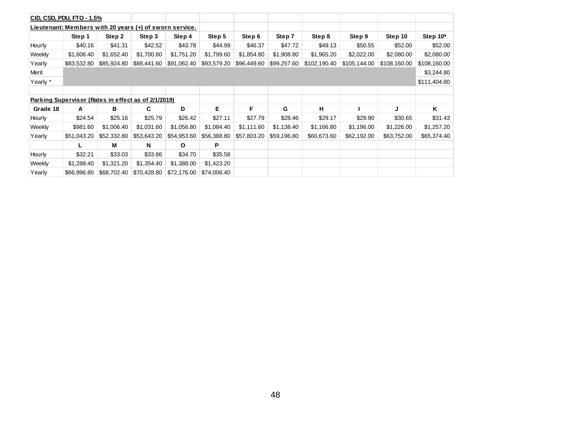|          | CID, CSD, PDU, FTO - 1.5%                               |             |             |             |             |             |             |              |              |              |              |
|----------|---------------------------------------------------------|-------------|-------------|-------------|-------------|-------------|-------------|--------------|--------------|--------------|--------------|
|          | Lieutenant: Members with 20 years (+) of sworn service. |             |             |             |             |             |             |              |              |              |              |
|          | Step 1                                                  | Step 2      | Step 3      | Step 4      | Step 5      | Step 6      | Step 7      | Step 8       | Step 9       | Step 10      | Step $10*$   |
| Hourly   | \$40.16                                                 | \$41.31     | \$42.52     | \$43.78     | \$44.99     | \$46.37     | \$47.72     | \$49.13      | \$50.55      | \$52.00      | \$52.00      |
| Weekly   | \$1,606.40                                              | \$1,652.40  | \$1,700.80  | \$1,751.20  | \$1,799.60  | \$1,854.80  | \$1,908.80  | \$1,965.20   | \$2,022.00   | \$2,080.00   | \$2,080.00   |
| Yearly   | \$83,532.80                                             | \$85,924.80 | \$88,441.60 | \$91,062.40 | \$93,579.20 | \$96,449.60 | \$99,257.60 | \$102,190.40 | \$105,144.00 | \$108,160.00 | \$108,160.00 |
| Merit    |                                                         |             |             |             |             |             |             |              |              |              | \$3,244.80   |
| Yearly * |                                                         |             |             |             |             |             |             |              |              |              | \$111,404.80 |
|          |                                                         |             |             |             |             |             |             |              |              |              |              |
|          | Parking Supervisor (Rates in effect as of 2/1/2019)     |             |             |             |             |             |             |              |              |              |              |
| Grade 18 | А                                                       | в           | C           | D           | E.          | F           | G           | н            |              | J            | Κ            |
| Hourly   | \$24.54                                                 | \$25.16     | \$25.79     | \$26.42     | \$27.11     | \$27.79     | \$28.46     | \$29.17      | \$29.90      | \$30.65      | \$31.43      |
| Weekly   | \$981.60                                                | \$1,006.40  | \$1,031.60  | \$1,056.80  | \$1,084.40  | \$1,111.60  | \$1,138.40  | \$1,166.80   | \$1,196.00   | \$1,226.00   | \$1,257.20   |
| Yearly   | \$51,043.20                                             | \$52,332.80 | \$53,643.20 | \$54,953.60 | \$56,388.80 | \$57,803.20 | \$59,196.80 | \$60,673.60  | \$62,192.00  | \$63,752.00  | \$65,374.40  |
|          |                                                         | М           | N           | O           | P           |             |             |              |              |              |              |
| Hourly   | \$32.21                                                 | \$33.03     | \$33.86     | \$34.70     | \$35.58     |             |             |              |              |              |              |
| Weekly   | \$1,288.40                                              | \$1,321.20  | \$1,354.40  | \$1,388.00  | \$1,423.20  |             |             |              |              |              |              |
| Yearly   | \$66,996.80                                             | \$68,702.40 | \$70,428.80 | \$72,176.00 | \$74,006.40 |             |             |              |              |              |              |